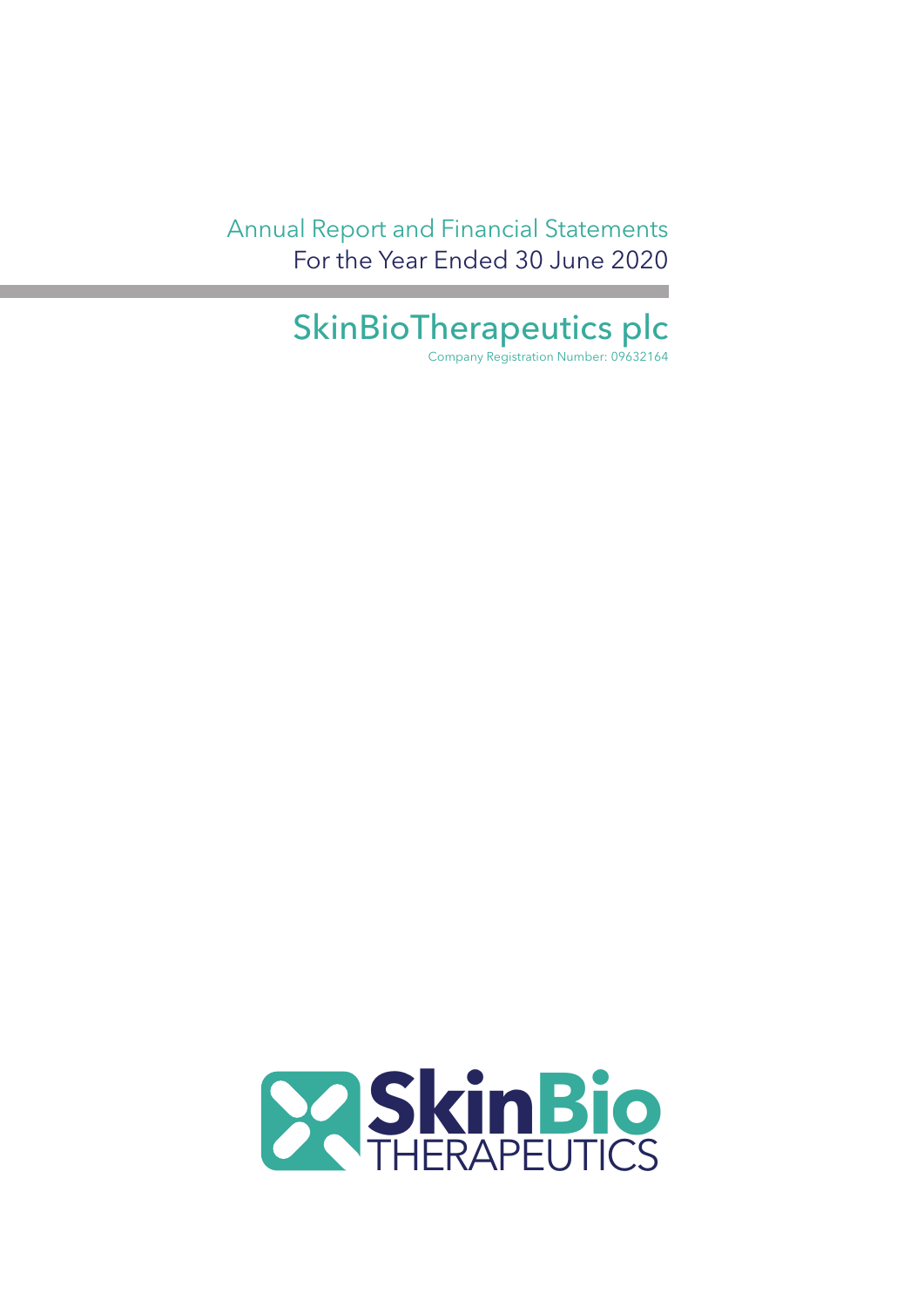Annual Report and Financial Statements For the Year Ended 30 June 2020

> SkinBioTherapeutics plc Company Registration Number: 09632164

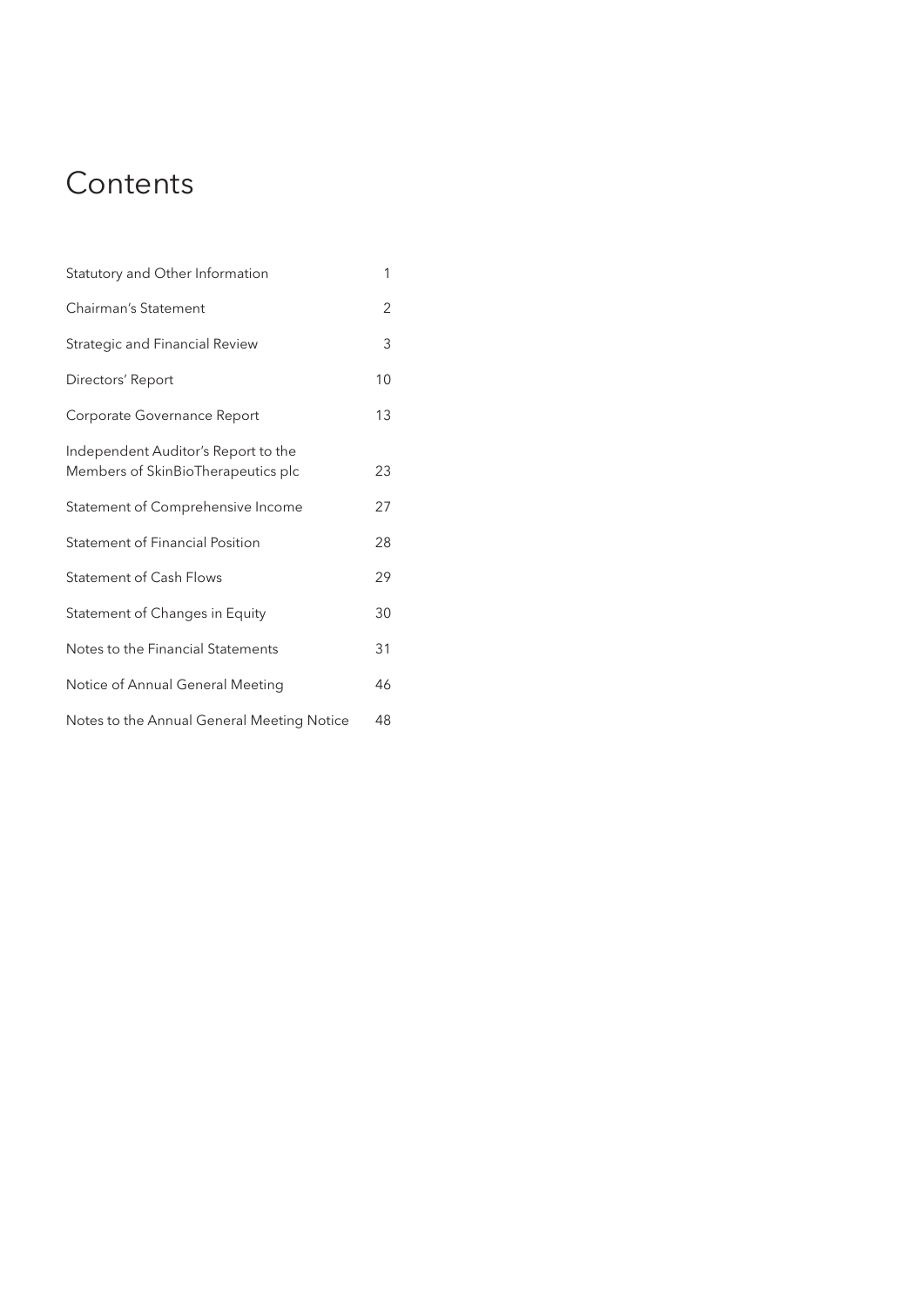# **Contents**

| Statutory and Other Information                                           | 1  |
|---------------------------------------------------------------------------|----|
| <b>Chairman's Statement</b>                                               | 2  |
| Strategic and Financial Review                                            | 3  |
| Directors' Report                                                         | 10 |
| Corporate Governance Report                                               | 13 |
| Independent Auditor's Report to the<br>Members of SkinBioTherapeutics plc | 23 |
| Statement of Comprehensive Income                                         | 27 |
| <b>Statement of Financial Position</b>                                    | 28 |
| Statement of Cash Flows                                                   | 29 |
| Statement of Changes in Equity                                            | 30 |
| Notes to the Financial Statements                                         | 31 |
| Notice of Annual General Meeting                                          | 46 |
| Notes to the Annual General Meeting Notice                                | 48 |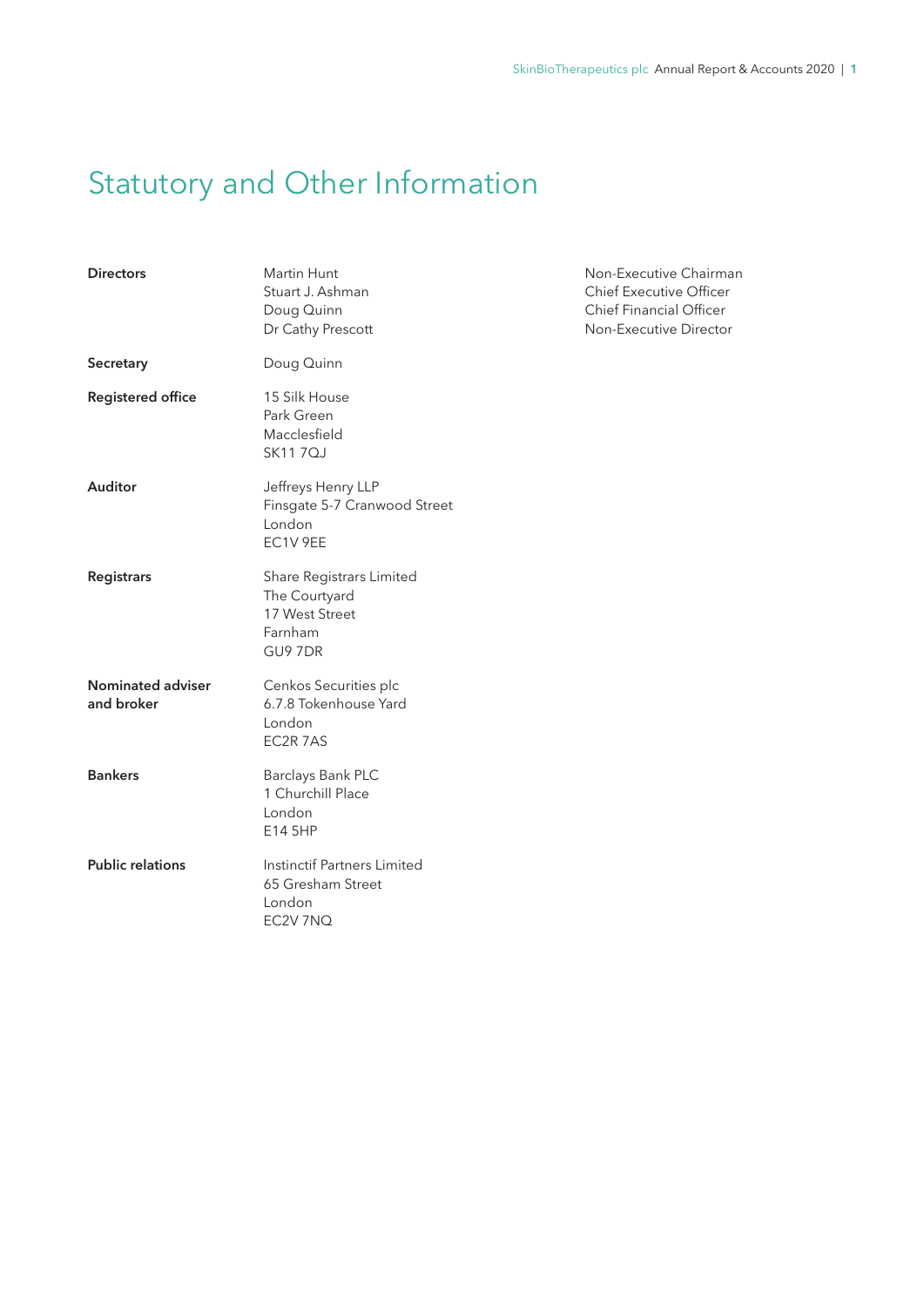# Statutory and Other Information

| <b>Directors</b>                | Martin Hunt<br>Stuart J. Ashman<br>Doug Quinn<br>Dr Cathy Prescott                | Non-Executive Chairman<br><b>Chief Executive Officer</b><br>Chief Financial Officer<br>Non-Executive Director |
|---------------------------------|-----------------------------------------------------------------------------------|---------------------------------------------------------------------------------------------------------------|
| Secretary                       | Doug Quinn                                                                        |                                                                                                               |
| <b>Registered office</b>        | 15 Silk House<br>Park Green<br>Macclesfield<br><b>SK117QJ</b>                     |                                                                                                               |
| Auditor                         | Jeffreys Henry LLP<br>Finsgate 5-7 Cranwood Street<br>London<br>EC1V 9EE          |                                                                                                               |
| <b>Registrars</b>               | Share Registrars Limited<br>The Courtyard<br>17 West Street<br>Farnham<br>GU9 7DR |                                                                                                               |
| Nominated adviser<br>and broker | Cenkos Securities plc<br>6.7.8 Tokenhouse Yard<br>London<br>EC2R 7AS              |                                                                                                               |
| <b>Bankers</b>                  | Barclays Bank PLC<br>1 Churchill Place<br>London<br>E14 5HP                       |                                                                                                               |
| <b>Public relations</b>         | Instinctif Partners Limited<br>65 Gresham Street<br>London<br>EC2V 7NQ            |                                                                                                               |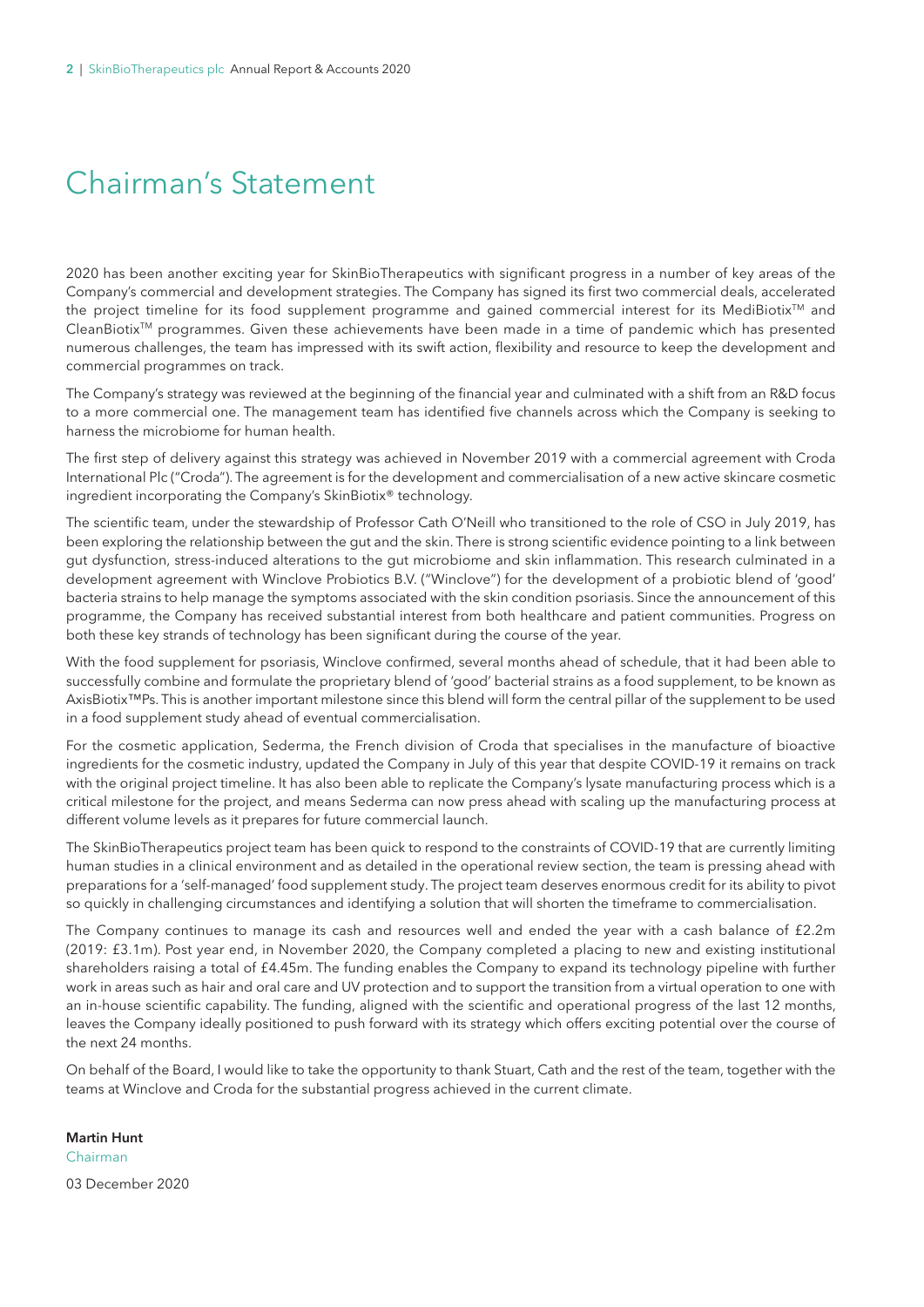# Chairman's Statement

2020 has been another exciting year for SkinBioTherapeutics with significant progress in a number of key areas of the Company's commercial and development strategies. The Company has signed its first two commercial deals, accelerated the project timeline for its food supplement programme and gained commercial interest for its MediBiotix™ and CleanBiotixTM programmes. Given these achievements have been made in a time of pandemic which has presented numerous challenges, the team has impressed with its swift action, flexibility and resource to keep the development and commercial programmes on track.

The Company's strategy was reviewed at the beginning of the financial year and culminated with a shift from an R&D focus to a more commercial one. The management team has identified five channels across which the Company is seeking to harness the microbiome for human health.

The first step of delivery against this strategy was achieved in November 2019 with a commercial agreement with Croda International Plc ("Croda"). The agreement is for the development and commercialisation of a new active skincare cosmetic ingredient incorporating the Company's SkinBiotix® technology.

The scientific team, under the stewardship of Professor Cath O'Neill who transitioned to the role of CSO in July 2019, has been exploring the relationship between the gut and the skin. There is strong scientific evidence pointing to a link between gut dysfunction, stress-induced alterations to the gut microbiome and skin inflammation. This research culminated in a development agreement with Winclove Probiotics B.V. ("Winclove") for the development of a probiotic blend of 'good' bacteria strains to help manage the symptoms associated with the skin condition psoriasis. Since the announcement of this programme, the Company has received substantial interest from both healthcare and patient communities. Progress on both these key strands of technology has been significant during the course of the year.

With the food supplement for psoriasis, Winclove confirmed, several months ahead of schedule, that it had been able to successfully combine and formulate the proprietary blend of 'good' bacterial strains as a food supplement, to be known as AxisBiotix™Ps. This is another important milestone since this blend will form the central pillar of the supplement to be used in a food supplement study ahead of eventual commercialisation.

For the cosmetic application, Sederma, the French division of Croda that specialises in the manufacture of bioactive ingredients for the cosmetic industry, updated the Company in July of this year that despite COVID-19 it remains on track with the original project timeline. It has also been able to replicate the Company's lysate manufacturing process which is a critical milestone for the project, and means Sederma can now press ahead with scaling up the manufacturing process at different volume levels as it prepares for future commercial launch.

The SkinBioTherapeutics project team has been quick to respond to the constraints of COVID-19 that are currently limiting human studies in a clinical environment and as detailed in the operational review section, the team is pressing ahead with preparations for a 'self-managed' food supplement study. The project team deserves enormous credit for its ability to pivot so quickly in challenging circumstances and identifying a solution that will shorten the timeframe to commercialisation.

The Company continues to manage its cash and resources well and ended the year with a cash balance of £2.2m (2019: £3.1m). Post year end, in November 2020, the Company completed a placing to new and existing institutional shareholders raising a total of £4.45m. The funding enables the Company to expand its technology pipeline with further work in areas such as hair and oral care and UV protection and to support the transition from a virtual operation to one with an in-house scientific capability. The funding, aligned with the scientific and operational progress of the last 12 months, leaves the Company ideally positioned to push forward with its strategy which offers exciting potential over the course of the next 24 months.

On behalf of the Board, I would like to take the opportunity to thank Stuart, Cath and the rest of the team, together with the teams at Winclove and Croda for the substantial progress achieved in the current climate.

**Martin Hunt**  Chairman

03 December 2020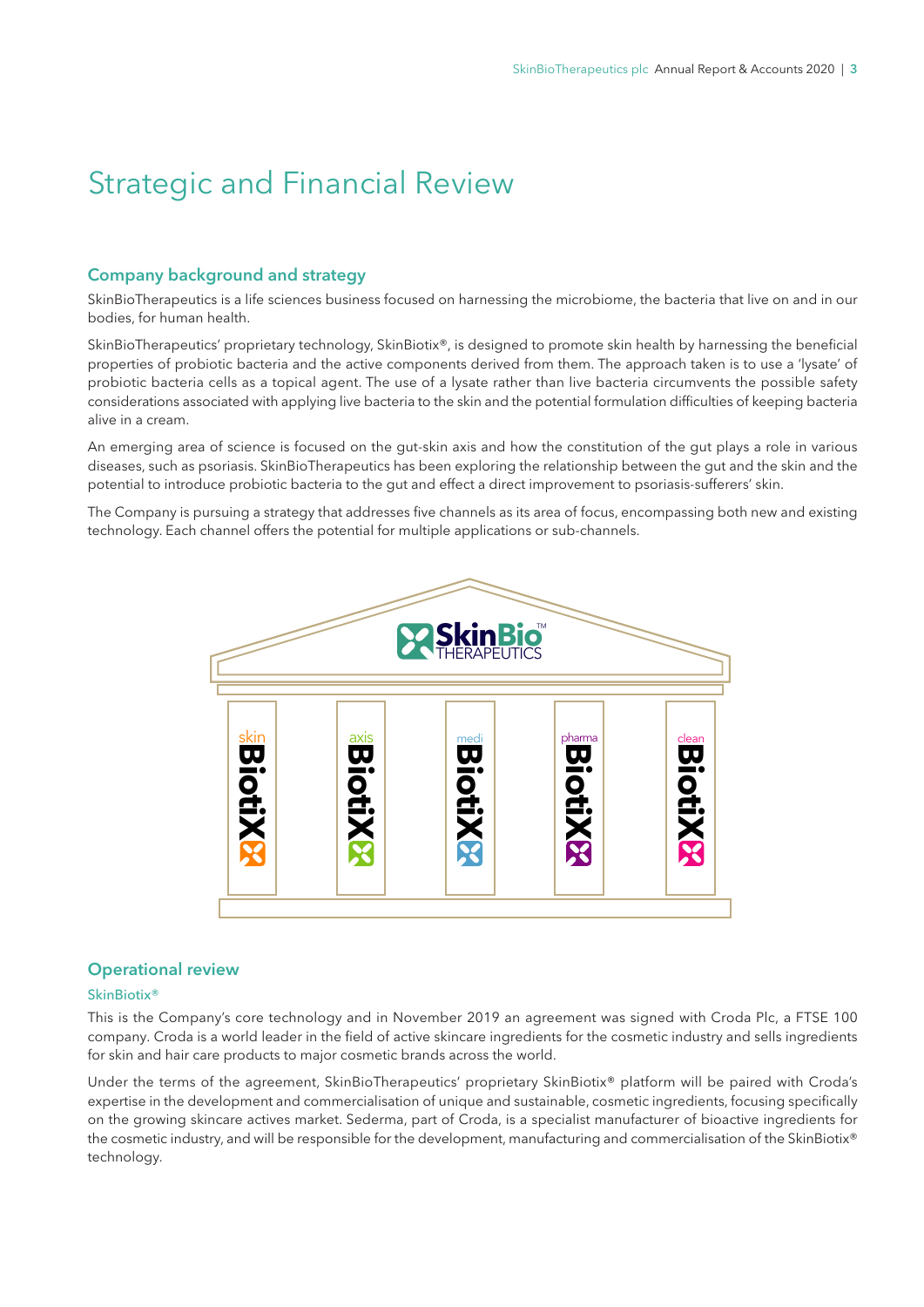# Strategic and Financial Review

## **Company background and strategy**

SkinBioTherapeutics is a life sciences business focused on harnessing the microbiome, the bacteria that live on and in our bodies, for human health.

SkinBioTherapeutics' proprietary technology, SkinBiotix®, is designed to promote skin health by harnessing the beneficial properties of probiotic bacteria and the active components derived from them. The approach taken is to use a 'lysate' of probiotic bacteria cells as a topical agent. The use of a lysate rather than live bacteria circumvents the possible safety considerations associated with applying live bacteria to the skin and the potential formulation difficulties of keeping bacteria alive in a cream.

An emerging area of science is focused on the gut-skin axis and how the constitution of the gut plays a role in various diseases, such as psoriasis. SkinBioTherapeutics has been exploring the relationship between the gut and the skin and the potential to introduce probiotic bacteria to the gut and effect a direct improvement to psoriasis-sufferers' skin.

The Company is pursuing a strategy that addresses five channels as its area of focus, encompassing both new and existing technology. Each channel offers the potential for multiple applications or sub-channels.



## **Operational review**

### SkinBiotix®

This is the Company's core technology and in November 2019 an agreement was signed with Croda Plc, a FTSE 100 company. Croda is a world leader in the field of active skincare ingredients for the cosmetic industry and sells ingredients for skin and hair care products to major cosmetic brands across the world.

Under the terms of the agreement, SkinBioTherapeutics' proprietary SkinBiotix® platform will be paired with Croda's expertise in the development and commercialisation of unique and sustainable, cosmetic ingredients, focusing specifically on the growing skincare actives market. Sederma, part of Croda, is a specialist manufacturer of bioactive ingredients for the cosmetic industry, and will be responsible for the development, manufacturing and commercialisation of the SkinBiotix® technology.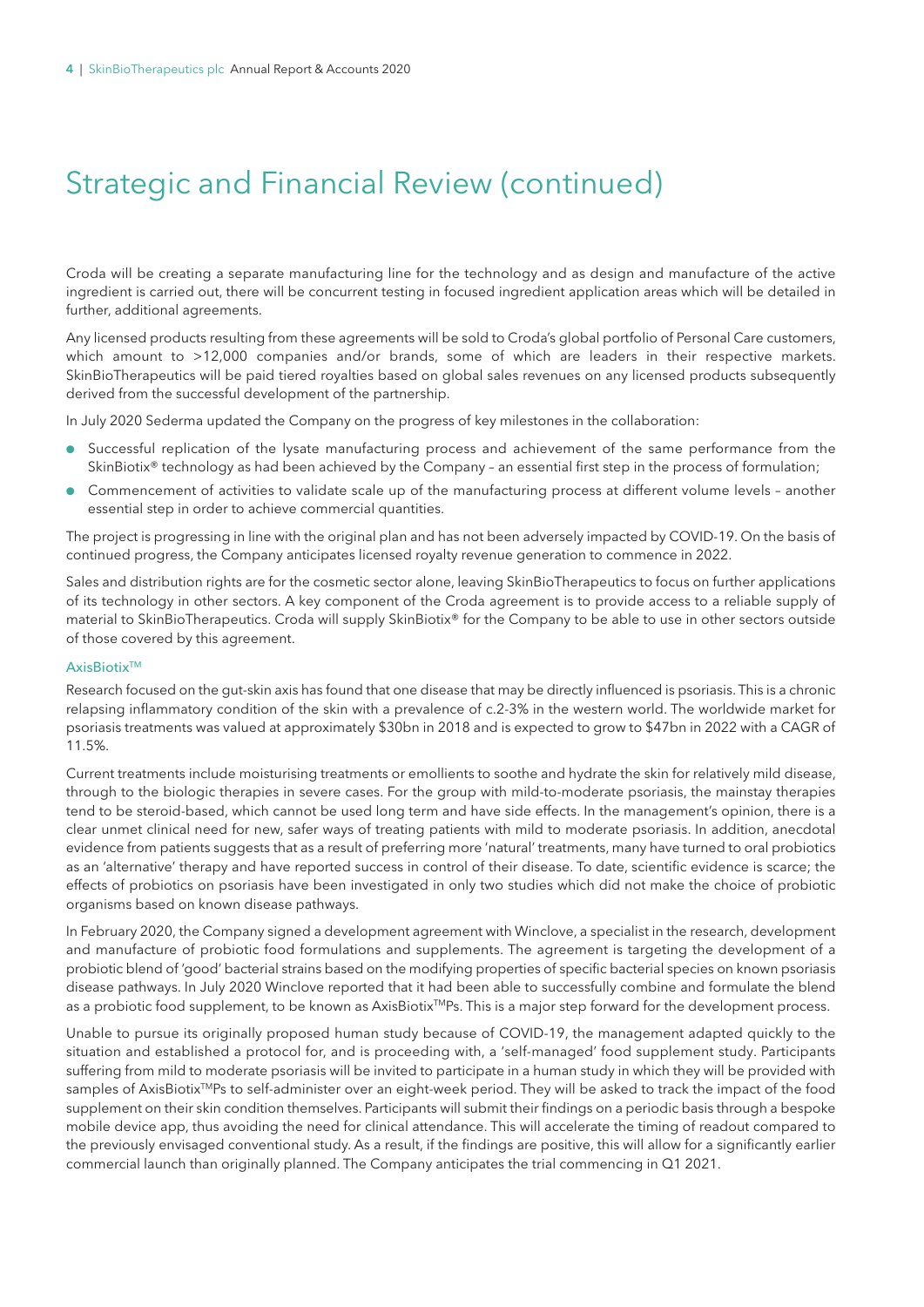# Strategic and Financial Review (continued)

Croda will be creating a separate manufacturing line for the technology and as design and manufacture of the active ingredient is carried out, there will be concurrent testing in focused ingredient application areas which will be detailed in further, additional agreements.

Any licensed products resulting from these agreements will be sold to Croda's global portfolio of Personal Care customers, which amount to >12,000 companies and/or brands, some of which are leaders in their respective markets. SkinBioTherapeutics will be paid tiered royalties based on global sales revenues on any licensed products subsequently derived from the successful development of the partnership.

In July 2020 Sederma updated the Company on the progress of key milestones in the collaboration:

- Successful replication of the lysate manufacturing process and achievement of the same performance from the SkinBiotix® technology as had been achieved by the Company – an essential first step in the process of formulation;
- Commencement of activities to validate scale up of the manufacturing process at different volume levels another essential step in order to achieve commercial quantities.

The project is progressing in line with the original plan and has not been adversely impacted by COVID-19. On the basis of continued progress, the Company anticipates licensed royalty revenue generation to commence in 2022.

Sales and distribution rights are for the cosmetic sector alone, leaving SkinBioTherapeutics to focus on further applications of its technology in other sectors. A key component of the Croda agreement is to provide access to a reliable supply of material to SkinBioTherapeutics. Croda will supply SkinBiotix® for the Company to be able to use in other sectors outside of those covered by this agreement.

### AxisBiotix<sup>™</sup>

Research focused on the gut-skin axis has found that one disease that may be directly influenced is psoriasis. This is a chronic relapsing inflammatory condition of the skin with a prevalence of c.2-3% in the western world. The worldwide market for psoriasis treatments was valued at approximately \$30bn in 2018 and is expected to grow to \$47bn in 2022 with a CAGR of 11.5%.

Current treatments include moisturising treatments or emollients to soothe and hydrate the skin for relatively mild disease, through to the biologic therapies in severe cases. For the group with mild-to-moderate psoriasis, the mainstay therapies tend to be steroid-based, which cannot be used long term and have side effects. In the management's opinion, there is a clear unmet clinical need for new, safer ways of treating patients with mild to moderate psoriasis. In addition, anecdotal evidence from patients suggests that as a result of preferring more 'natural' treatments, many have turned to oral probiotics as an 'alternative' therapy and have reported success in control of their disease. To date, scientific evidence is scarce; the effects of probiotics on psoriasis have been investigated in only two studies which did not make the choice of probiotic organisms based on known disease pathways.

In February 2020, the Company signed a development agreement with Winclove, a specialist in the research, development and manufacture of probiotic food formulations and supplements. The agreement is targeting the development of a probiotic blend of 'good' bacterial strains based on the modifying properties of specific bacterial species on known psoriasis disease pathways. In July 2020 Winclove reported that it had been able to successfully combine and formulate the blend as a probiotic food supplement, to be known as AxisBiotix™Ps. This is a major step forward for the development process.

Unable to pursue its originally proposed human study because of COVID-19, the management adapted quickly to the situation and established a protocol for, and is proceeding with, a 'self-managed' food supplement study. Participants suffering from mild to moderate psoriasis will be invited to participate in a human study in which they will be provided with samples of AxisBiotix<sup>TM</sup>Ps to self-administer over an eight-week period. They will be asked to track the impact of the food supplement on their skin condition themselves. Participants will submit their findings on a periodic basis through a bespoke mobile device app, thus avoiding the need for clinical attendance. This will accelerate the timing of readout compared to the previously envisaged conventional study. As a result, if the findings are positive, this will allow for a significantly earlier commercial launch than originally planned. The Company anticipates the trial commencing in Q1 2021.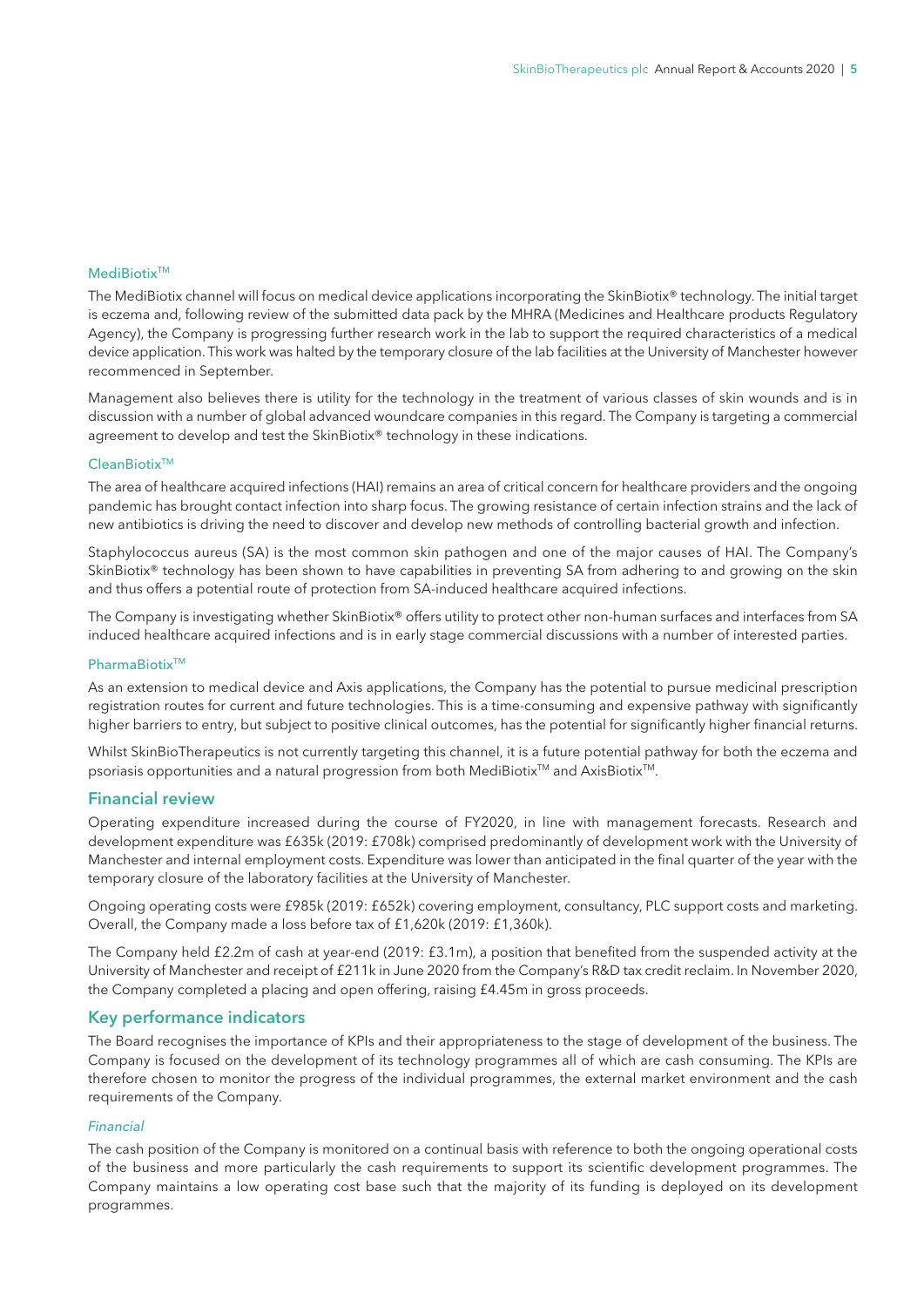### MediBiotix™

The MediBiotix channel will focus on medical device applications incorporating the SkinBiotix® technology. The initial target is eczema and, following review of the submitted data pack by the MHRA (Medicines and Healthcare products Regulatory Agency), the Company is progressing further research work in the lab to support the required characteristics of a medical device application. This work was halted by the temporary closure of the lab facilities at the University of Manchester however recommenced in September.

Management also believes there is utility for the technology in the treatment of various classes of skin wounds and is in discussion with a number of global advanced woundcare companies in this regard. The Company is targeting a commercial agreement to develop and test the SkinBiotix® technology in these indications.

#### CleanBiotix™

The area of healthcare acquired infections (HAI) remains an area of critical concern for healthcare providers and the ongoing pandemic has brought contact infection into sharp focus. The growing resistance of certain infection strains and the lack of new antibiotics is driving the need to discover and develop new methods of controlling bacterial growth and infection.

Staphylococcus aureus (SA) is the most common skin pathogen and one of the major causes of HAI. The Company's SkinBiotix® technology has been shown to have capabilities in preventing SA from adhering to and growing on the skin and thus offers a potential route of protection from SA-induced healthcare acquired infections.

The Company is investigating whether SkinBiotix® offers utility to protect other non-human surfaces and interfaces from SA induced healthcare acquired infections and is in early stage commercial discussions with a number of interested parties.

#### PharmaBiotix™

As an extension to medical device and Axis applications, the Company has the potential to pursue medicinal prescription registration routes for current and future technologies. This is a time-consuming and expensive pathway with significantly higher barriers to entry, but subject to positive clinical outcomes, has the potential for significantly higher financial returns.

Whilst SkinBioTherapeutics is not currently targeting this channel, it is a future potential pathway for both the eczema and psoriasis opportunities and a natural progression from both MediBiotix™ and AxisBiotix™.

### **Financial review**

Operating expenditure increased during the course of FY2020, in line with management forecasts. Research and development expenditure was £635k (2019: £708k) comprised predominantly of development work with the University of Manchester and internal employment costs. Expenditure was lower than anticipated in the final quarter of the year with the temporary closure of the laboratory facilities at the University of Manchester.

Ongoing operating costs were £985k (2019: £652k) covering employment, consultancy, PLC support costs and marketing. Overall, the Company made a loss before tax of £1,620k (2019: £1,360k).

The Company held £2.2m of cash at year-end (2019: £3.1m), a position that benefited from the suspended activity at the University of Manchester and receipt of £211k in June 2020 from the Company's R&D tax credit reclaim. In November 2020, the Company completed a placing and open offering, raising £4.45m in gross proceeds.

### **Key performance indicators**

The Board recognises the importance of KPIs and their appropriateness to the stage of development of the business. The Company is focused on the development of its technology programmes all of which are cash consuming. The KPIs are therefore chosen to monitor the progress of the individual programmes, the external market environment and the cash requirements of the Company.

### *Financial*

The cash position of the Company is monitored on a continual basis with reference to both the ongoing operational costs of the business and more particularly the cash requirements to support its scientific development programmes. The Company maintains a low operating cost base such that the majority of its funding is deployed on its development programmes.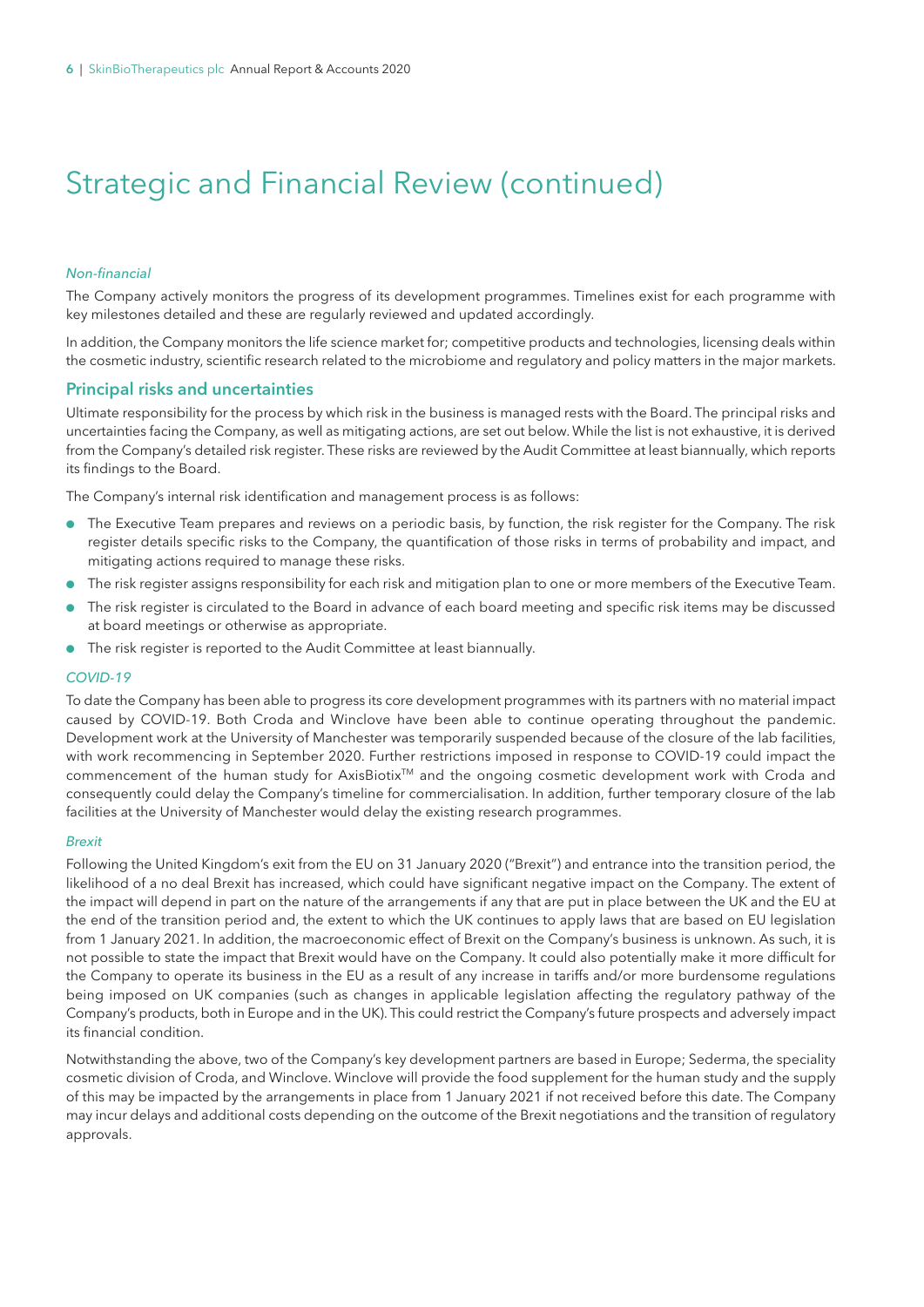# Strategic and Financial Review (continued)

### *Non-financial*

The Company actively monitors the progress of its development programmes. Timelines exist for each programme with key milestones detailed and these are regularly reviewed and updated accordingly.

In addition, the Company monitors the life science market for; competitive products and technologies, licensing deals within the cosmetic industry, scientific research related to the microbiome and regulatory and policy matters in the major markets.

### **Principal risks and uncertainties**

Ultimate responsibility for the process by which risk in the business is managed rests with the Board. The principal risks and uncertainties facing the Company, as well as mitigating actions, are set out below. While the list is not exhaustive, it is derived from the Company's detailed risk register. These risks are reviewed by the Audit Committee at least biannually, which reports its findings to the Board.

The Company's internal risk identification and management process is as follows:

- The Executive Team prepares and reviews on a periodic basis, by function, the risk register for the Company. The risk register details specific risks to the Company, the quantification of those risks in terms of probability and impact, and mitigating actions required to manage these risks.
- **•** The risk register assigns responsibility for each risk and mitigation plan to one or more members of the Executive Team.
- The risk register is circulated to the Board in advance of each board meeting and specific risk items may be discussed at board meetings or otherwise as appropriate.
- **•** The risk register is reported to the Audit Committee at least biannually.

### *COVID-19*

To date the Company has been able to progress its core development programmes with its partners with no material impact caused by COVID-19. Both Croda and Winclove have been able to continue operating throughout the pandemic. Development work at the University of Manchester was temporarily suspended because of the closure of the lab facilities, with work recommencing in September 2020. Further restrictions imposed in response to COVID-19 could impact the commencement of the human study for AxisBiotix™ and the ongoing cosmetic development work with Croda and consequently could delay the Company's timeline for commercialisation. In addition, further temporary closure of the lab facilities at the University of Manchester would delay the existing research programmes.

### *Brexit*

Following the United Kingdom's exit from the EU on 31 January 2020 ("Brexit") and entrance into the transition period, the likelihood of a no deal Brexit has increased, which could have significant negative impact on the Company. The extent of the impact will depend in part on the nature of the arrangements if any that are put in place between the UK and the EU at the end of the transition period and, the extent to which the UK continues to apply laws that are based on EU legislation from 1 January 2021. In addition, the macroeconomic effect of Brexit on the Company's business is unknown. As such, it is not possible to state the impact that Brexit would have on the Company. It could also potentially make it more difficult for the Company to operate its business in the EU as a result of any increase in tariffs and/or more burdensome regulations being imposed on UK companies (such as changes in applicable legislation affecting the regulatory pathway of the Company's products, both in Europe and in the UK). This could restrict the Company's future prospects and adversely impact its financial condition.

Notwithstanding the above, two of the Company's key development partners are based in Europe; Sederma, the speciality cosmetic division of Croda, and Winclove. Winclove will provide the food supplement for the human study and the supply of this may be impacted by the arrangements in place from 1 January 2021 if not received before this date. The Company may incur delays and additional costs depending on the outcome of the Brexit negotiations and the transition of regulatory approvals.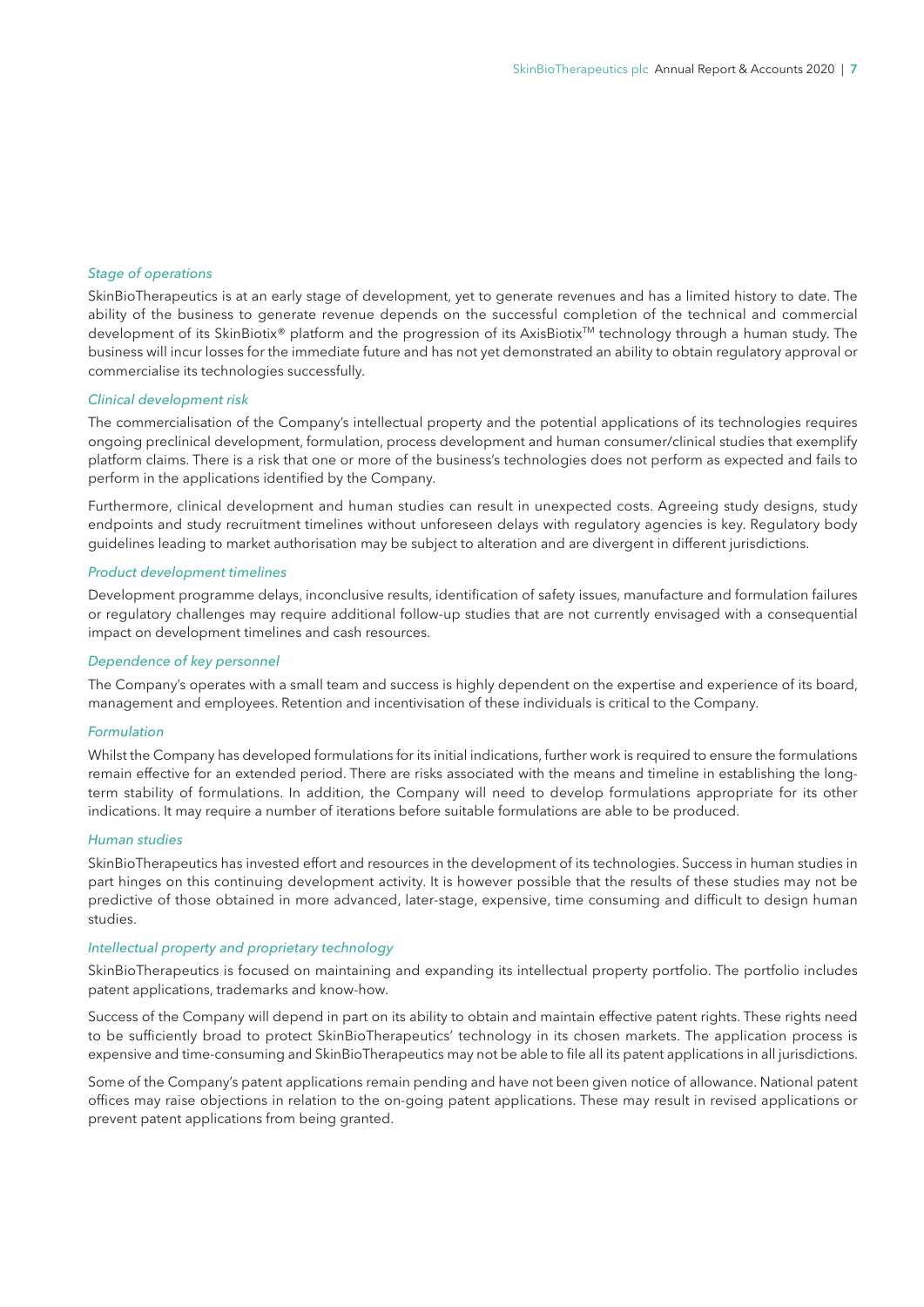### *Stage of operations*

SkinBioTherapeutics is at an early stage of development, yet to generate revenues and has a limited history to date. The ability of the business to generate revenue depends on the successful completion of the technical and commercial development of its SkinBiotix® platform and the progression of its AxisBiotix™ technology through a human study. The business will incur losses for the immediate future and has not yet demonstrated an ability to obtain regulatory approval or commercialise its technologies successfully.

#### *Clinical development risk*

The commercialisation of the Company's intellectual property and the potential applications of its technologies requires ongoing preclinical development, formulation, process development and human consumer/clinical studies that exemplify platform claims. There is a risk that one or more of the business's technologies does not perform as expected and fails to perform in the applications identified by the Company.

Furthermore, clinical development and human studies can result in unexpected costs. Agreeing study designs, study endpoints and study recruitment timelines without unforeseen delays with regulatory agencies is key. Regulatory body guidelines leading to market authorisation may be subject to alteration and are divergent in different jurisdictions.

### *Product development timelines*

Development programme delays, inconclusive results, identification of safety issues, manufacture and formulation failures or regulatory challenges may require additional follow-up studies that are not currently envisaged with a consequential impact on development timelines and cash resources.

### *Dependence of key personnel*

The Company's operates with a small team and success is highly dependent on the expertise and experience of its board, management and employees. Retention and incentivisation of these individuals is critical to the Company.

### *Formulation*

Whilst the Company has developed formulations for its initial indications, further work is required to ensure the formulations remain effective for an extended period. There are risks associated with the means and timeline in establishing the longterm stability of formulations. In addition, the Company will need to develop formulations appropriate for its other indications. It may require a number of iterations before suitable formulations are able to be produced.

#### *Human studies*

SkinBioTherapeutics has invested effort and resources in the development of its technologies. Success in human studies in part hinges on this continuing development activity. It is however possible that the results of these studies may not be predictive of those obtained in more advanced, later-stage, expensive, time consuming and difficult to design human studies.

### *Intellectual property and proprietary technology*

SkinBioTherapeutics is focused on maintaining and expanding its intellectual property portfolio. The portfolio includes patent applications, trademarks and know-how.

Success of the Company will depend in part on its ability to obtain and maintain effective patent rights. These rights need to be sufficiently broad to protect SkinBioTherapeutics' technology in its chosen markets. The application process is expensive and time-consuming and SkinBioTherapeutics may not be able to file all its patent applications in all jurisdictions.

Some of the Company's patent applications remain pending and have not been given notice of allowance. National patent offices may raise objections in relation to the on-going patent applications. These may result in revised applications or prevent patent applications from being granted.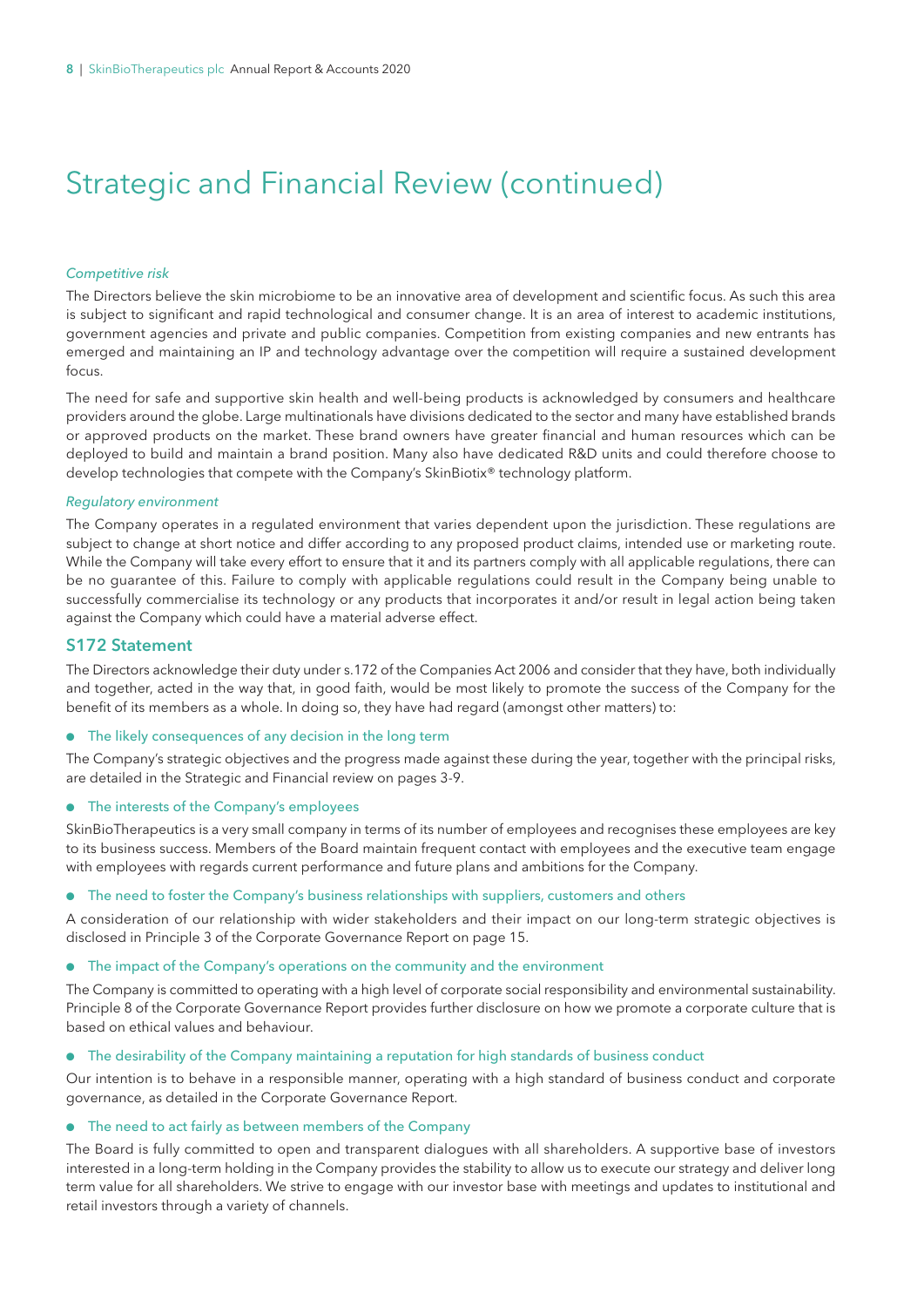# Strategic and Financial Review (continued)

### *Competitive risk*

The Directors believe the skin microbiome to be an innovative area of development and scientific focus. As such this area is subject to significant and rapid technological and consumer change. It is an area of interest to academic institutions, government agencies and private and public companies. Competition from existing companies and new entrants has emerged and maintaining an IP and technology advantage over the competition will require a sustained development focus.

The need for safe and supportive skin health and well-being products is acknowledged by consumers and healthcare providers around the globe. Large multinationals have divisions dedicated to the sector and many have established brands or approved products on the market. These brand owners have greater financial and human resources which can be deployed to build and maintain a brand position. Many also have dedicated R&D units and could therefore choose to develop technologies that compete with the Company's SkinBiotix® technology platform.

### *Regulatory environment*

The Company operates in a regulated environment that varies dependent upon the jurisdiction. These regulations are subject to change at short notice and differ according to any proposed product claims, intended use or marketing route. While the Company will take every effort to ensure that it and its partners comply with all applicable regulations, there can be no guarantee of this. Failure to comply with applicable regulations could result in the Company being unable to successfully commercialise its technology or any products that incorporates it and/or result in legal action being taken against the Company which could have a material adverse effect.

### **S172 Statement**

The Directors acknowledge their duty under s.172 of the Companies Act 2006 and consider that they have, both individually and together, acted in the way that, in good faith, would be most likely to promote the success of the Company for the benefit of its members as a whole. In doing so, they have had regard (amongst other matters) to:

### • The likely consequences of any decision in the long term

The Company's strategic objectives and the progress made against these during the year, together with the principal risks, are detailed in the Strategic and Financial review on pages 3-9.

### • The interests of the Company's employees

SkinBioTherapeutics is a very small company in terms of its number of employees and recognises these employees are key to its business success. Members of the Board maintain frequent contact with employees and the executive team engage with employees with regards current performance and future plans and ambitions for the Company.

### $\bullet$  The need to foster the Company's business relationships with suppliers, customers and others

A consideration of our relationship with wider stakeholders and their impact on our long-term strategic objectives is disclosed in Principle 3 of the Corporate Governance Report on page 15.

### • The impact of the Company's operations on the community and the environment

The Company is committed to operating with a high level of corporate social responsibility and environmental sustainability. Principle 8 of the Corporate Governance Report provides further disclosure on how we promote a corporate culture that is based on ethical values and behaviour.

### • The desirability of the Company maintaining a reputation for high standards of business conduct

Our intention is to behave in a responsible manner, operating with a high standard of business conduct and corporate governance, as detailed in the Corporate Governance Report.

### • The need to act fairly as between members of the Company

The Board is fully committed to open and transparent dialogues with all shareholders. A supportive base of investors interested in a long-term holding in the Company provides the stability to allow us to execute our strategy and deliver long term value for all shareholders. We strive to engage with our investor base with meetings and updates to institutional and retail investors through a variety of channels.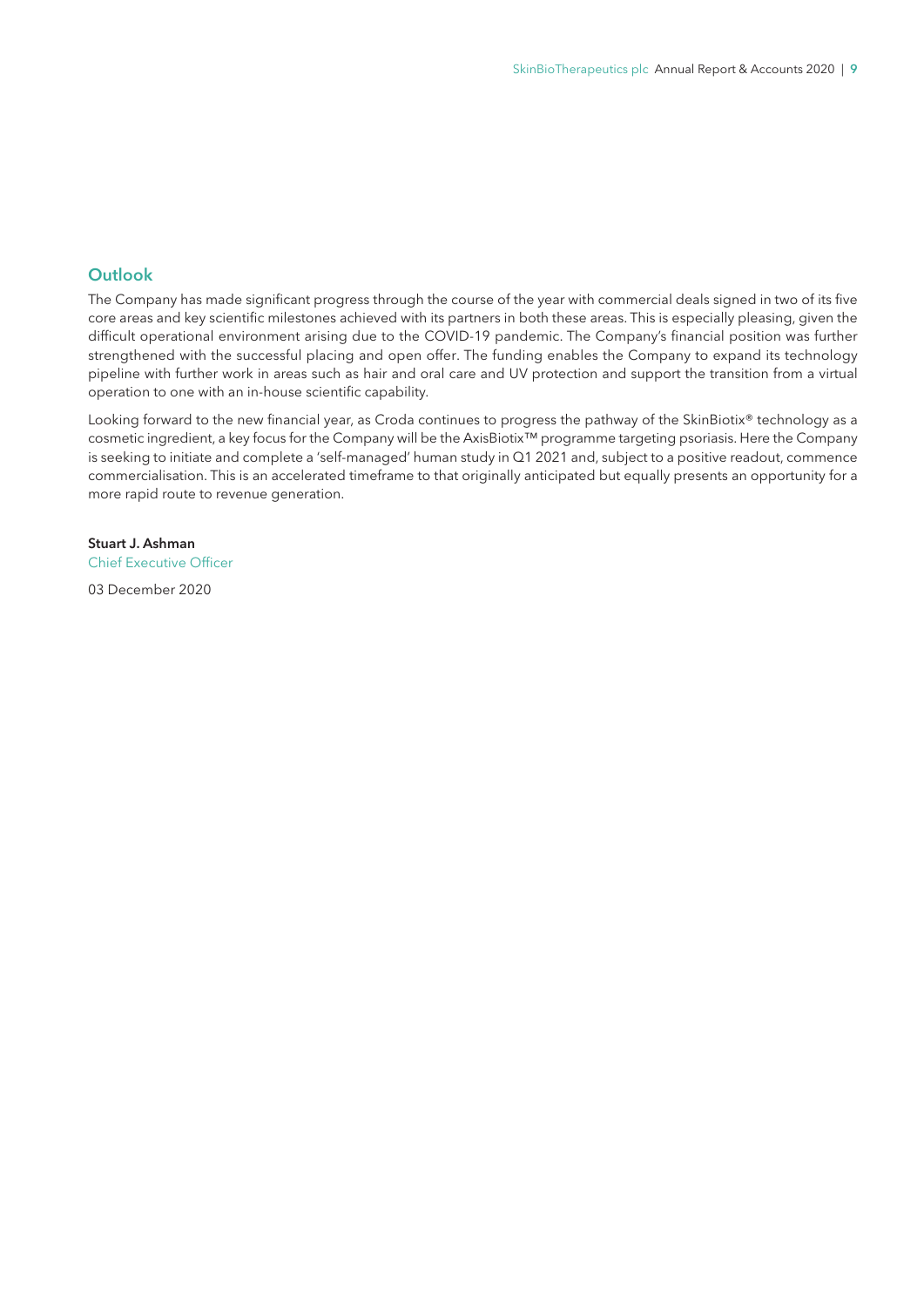# **Outlook**

The Company has made significant progress through the course of the year with commercial deals signed in two of its five core areas and key scientific milestones achieved with its partners in both these areas. This is especially pleasing, given the difficult operational environment arising due to the COVID-19 pandemic. The Company's financial position was further strengthened with the successful placing and open offer. The funding enables the Company to expand its technology pipeline with further work in areas such as hair and oral care and UV protection and support the transition from a virtual operation to one with an in-house scientific capability.

Looking forward to the new financial year, as Croda continues to progress the pathway of the SkinBiotix® technology as a cosmetic ingredient, a key focus for the Company will be the AxisBiotix™ programme targeting psoriasis. Here the Company is seeking to initiate and complete a 'self-managed' human study in Q1 2021 and, subject to a positive readout, commence commercialisation. This is an accelerated timeframe to that originally anticipated but equally presents an opportunity for a more rapid route to revenue generation.

### **Stuart J. Ashman**  Chief Executive Officer

03 December 2020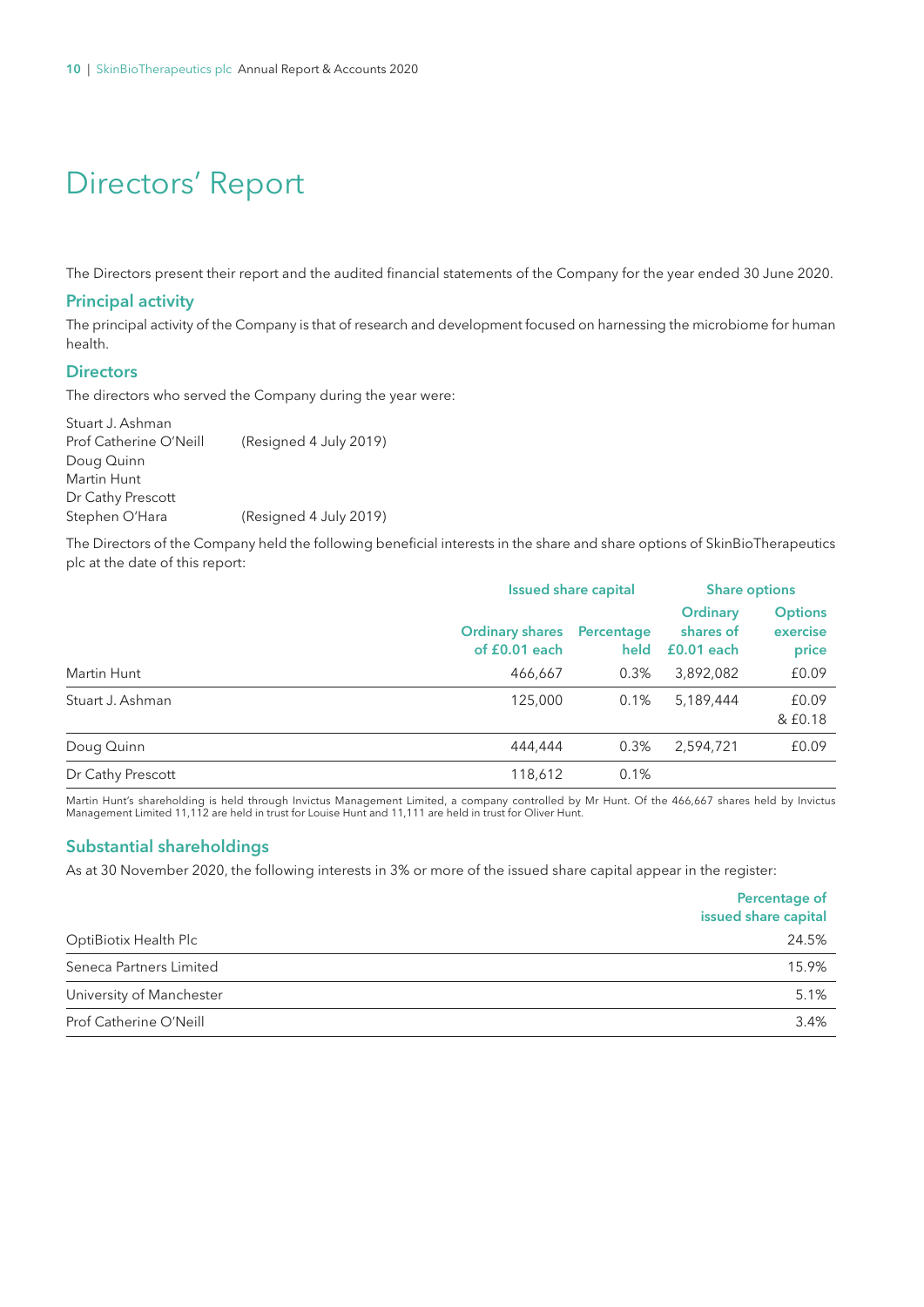# Directors' Report

The Directors present their report and the audited financial statements of the Company for the year ended 30 June 2020.

## **Principal activity**

The principal activity of the Company is that of research and development focused on harnessing the microbiome for human health.

### **Directors**

The directors who served the Company during the year were:

Stuart J. Ashman Prof Catherine O'Neill (Resigned 4 July 2019) Doug Quinn Martin Hunt Dr Cathy Prescott Stephen O'Hara (Resigned 4 July 2019)

The Directors of the Company held the following beneficial interests in the share and share options of SkinBioTherapeutics plc at the date of this report:

|                   |                                         | <b>Issued share capital</b> |                                       | <b>Share options</b>                |  |
|-------------------|-----------------------------------------|-----------------------------|---------------------------------------|-------------------------------------|--|
|                   | <b>Ordinary shares</b><br>of £0.01 each | Percentage<br>held          | Ordinary<br>shares of<br>$£0.01$ each | <b>Options</b><br>exercise<br>price |  |
| Martin Hunt       | 466,667                                 | 0.3%                        | 3,892,082                             | £0.09                               |  |
| Stuart J. Ashman  | 125,000                                 | 0.1%                        | 5,189,444                             | £0.09<br>& £0.18                    |  |
| Doug Quinn        | 444,444                                 | 0.3%                        | 2,594,721                             | £0.09                               |  |
| Dr Cathy Prescott | 118,612                                 | 0.1%                        |                                       |                                     |  |

Martin Hunt's shareholding is held through Invictus Management Limited, a company controlled by Mr Hunt. Of the 466,667 shares held by Invictus Management Limited 11,112 are held in trust for Louise Hunt and 11,111 are held in trust for Oliver Hunt.

# **Substantial shareholdings**

As at 30 November 2020, the following interests in 3% or more of the issued share capital appear in the register:

|                          | Percentage of<br>issued share capital |
|--------------------------|---------------------------------------|
| OptiBiotix Health Plc    | 24.5%                                 |
| Seneca Partners Limited  | 15.9%                                 |
| University of Manchester | 5.1%                                  |
| Prof Catherine O'Neill   | 3.4%                                  |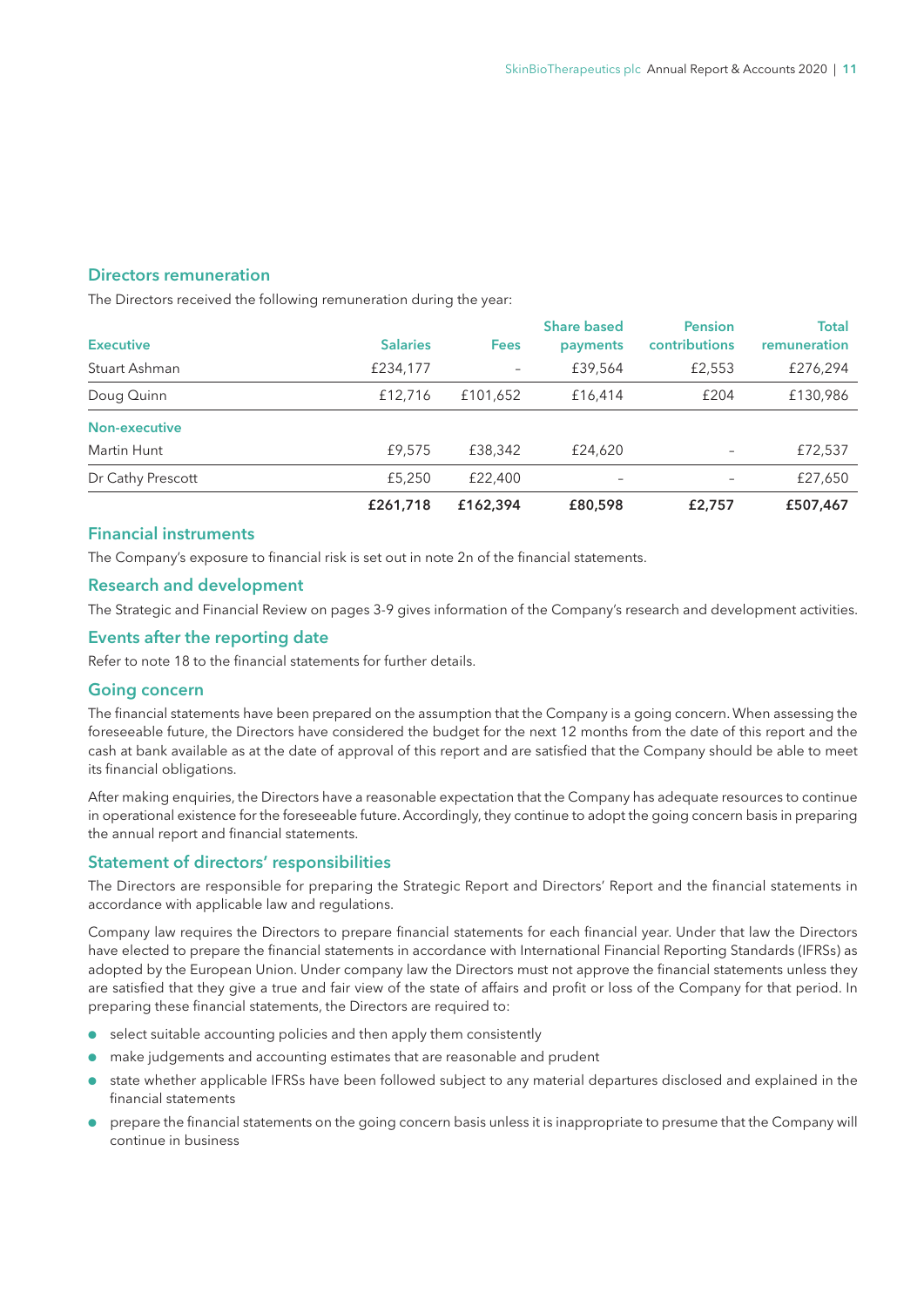## **Directors remuneration**

The Directors received the following remuneration during the year:

|                      | £261,718        | £162,394    | £80,598                        | £2,757                          | £507,467              |
|----------------------|-----------------|-------------|--------------------------------|---------------------------------|-----------------------|
| Dr Cathy Prescott    | £5,250          | £22,400     |                                | -                               | £27,650               |
| Martin Hunt          | £9,575          | £38,342     | £24,620                        | -                               | £72,537               |
| <b>Non-executive</b> |                 |             |                                |                                 |                       |
| Doug Quinn           | £12,716         | £101,652    | £16,414                        | £204                            | £130,986              |
| Stuart Ashman        | £234,177        | -           | £39,564                        | £2,553                          | £276,294              |
| <b>Executive</b>     | <b>Salaries</b> | <b>Fees</b> | <b>Share based</b><br>payments | <b>Pension</b><br>contributions | Total<br>remuneration |

# **Financial instruments**

The Company's exposure to financial risk is set out in note 2n of the financial statements.

### **Research and development**

The Strategic and Financial Review on pages 3-9 gives information of the Company's research and development activities.

## **Events after the reporting date**

Refer to note 18 to the financial statements for further details.

### **Going concern**

The financial statements have been prepared on the assumption that the Company is a going concern. When assessing the foreseeable future, the Directors have considered the budget for the next 12 months from the date of this report and the cash at bank available as at the date of approval of this report and are satisfied that the Company should be able to meet its financial obligations.

After making enquiries, the Directors have a reasonable expectation that the Company has adequate resources to continue in operational existence for the foreseeable future. Accordingly, they continue to adopt the going concern basis in preparing the annual report and financial statements.

## **Statement of directors' responsibilities**

The Directors are responsible for preparing the Strategic Report and Directors' Report and the financial statements in accordance with applicable law and regulations.

Company law requires the Directors to prepare financial statements for each financial year. Under that law the Directors have elected to prepare the financial statements in accordance with International Financial Reporting Standards (IFRSs) as adopted by the European Union. Under company law the Directors must not approve the financial statements unless they are satisfied that they give a true and fair view of the state of affairs and profit or loss of the Company for that period. In preparing these financial statements, the Directors are required to:

- $\bullet$  select suitable accounting policies and then apply them consistently
- **•** make judgements and accounting estimates that are reasonable and prudent
- l state whether applicable IFRSs have been followed subject to any material departures disclosed and explained in the financial statements
- **•** prepare the financial statements on the going concern basis unless it is inappropriate to presume that the Company will continue in business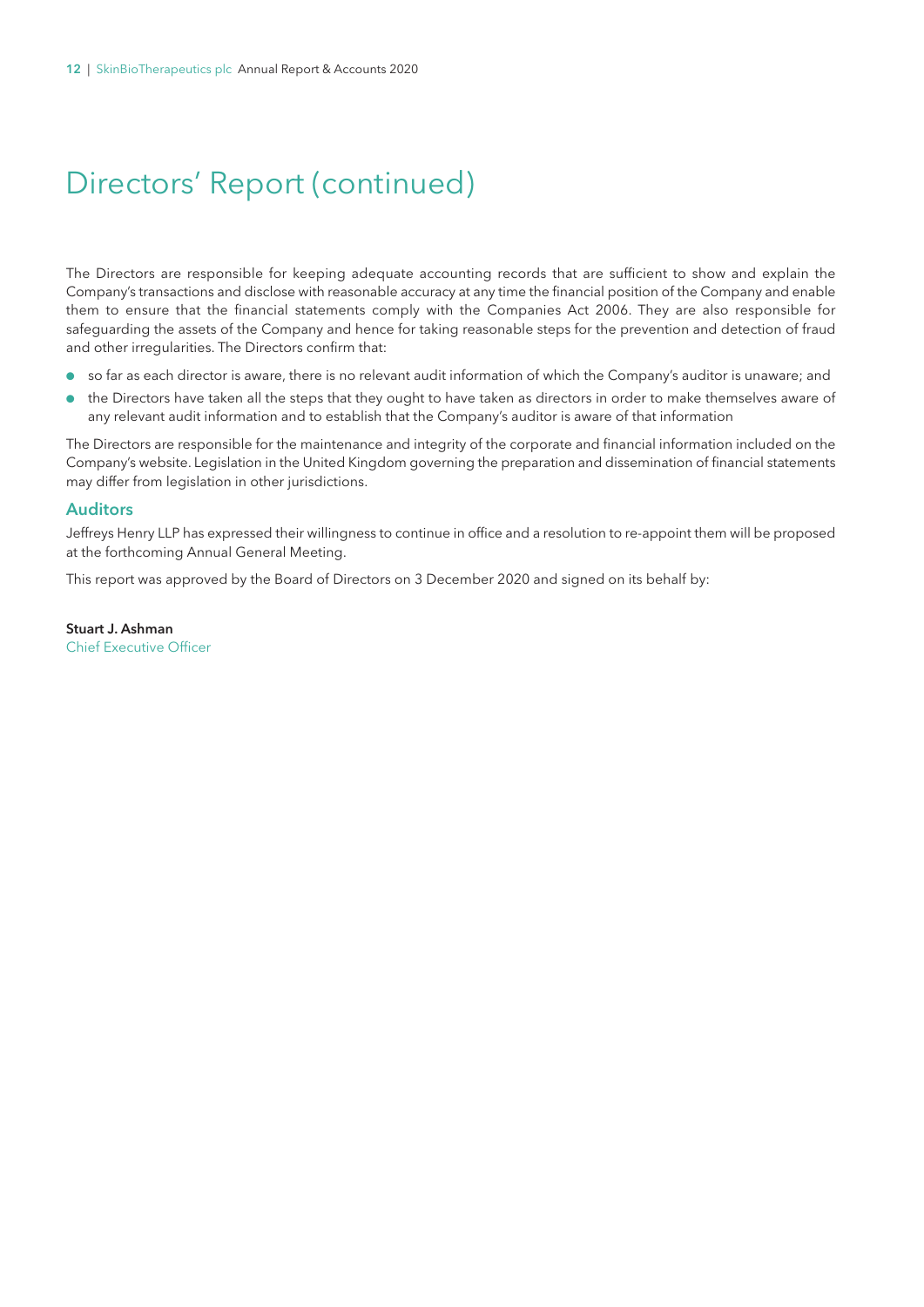# Directors' Report (continued)

The Directors are responsible for keeping adequate accounting records that are sufficient to show and explain the Company's transactions and disclose with reasonable accuracy at any time the financial position of the Company and enable them to ensure that the financial statements comply with the Companies Act 2006. They are also responsible for safeguarding the assets of the Company and hence for taking reasonable steps for the prevention and detection of fraud and other irregularities. The Directors confirm that:

- so far as each director is aware, there is no relevant audit information of which the Company's auditor is unaware; and
- the Directors have taken all the steps that they ought to have taken as directors in order to make themselves aware of any relevant audit information and to establish that the Company's auditor is aware of that information

The Directors are responsible for the maintenance and integrity of the corporate and financial information included on the Company's website. Legislation in the United Kingdom governing the preparation and dissemination of financial statements may differ from legislation in other jurisdictions.

### **Auditors**

Jeffreys Henry LLP has expressed their willingness to continue in office and a resolution to re-appoint them will be proposed at the forthcoming Annual General Meeting.

This report was approved by the Board of Directors on 3 December 2020 and signed on its behalf by:

**Stuart J. Ashman**  Chief Executive Officer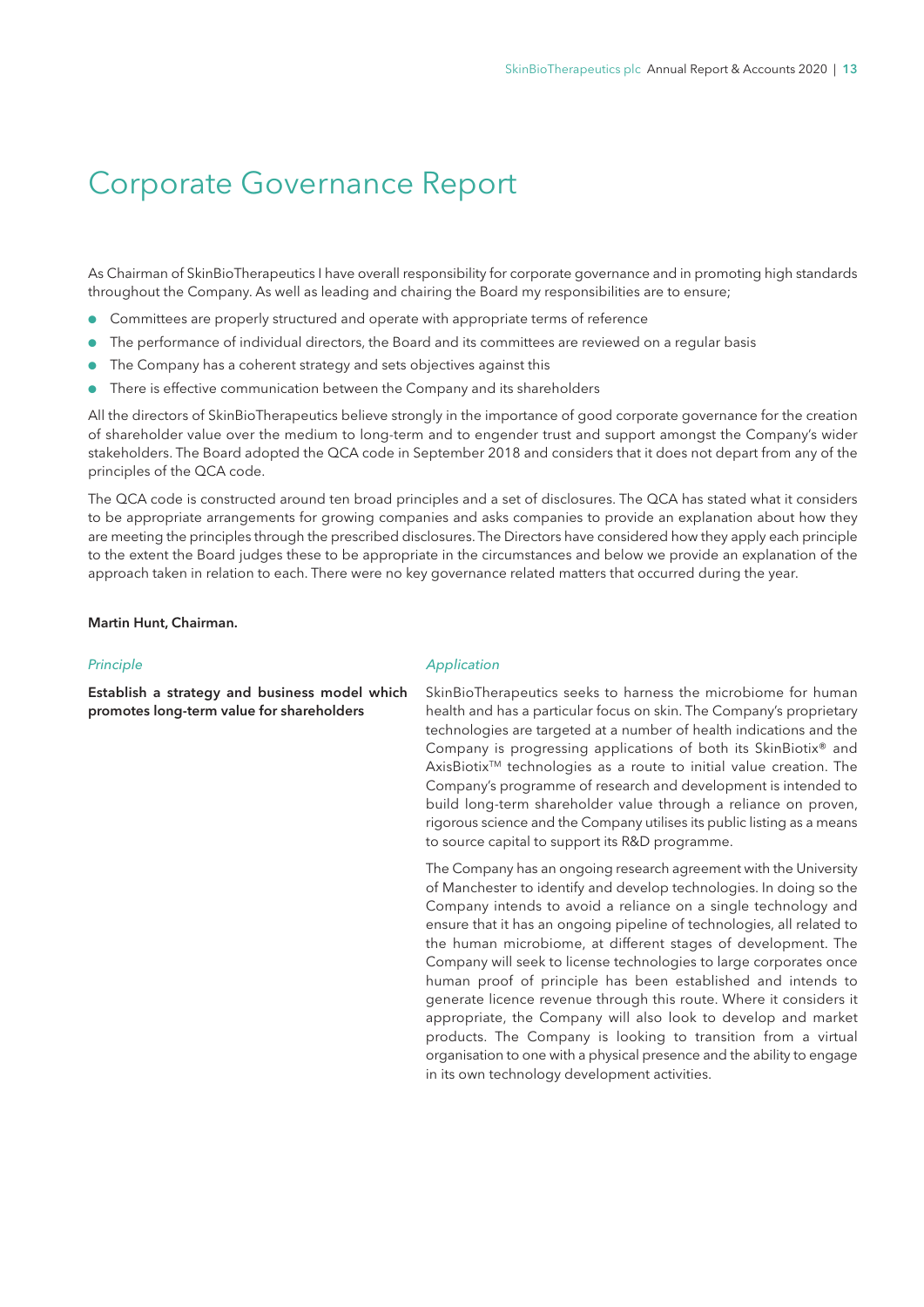# Corporate Governance Report

As Chairman of SkinBioTherapeutics I have overall responsibility for corporate governance and in promoting high standards throughout the Company. As well as leading and chairing the Board my responsibilities are to ensure;

- **•** Committees are properly structured and operate with appropriate terms of reference
- l The performance of individual directors, the Board and its committees are reviewed on a regular basis
- The Company has a coherent strategy and sets objectives against this
- There is effective communication between the Company and its shareholders

All the directors of SkinBioTherapeutics believe strongly in the importance of good corporate governance for the creation of shareholder value over the medium to long-term and to engender trust and support amongst the Company's wider stakeholders. The Board adopted the QCA code in September 2018 and considers that it does not depart from any of the principles of the QCA code.

The QCA code is constructed around ten broad principles and a set of disclosures. The QCA has stated what it considers to be appropriate arrangements for growing companies and asks companies to provide an explanation about how they are meeting the principles through the prescribed disclosures. The Directors have considered how they apply each principle to the extent the Board judges these to be appropriate in the circumstances and below we provide an explanation of the approach taken in relation to each. There were no key governance related matters that occurred during the year.

### **Martin Hunt, Chairman.**

**Establish a strategy and business model which promotes long-term value for shareholders** 

#### **Principle Application** *Principle*

SkinBioTherapeutics seeks to harness the microbiome for human health and has a particular focus on skin. The Company's proprietary technologies are targeted at a number of health indications and the Company is progressing applications of both its SkinBiotix® and AxisBiotix<sup>™</sup> technologies as a route to initial value creation. The Company's programme of research and development is intended to build long-term shareholder value through a reliance on proven, rigorous science and the Company utilises its public listing as a means to source capital to support its R&D programme.

The Company has an ongoing research agreement with the University of Manchester to identify and develop technologies. In doing so the Company intends to avoid a reliance on a single technology and ensure that it has an ongoing pipeline of technologies, all related to the human microbiome, at different stages of development. The Company will seek to license technologies to large corporates once human proof of principle has been established and intends to generate licence revenue through this route. Where it considers it appropriate, the Company will also look to develop and market products. The Company is looking to transition from a virtual organisation to one with a physical presence and the ability to engage in its own technology development activities.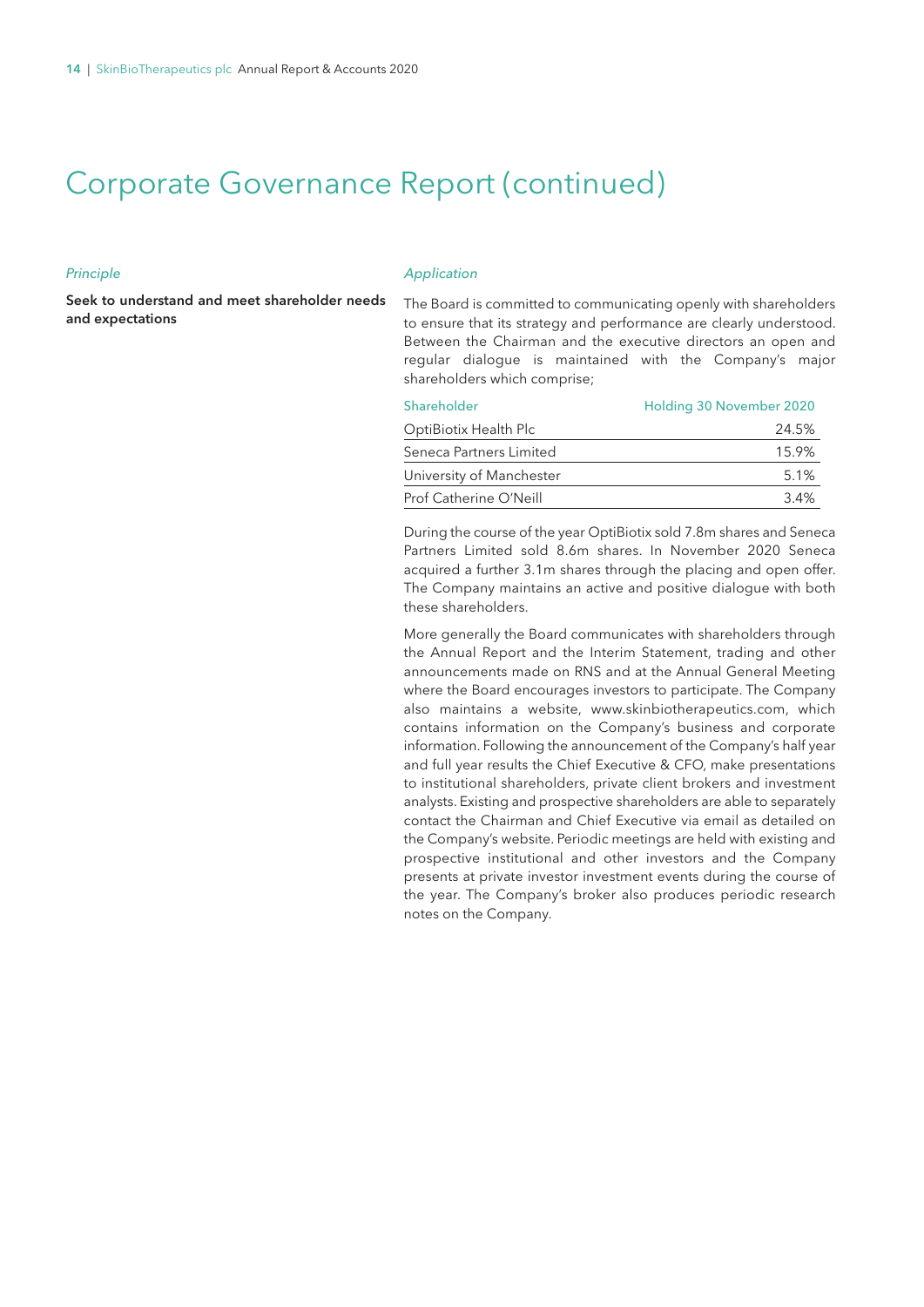# Corporate Governance Report (continued)

**Seek to understand and meet shareholder needs and expectations**

### **Principle Application** *Principle*

The Board is committed to communicating openly with shareholders to ensure that its strategy and performance are clearly understood. Between the Chairman and the executive directors an open and regular dialogue is maintained with the Company's major shareholders which comprise;

| Shareholder              | Holding 30 November 2020 |
|--------------------------|--------------------------|
| OptiBiotix Health Plc    | 24.5%                    |
| Seneca Partners Limited  | 15.9%                    |
| University of Manchester | 5.1%                     |
| Prof Catherine O'Neill   | 34%                      |

During the course of the year OptiBiotix sold 7.8m shares and Seneca Partners Limited sold 8.6m shares. In November 2020 Seneca acquired a further 3.1m shares through the placing and open offer. The Company maintains an active and positive dialogue with both these shareholders.

More generally the Board communicates with shareholders through the Annual Report and the Interim Statement, trading and other announcements made on RNS and at the Annual General Meeting where the Board encourages investors to participate. The Company also maintains a website, www.skinbiotherapeutics.com, which contains information on the Company's business and corporate information. Following the announcement of the Company's half year and full year results the Chief Executive & CFO, make presentations to institutional shareholders, private client brokers and investment analysts. Existing and prospective shareholders are able to separately contact the Chairman and Chief Executive via email as detailed on the Company's website. Periodic meetings are held with existing and prospective institutional and other investors and the Company presents at private investor investment events during the course of the year. The Company's broker also produces periodic research notes on the Company.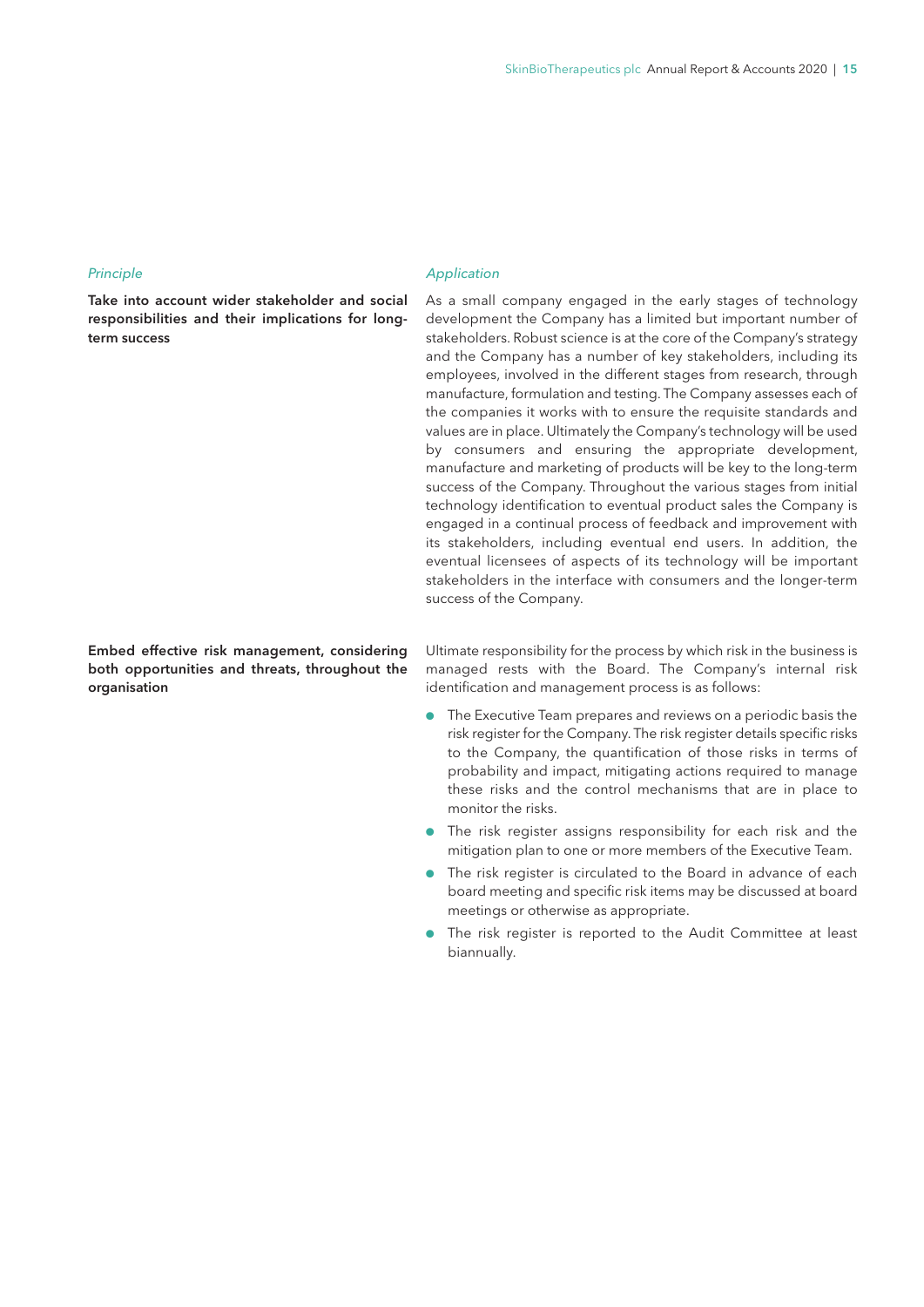**Take into account wider stakeholder and social responsibilities and their implications for longterm success**

### **Principle Application** *Application*

As a small company engaged in the early stages of technology development the Company has a limited but important number of stakeholders. Robust science is at the core of the Company's strategy and the Company has a number of key stakeholders, including its employees, involved in the different stages from research, through manufacture, formulation and testing. The Company assesses each of the companies it works with to ensure the requisite standards and values are in place. Ultimately the Company's technology will be used by consumers and ensuring the appropriate development, manufacture and marketing of products will be key to the long-term success of the Company. Throughout the various stages from initial technology identification to eventual product sales the Company is engaged in a continual process of feedback and improvement with its stakeholders, including eventual end users. In addition, the eventual licensees of aspects of its technology will be important stakeholders in the interface with consumers and the longer-term success of the Company.

**Embed effective risk management, considering both opportunities and threats, throughout the organisation**

Ultimate responsibility for the process by which risk in the business is managed rests with the Board. The Company's internal risk identification and management process is as follows:

- **•** The Executive Team prepares and reviews on a periodic basis the risk register for the Company. The risk register details specific risks to the Company, the quantification of those risks in terms of probability and impact, mitigating actions required to manage these risks and the control mechanisms that are in place to monitor the risks.
- **•** The risk register assigns responsibility for each risk and the mitigation plan to one or more members of the Executive Team.
- **•** The risk register is circulated to the Board in advance of each board meeting and specific risk items may be discussed at board meetings or otherwise as appropriate.
- **.** The risk register is reported to the Audit Committee at least biannually.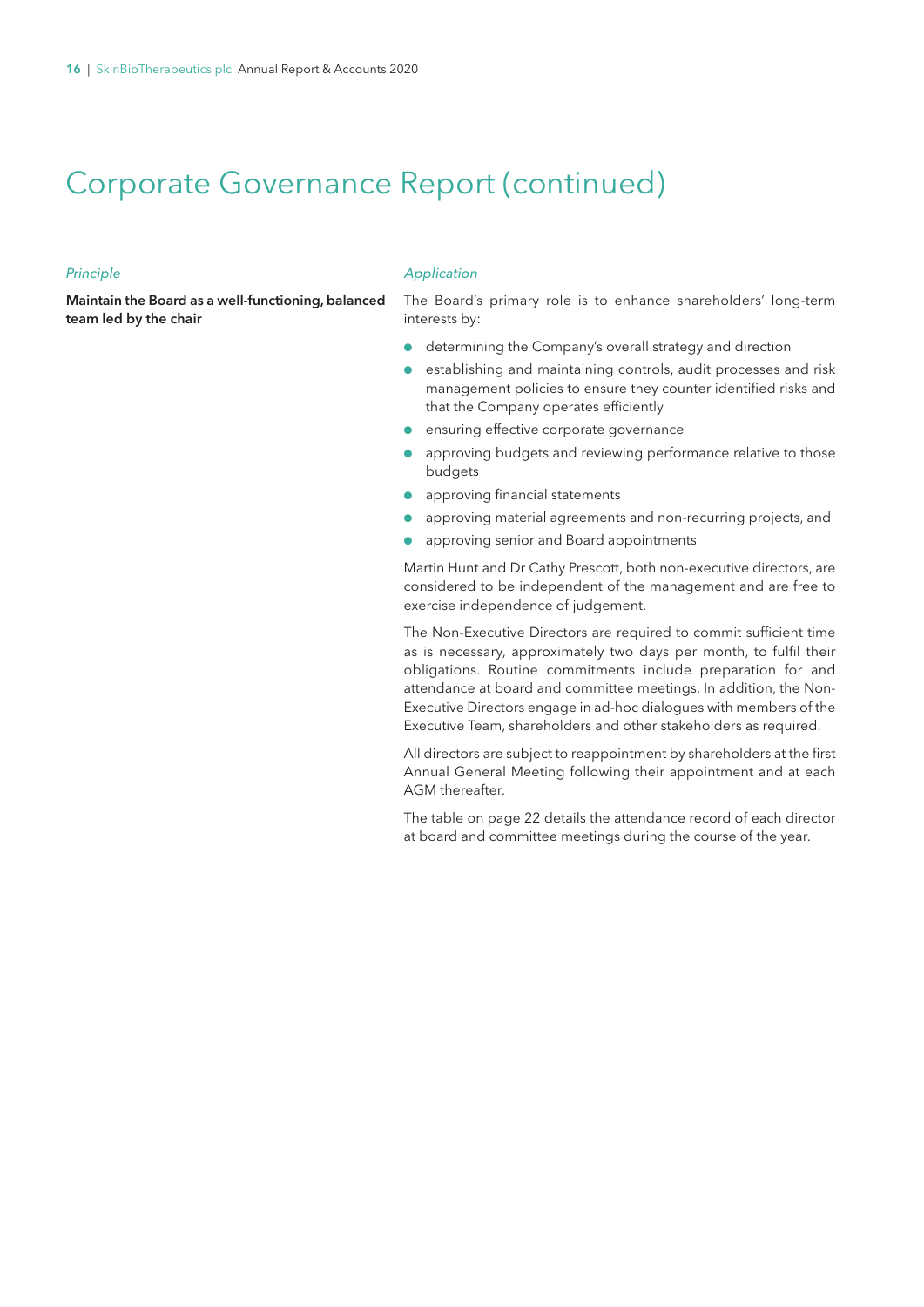# Corporate Governance Report (continued)

**Maintain the Board as a well-functioning, balanced team led by the chair**

### **Principle Application Application**

The Board's primary role is to enhance shareholders' long-term interests by:

- **•** determining the Company's overall strategy and direction
- establishing and maintaining controls, audit processes and risk management policies to ensure they counter identified risks and that the Company operates efficiently
- **e** ensuring effective corporate governance
- approving budgets and reviewing performance relative to those budgets
- **a** approving financial statements
- approving material agreements and non-recurring projects, and
- approving senior and Board appointments

Martin Hunt and Dr Cathy Prescott, both non-executive directors, are considered to be independent of the management and are free to exercise independence of judgement.

The Non-Executive Directors are required to commit sufficient time as is necessary, approximately two days per month, to fulfil their obligations. Routine commitments include preparation for and attendance at board and committee meetings. In addition, the Non-Executive Directors engage in ad-hoc dialogues with members of the Executive Team, shareholders and other stakeholders as required.

All directors are subject to reappointment by shareholders at the first Annual General Meeting following their appointment and at each AGM thereafter.

The table on page 22 details the attendance record of each director at board and committee meetings during the course of the year.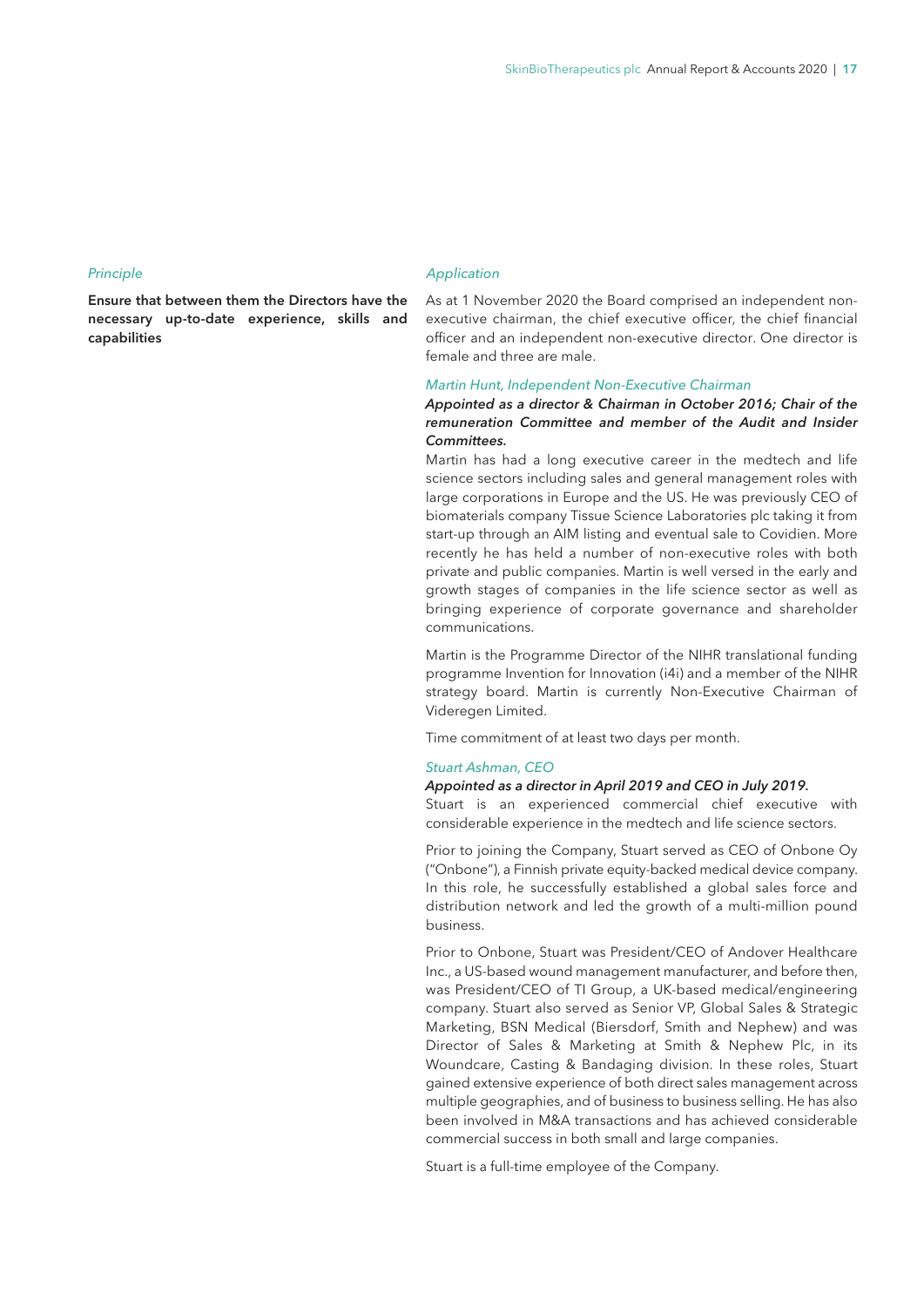**Ensure that between them the Directors have the necessary up-to-date experience, skills and capabilities**

### **Principle Application** *Application*

As at 1 November 2020 the Board comprised an independent nonexecutive chairman, the chief executive officer, the chief financial officer and an independent non-executive director. One director is female and three are male.

### *Martin Hunt, Independent Non-Executive Chairman*

### *Appointed as a director & Chairman in October 2016; Chair of the remuneration Committee and member of the Audit and Insider Committees.*

Martin has had a long executive career in the medtech and life science sectors including sales and general management roles with large corporations in Europe and the US. He was previously CEO of biomaterials company Tissue Science Laboratories plc taking it from start-up through an AIM listing and eventual sale to Covidien. More recently he has held a number of non-executive roles with both private and public companies. Martin is well versed in the early and growth stages of companies in the life science sector as well as bringing experience of corporate governance and shareholder communications.

Martin is the Programme Director of the NIHR translational funding programme Invention for Innovation (i4i) and a member of the NIHR strategy board. Martin is currently Non-Executive Chairman of Videregen Limited.

Time commitment of at least two days per month.

#### *Stuart Ashman, CEO*

#### *Appointed as a director in April 2019 and CEO in July 2019.*

Stuart is an experienced commercial chief executive with considerable experience in the medtech and life science sectors.

Prior to joining the Company, Stuart served as CEO of Onbone Oy ("Onbone"), a Finnish private equity-backed medical device company. In this role, he successfully established a global sales force and distribution network and led the growth of a multi-million pound business.

Prior to Onbone, Stuart was President/CEO of Andover Healthcare Inc., a US-based wound management manufacturer, and before then, was President/CEO of TI Group, a UK-based medical/engineering company. Stuart also served as Senior VP, Global Sales & Strategic Marketing, BSN Medical (Biersdorf, Smith and Nephew) and was Director of Sales & Marketing at Smith & Nephew Plc, in its Woundcare, Casting & Bandaging division. In these roles, Stuart gained extensive experience of both direct sales management across multiple geographies, and of business to business selling. He has also been involved in M&A transactions and has achieved considerable commercial success in both small and large companies.

Stuart is a full-time employee of the Company.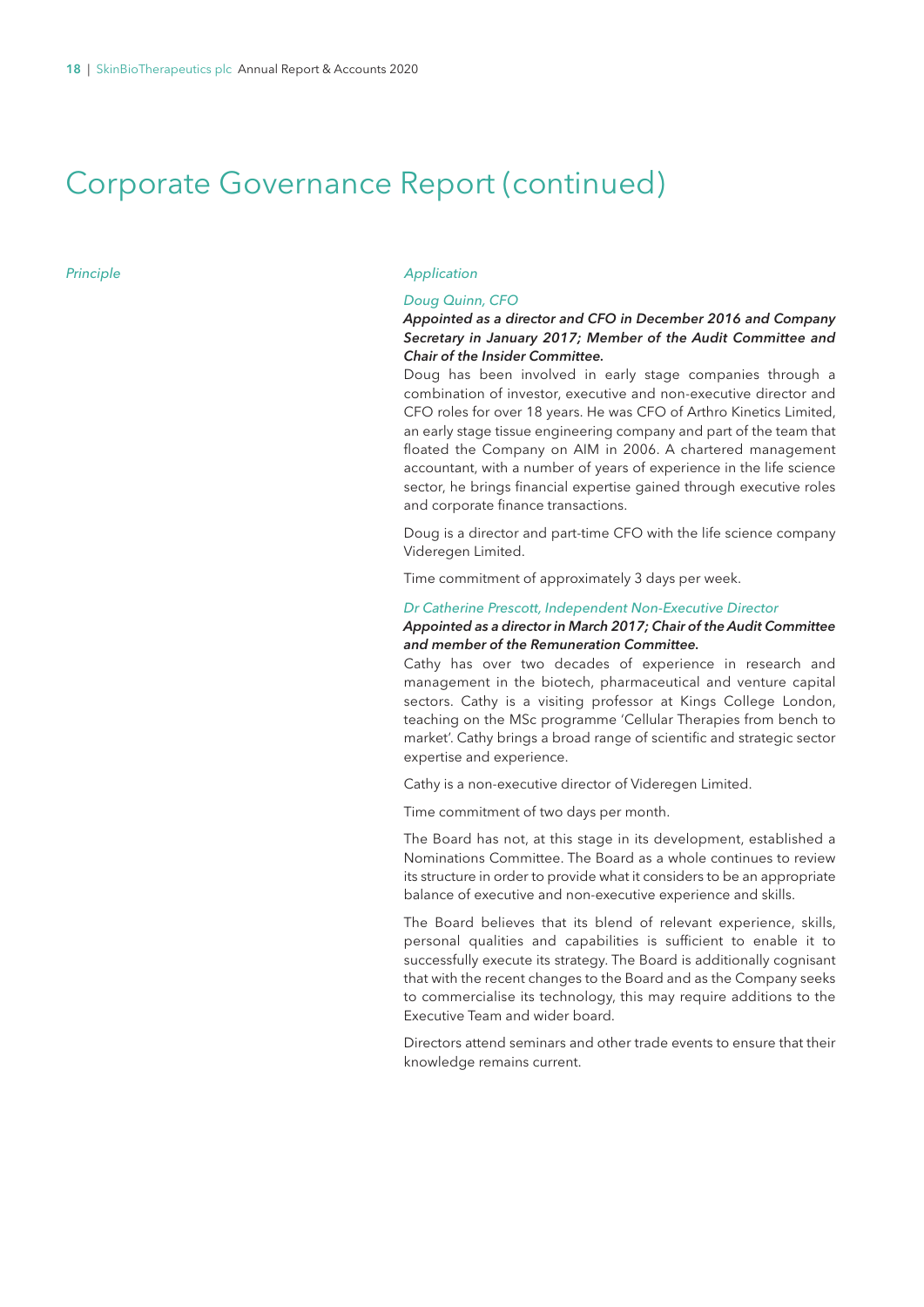# Corporate Governance Report (continued)

# **Principle Application** *Application*

### *Doug Quinn, CFO*

### *Appointed as a director and CFO in December 2016 and Company Secretary in January 2017; Member of the Audit Committee and Chair of the Insider Committee.*

Doug has been involved in early stage companies through a combination of investor, executive and non-executive director and CFO roles for over 18 years. He was CFO of Arthro Kinetics Limited, an early stage tissue engineering company and part of the team that floated the Company on AIM in 2006. A chartered management accountant, with a number of years of experience in the life science sector, he brings financial expertise gained through executive roles and corporate finance transactions.

Doug is a director and part-time CFO with the life science company Videregen Limited.

Time commitment of approximately 3 days per week.

### *Dr Catherine Prescott, Independent Non-Executive Director*

### *Appointed as a director in March 2017; Chair of the Audit Committee and member of the Remuneration Committee.*

Cathy has over two decades of experience in research and management in the biotech, pharmaceutical and venture capital sectors. Cathy is a visiting professor at Kings College London, teaching on the MSc programme 'Cellular Therapies from bench to market'. Cathy brings a broad range of scientific and strategic sector expertise and experience.

Cathy is a non-executive director of Videregen Limited.

Time commitment of two days per month.

The Board has not, at this stage in its development, established a Nominations Committee. The Board as a whole continues to review its structure in order to provide what it considers to be an appropriate balance of executive and non-executive experience and skills.

The Board believes that its blend of relevant experience, skills, personal qualities and capabilities is sufficient to enable it to successfully execute its strategy. The Board is additionally cognisant that with the recent changes to the Board and as the Company seeks to commercialise its technology, this may require additions to the Executive Team and wider board.

Directors attend seminars and other trade events to ensure that their knowledge remains current.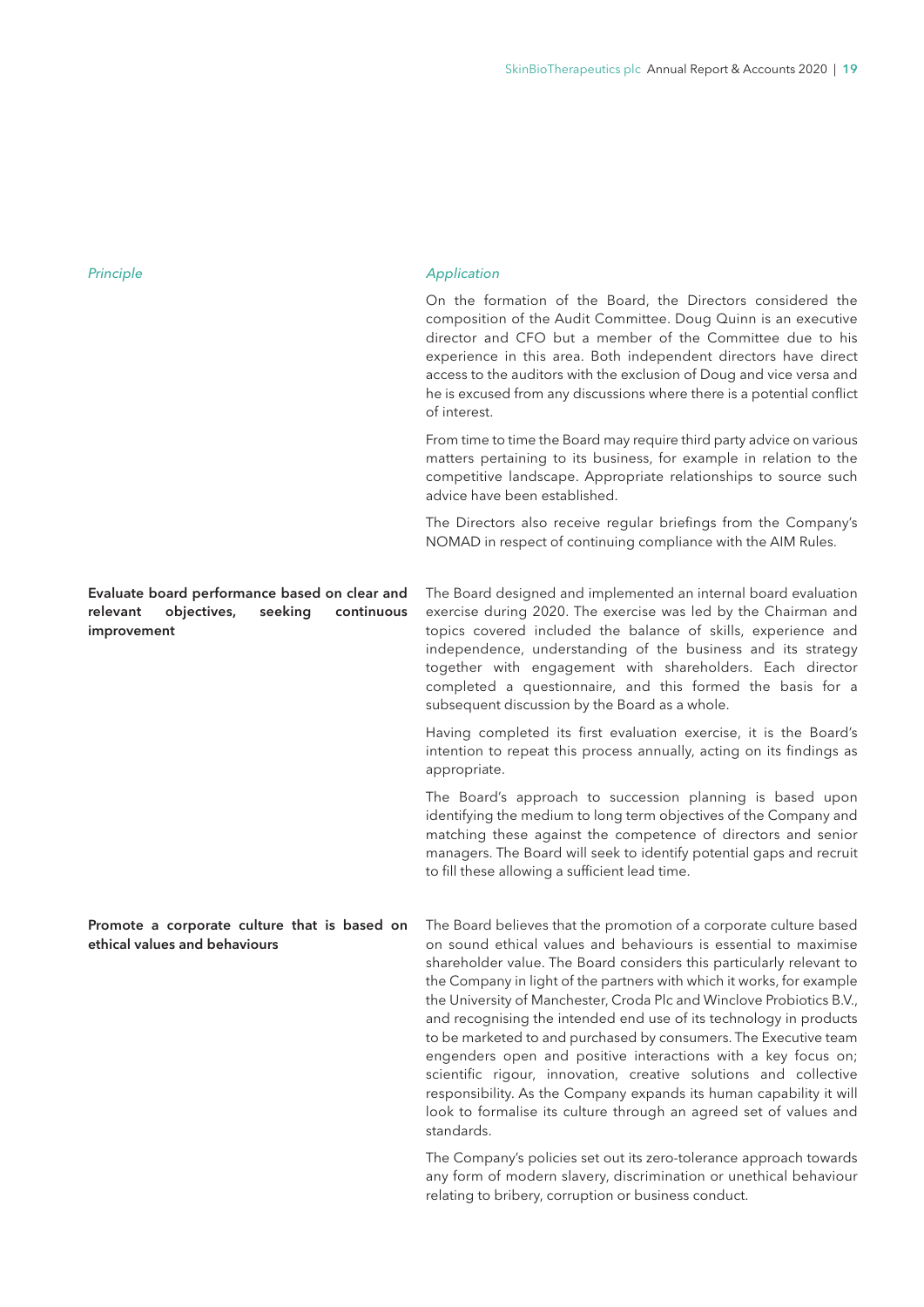| Principle                                                                                                        | Application                                                                                                                                                                                                                                                                                                                                                                                                                                                                                                                                                                                                                                                                                                                                                                                              |
|------------------------------------------------------------------------------------------------------------------|----------------------------------------------------------------------------------------------------------------------------------------------------------------------------------------------------------------------------------------------------------------------------------------------------------------------------------------------------------------------------------------------------------------------------------------------------------------------------------------------------------------------------------------------------------------------------------------------------------------------------------------------------------------------------------------------------------------------------------------------------------------------------------------------------------|
|                                                                                                                  | On the formation of the Board, the Directors considered the<br>composition of the Audit Committee. Doug Quinn is an executive<br>director and CFO but a member of the Committee due to his<br>experience in this area. Both independent directors have direct<br>access to the auditors with the exclusion of Doug and vice versa and<br>he is excused from any discussions where there is a potential conflict<br>of interest.                                                                                                                                                                                                                                                                                                                                                                          |
|                                                                                                                  | From time to time the Board may require third party advice on various<br>matters pertaining to its business, for example in relation to the<br>competitive landscape. Appropriate relationships to source such<br>advice have been established.                                                                                                                                                                                                                                                                                                                                                                                                                                                                                                                                                          |
|                                                                                                                  | The Directors also receive regular briefings from the Company's<br>NOMAD in respect of continuing compliance with the AIM Rules.                                                                                                                                                                                                                                                                                                                                                                                                                                                                                                                                                                                                                                                                         |
| Evaluate board performance based on clear and<br>relevant<br>objectives,<br>seeking<br>continuous<br>improvement | The Board designed and implemented an internal board evaluation<br>exercise during 2020. The exercise was led by the Chairman and<br>topics covered included the balance of skills, experience and<br>independence, understanding of the business and its strategy<br>together with engagement with shareholders. Each director<br>completed a questionnaire, and this formed the basis for a<br>subsequent discussion by the Board as a whole.                                                                                                                                                                                                                                                                                                                                                          |
|                                                                                                                  | Having completed its first evaluation exercise, it is the Board's<br>intention to repeat this process annually, acting on its findings as<br>appropriate.                                                                                                                                                                                                                                                                                                                                                                                                                                                                                                                                                                                                                                                |
|                                                                                                                  | The Board's approach to succession planning is based upon<br>identifying the medium to long term objectives of the Company and<br>matching these against the competence of directors and senior<br>managers. The Board will seek to identify potential gaps and recruit<br>to fill these allowing a sufficient lead time.                                                                                                                                                                                                                                                                                                                                                                                                                                                                                |
| Promote a corporate culture that is based on<br>ethical values and behaviours                                    | The Board believes that the promotion of a corporate culture based<br>on sound ethical values and behaviours is essential to maximise<br>shareholder value. The Board considers this particularly relevant to<br>the Company in light of the partners with which it works, for example<br>the University of Manchester, Croda Plc and Winclove Probiotics B.V.,<br>and recognising the intended end use of its technology in products<br>to be marketed to and purchased by consumers. The Executive team<br>engenders open and positive interactions with a key focus on;<br>scientific rigour, innovation, creative solutions and collective<br>responsibility. As the Company expands its human capability it will<br>look to formalise its culture through an agreed set of values and<br>standards. |
|                                                                                                                  | The Company's policies set out its zero-tolerance approach towards<br>any form of modern slavery, discrimination or unethical behaviour<br>relating to bribery, corruption or business conduct.                                                                                                                                                                                                                                                                                                                                                                                                                                                                                                                                                                                                          |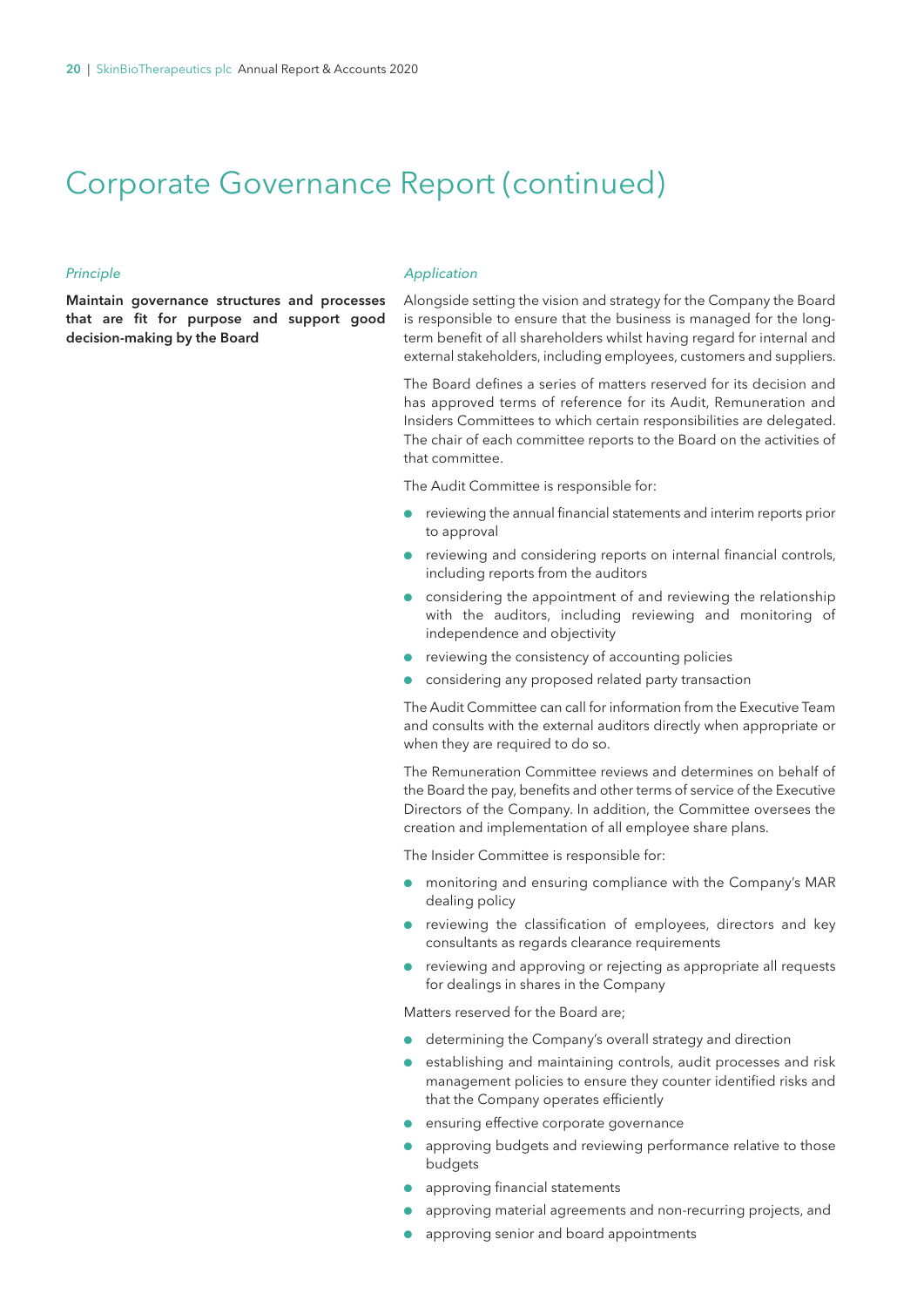# Corporate Governance Report (continued)

**Maintain governance structures and processes that are fit for purpose and support good decision-making by the Board**

#### **Principle Application Application**

Alongside setting the vision and strategy for the Company the Board is responsible to ensure that the business is managed for the longterm benefit of all shareholders whilst having regard for internal and external stakeholders, including employees, customers and suppliers.

The Board defines a series of matters reserved for its decision and has approved terms of reference for its Audit, Remuneration and Insiders Committees to which certain responsibilities are delegated. The chair of each committee reports to the Board on the activities of that committee.

The Audit Committee is responsible for:

- reviewing the annual financial statements and interim reports prior to approval
- reviewing and considering reports on internal financial controls, including reports from the auditors
- **•** considering the appointment of and reviewing the relationship with the auditors, including reviewing and monitoring of independence and objectivity
- reviewing the consistency of accounting policies
- l considering any proposed related party transaction

The Audit Committee can call for information from the Executive Team and consults with the external auditors directly when appropriate or when they are required to do so.

The Remuneration Committee reviews and determines on behalf of the Board the pay, benefits and other terms of service of the Executive Directors of the Company. In addition, the Committee oversees the creation and implementation of all employee share plans.

The Insider Committee is responsible for:

- monitoring and ensuring compliance with the Company's MAR dealing policy
- reviewing the classification of employees, directors and key consultants as regards clearance requirements
- reviewing and approving or rejecting as appropriate all requests for dealings in shares in the Company

Matters reserved for the Board are;

- **•** determining the Company's overall strategy and direction
- establishing and maintaining controls, audit processes and risk management policies to ensure they counter identified risks and that the Company operates efficiently
- **e** ensuring effective corporate governance
- approving budgets and reviewing performance relative to those budgets
- approving financial statements
- approving material agreements and non-recurring projects, and
- approving senior and board appointments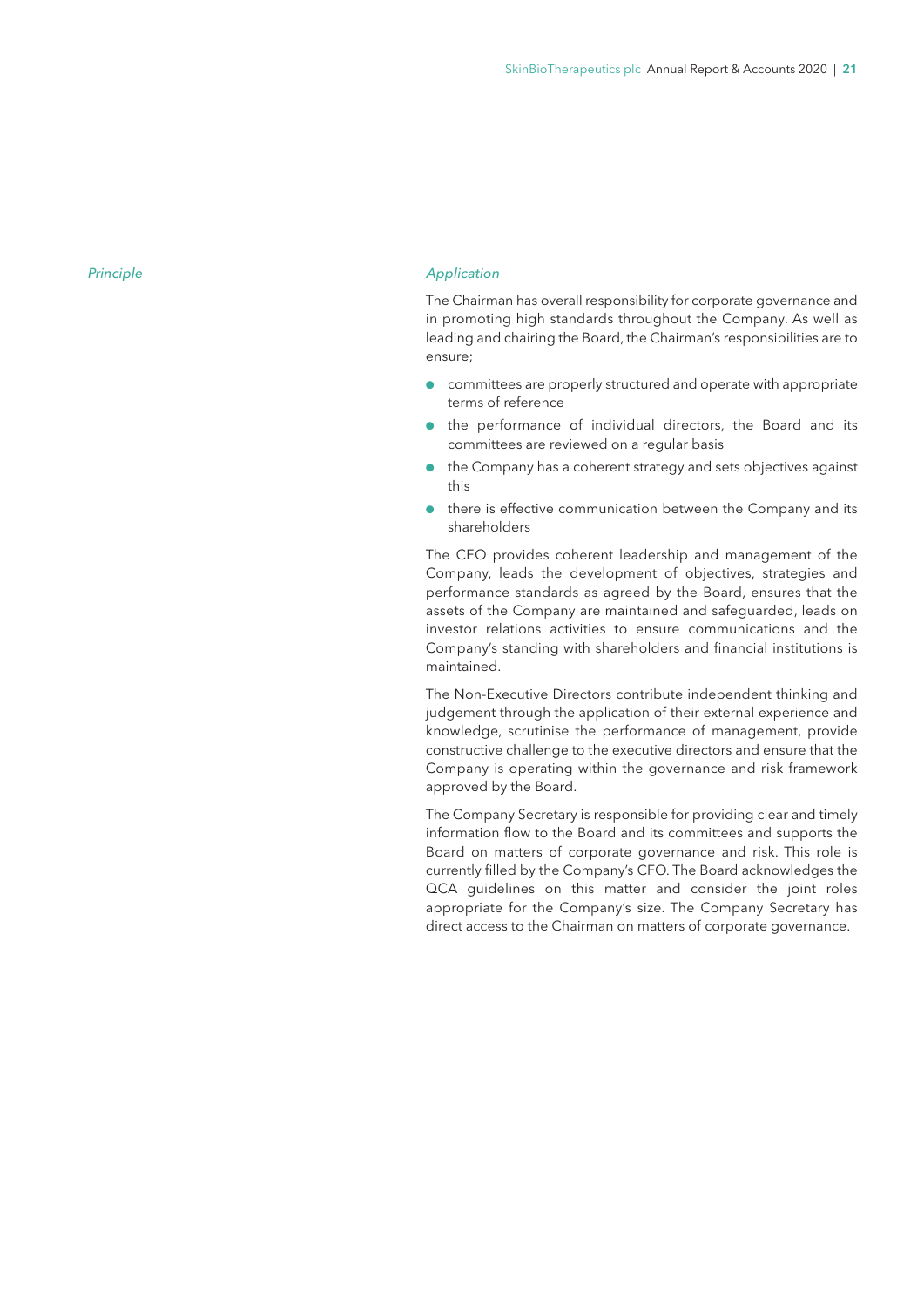### **Principle Application** *Application*

The Chairman has overall responsibility for corporate governance and in promoting high standards throughout the Company. As well as leading and chairing the Board, the Chairman's responsibilities are to ensure;

- committees are properly structured and operate with appropriate terms of reference
- **.** the performance of individual directors, the Board and its committees are reviewed on a regular basis
- $\bullet$  the Company has a coherent strategy and sets objectives against this
- there is effective communication between the Company and its shareholders

The CEO provides coherent leadership and management of the Company, leads the development of objectives, strategies and performance standards as agreed by the Board, ensures that the assets of the Company are maintained and safeguarded, leads on investor relations activities to ensure communications and the Company's standing with shareholders and financial institutions is maintained.

The Non-Executive Directors contribute independent thinking and judgement through the application of their external experience and knowledge, scrutinise the performance of management, provide constructive challenge to the executive directors and ensure that the Company is operating within the governance and risk framework approved by the Board.

The Company Secretary is responsible for providing clear and timely information flow to the Board and its committees and supports the Board on matters of corporate governance and risk. This role is currently filled by the Company's CFO. The Board acknowledges the QCA guidelines on this matter and consider the joint roles appropriate for the Company's size. The Company Secretary has direct access to the Chairman on matters of corporate governance.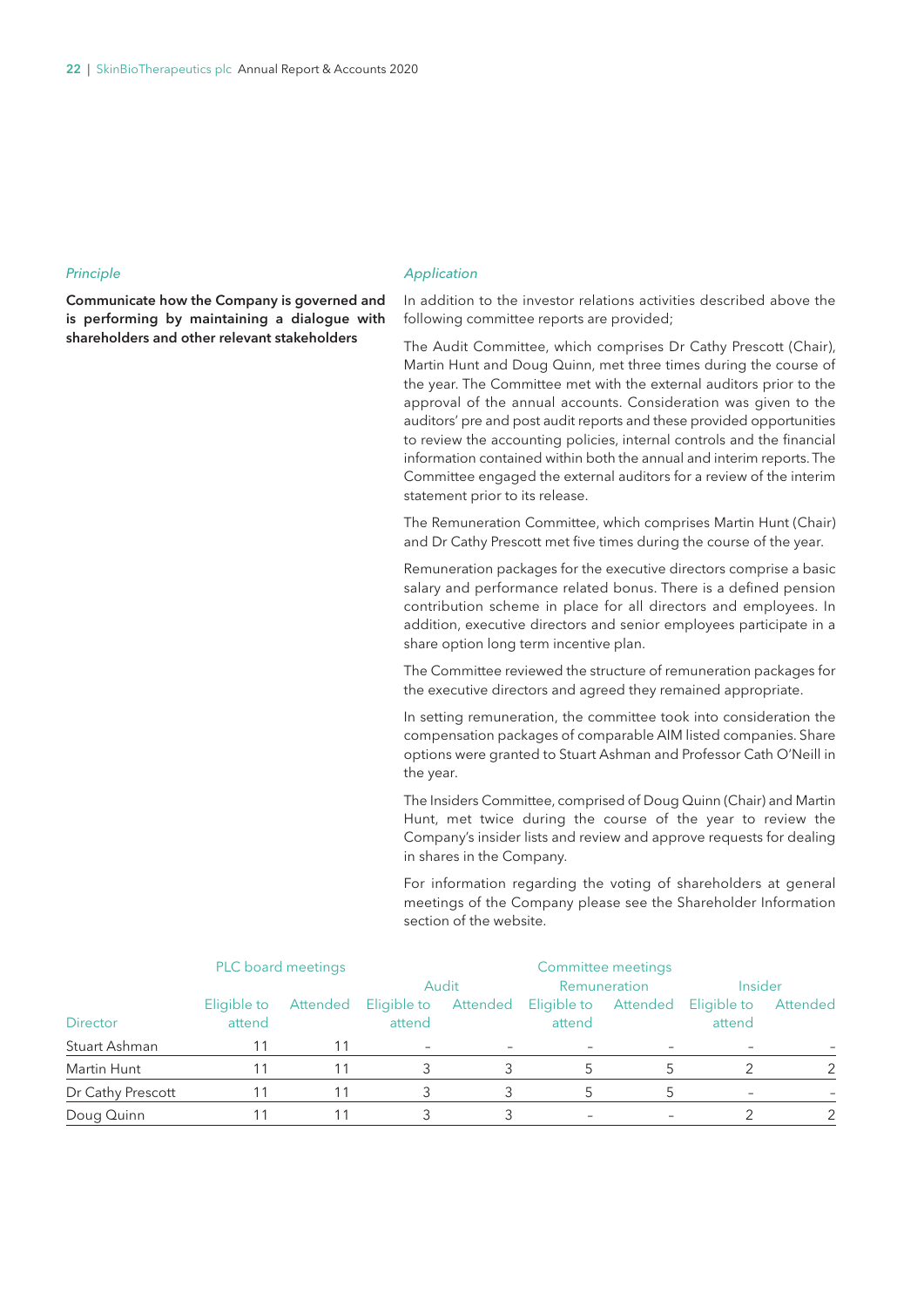**Communicate how the Company is governed and is performing by maintaining a dialogue with shareholders and other relevant stakeholders**

#### **Principle Application** *Application*

In addition to the investor relations activities described above the following committee reports are provided;

The Audit Committee, which comprises Dr Cathy Prescott (Chair), Martin Hunt and Doug Quinn, met three times during the course of the year. The Committee met with the external auditors prior to the approval of the annual accounts. Consideration was given to the auditors' pre and post audit reports and these provided opportunities to review the accounting policies, internal controls and the financial information contained within both the annual and interim reports. The Committee engaged the external auditors for a review of the interim statement prior to its release.

The Remuneration Committee, which comprises Martin Hunt (Chair) and Dr Cathy Prescott met five times during the course of the year.

Remuneration packages for the executive directors comprise a basic salary and performance related bonus. There is a defined pension contribution scheme in place for all directors and employees. In addition, executive directors and senior employees participate in a share option long term incentive plan.

The Committee reviewed the structure of remuneration packages for the executive directors and agreed they remained appropriate.

In setting remuneration, the committee took into consideration the compensation packages of comparable AIM listed companies. Share options were granted to Stuart Ashman and Professor Cath O'Neill in the year.

The Insiders Committee, comprised of Doug Quinn (Chair) and Martin Hunt, met twice during the course of the year to review the Company's insider lists and review and approve requests for dealing in shares in the Company.

For information regarding the voting of shareholders at general meetings of the Company please see the Shareholder Information section of the website.

| <b>PLC</b> board meetings |                       |          | Committee meetings    |          |                                |              |                       |               |
|---------------------------|-----------------------|----------|-----------------------|----------|--------------------------------|--------------|-----------------------|---------------|
|                           |                       |          |                       | Audit    |                                | Remuneration | Insider               |               |
| <b>Director</b>           | Eligible to<br>attend | Attended | Eligible to<br>attend | Attended | Eligible to Attended<br>attend |              | Eligible to<br>attend | Attended      |
| Stuart Ashman             |                       |          | -                     |          |                                |              |                       |               |
| Martin Hunt               |                       |          |                       |          |                                |              |                       |               |
| Dr Cathy Prescott         |                       |          |                       |          |                                |              |                       |               |
| Doug Quinn                |                       |          |                       |          |                                |              |                       | $\mathcal{P}$ |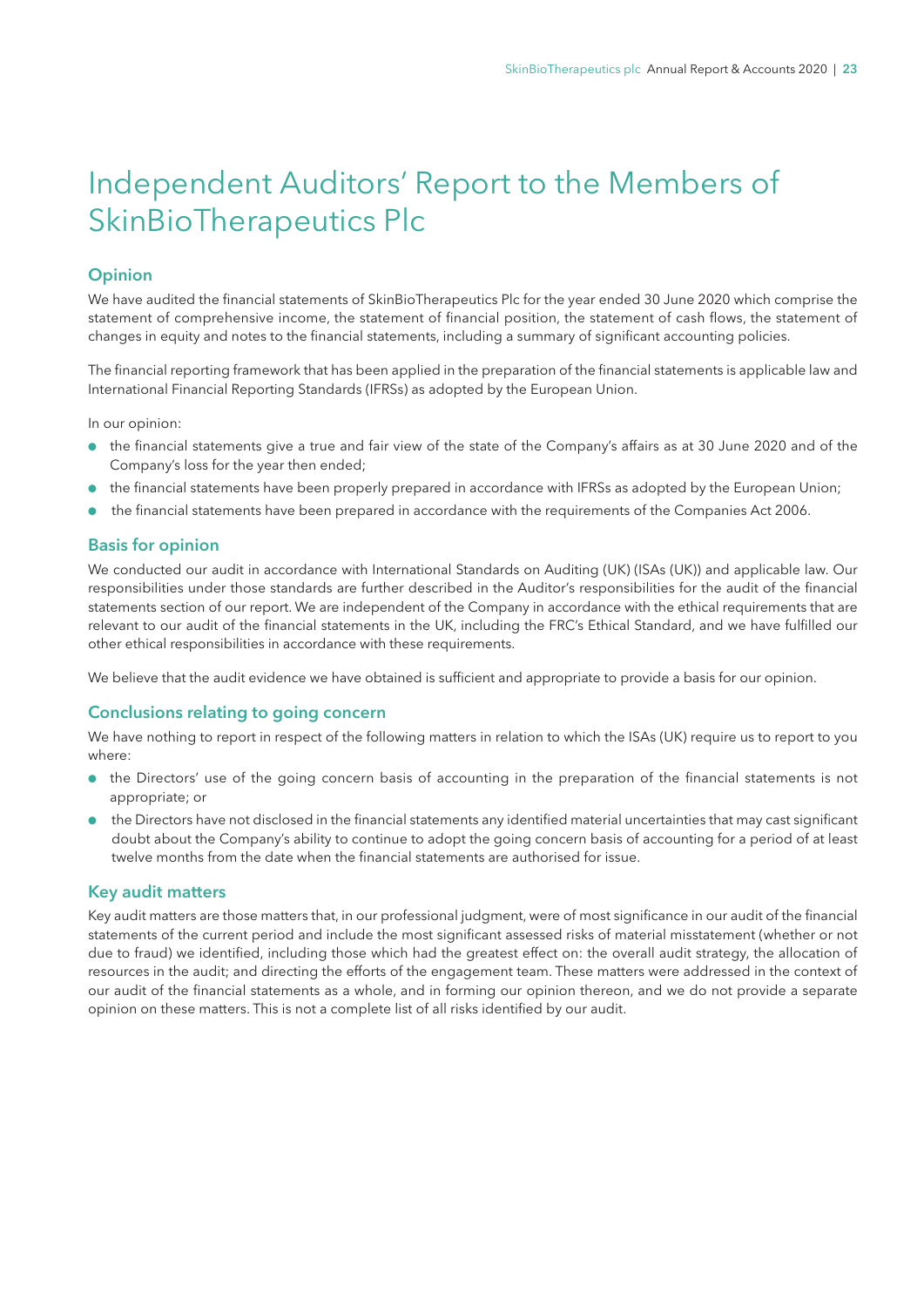# Independent Auditors' Report to the Members of SkinBioTherapeutics Plc

# **Opinion**

We have audited the financial statements of SkinBioTherapeutics Plc for the year ended 30 June 2020 which comprise the statement of comprehensive income, the statement of financial position, the statement of cash flows, the statement of changes in equity and notes to the financial statements, including a summary of significant accounting policies.

The financial reporting framework that has been applied in the preparation of the financial statements is applicable law and International Financial Reporting Standards (IFRSs) as adopted by the European Union.

In our opinion:

- the financial statements give a true and fair view of the state of the Company's affairs as at 30 June 2020 and of the Company's loss for the year then ended;
- l the financial statements have been properly prepared in accordance with IFRSs as adopted by the European Union;
- the financial statements have been prepared in accordance with the requirements of the Companies Act 2006.

### **Basis for opinion**

We conducted our audit in accordance with International Standards on Auditing (UK) (ISAs (UK)) and applicable law. Our responsibilities under those standards are further described in the Auditor's responsibilities for the audit of the financial statements section of our report. We are independent of the Company in accordance with the ethical requirements that are relevant to our audit of the financial statements in the UK, including the FRC's Ethical Standard, and we have fulfilled our other ethical responsibilities in accordance with these requirements.

We believe that the audit evidence we have obtained is sufficient and appropriate to provide a basis for our opinion.

# **Conclusions relating to going concern**

We have nothing to report in respect of the following matters in relation to which the ISAs (UK) require us to report to you where:

- the Directors' use of the going concern basis of accounting in the preparation of the financial statements is not appropriate; or
- **•** the Directors have not disclosed in the financial statements any identified material uncertainties that may cast significant doubt about the Company's ability to continue to adopt the going concern basis of accounting for a period of at least twelve months from the date when the financial statements are authorised for issue.

### **Key audit matters**

Key audit matters are those matters that, in our professional judgment, were of most significance in our audit of the financial statements of the current period and include the most significant assessed risks of material misstatement (whether or not due to fraud) we identified, including those which had the greatest effect on: the overall audit strategy, the allocation of resources in the audit; and directing the efforts of the engagement team. These matters were addressed in the context of our audit of the financial statements as a whole, and in forming our opinion thereon, and we do not provide a separate opinion on these matters. This is not a complete list of all risks identified by our audit.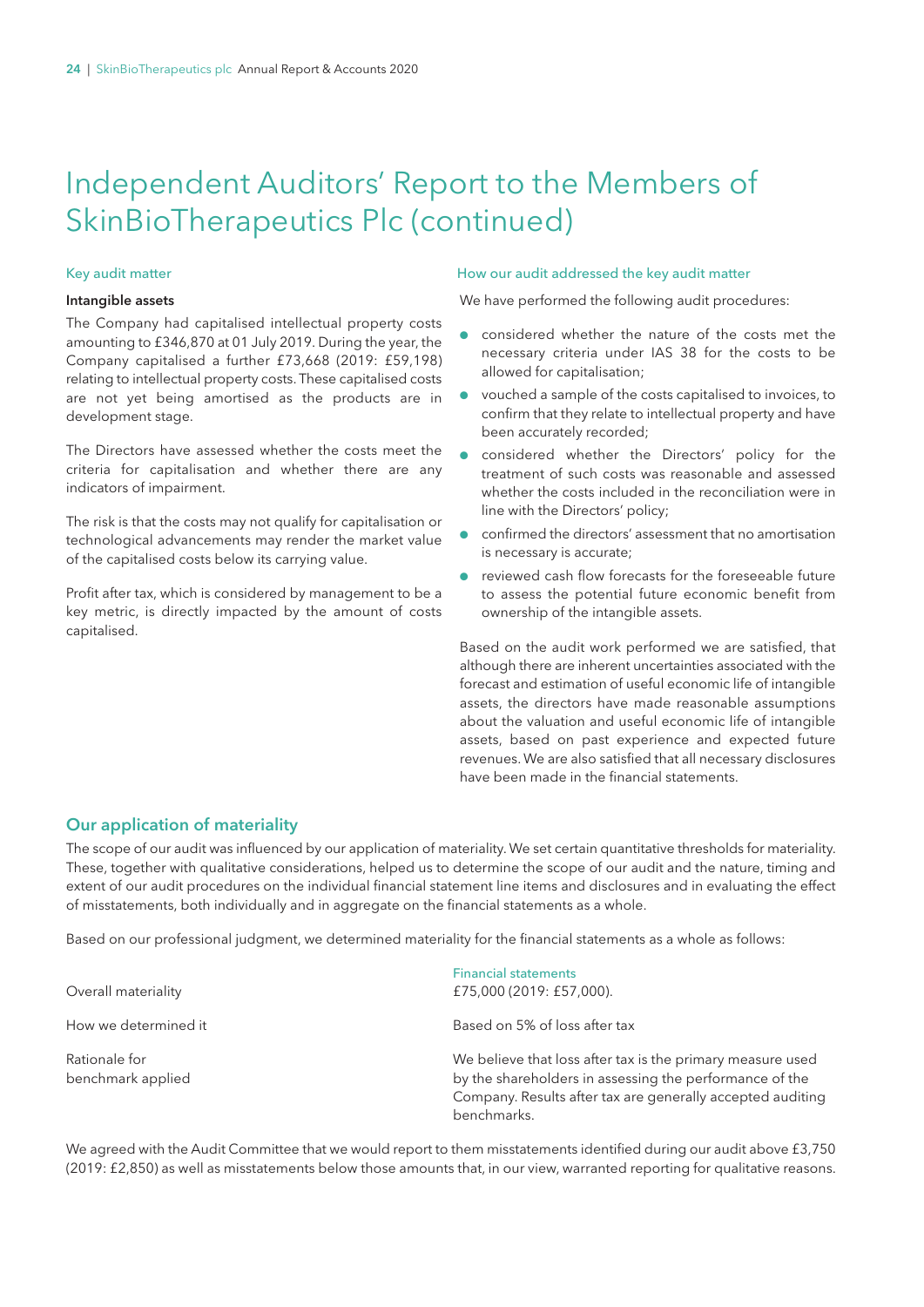# Independent Auditors' Report to the Members of SkinBioTherapeutics Plc (continued)

### **Intangible assets**

The Company had capitalised intellectual property costs amounting to £346,870 at 01 July 2019. During the year, the Company capitalised a further £73,668 (2019: £59,198) relating to intellectual property costs. These capitalised costs are not yet being amortised as the products are in development stage.

The Directors have assessed whether the costs meet the criteria for capitalisation and whether there are any indicators of impairment.

The risk is that the costs may not qualify for capitalisation or technological advancements may render the market value of the capitalised costs below its carrying value.

Profit after tax, which is considered by management to be a key metric, is directly impacted by the amount of costs capitalised.

#### Key audit matter **How our audit addressed the key audit matter** How our audit addressed the key audit matter

We have performed the following audit procedures:

- considered whether the nature of the costs met the necessary criteria under IAS 38 for the costs to be allowed for capitalisation;
- l vouched a sample of the costs capitalised to invoices, to confirm that they relate to intellectual property and have been accurately recorded;
- **.** considered whether the Directors' policy for the treatment of such costs was reasonable and assessed whether the costs included in the reconciliation were in line with the Directors' policy;
- **•** confirmed the directors' assessment that no amortisation is necessary is accurate;
- reviewed cash flow forecasts for the foreseeable future to assess the potential future economic benefit from ownership of the intangible assets.

Based on the audit work performed we are satisfied, that although there are inherent uncertainties associated with the forecast and estimation of useful economic life of intangible assets, the directors have made reasonable assumptions about the valuation and useful economic life of intangible assets, based on past experience and expected future revenues. We are also satisfied that all necessary disclosures have been made in the financial statements.

# **Our application of materiality**

The scope of our audit was influenced by our application of materiality. We set certain quantitative thresholds for materiality. These, together with qualitative considerations, helped us to determine the scope of our audit and the nature, timing and extent of our audit procedures on the individual financial statement line items and disclosures and in evaluating the effect of misstatements, both individually and in aggregate on the financial statements as a whole.

Based on our professional judgment, we determined materiality for the financial statements as a whole as follows:

| Overall materiality                | <b>Financial statements</b><br>£75,000 (2019: £57,000).                                                                                                                                            |
|------------------------------------|----------------------------------------------------------------------------------------------------------------------------------------------------------------------------------------------------|
| How we determined it               | Based on 5% of loss after tax                                                                                                                                                                      |
| Rationale for<br>benchmark applied | We believe that loss after tax is the primary measure used<br>by the shareholders in assessing the performance of the<br>Company. Results after tax are generally accepted auditing<br>benchmarks. |

We agreed with the Audit Committee that we would report to them misstatements identified during our audit above £3,750 (2019: £2,850) as well as misstatements below those amounts that, in our view, warranted reporting for qualitative reasons.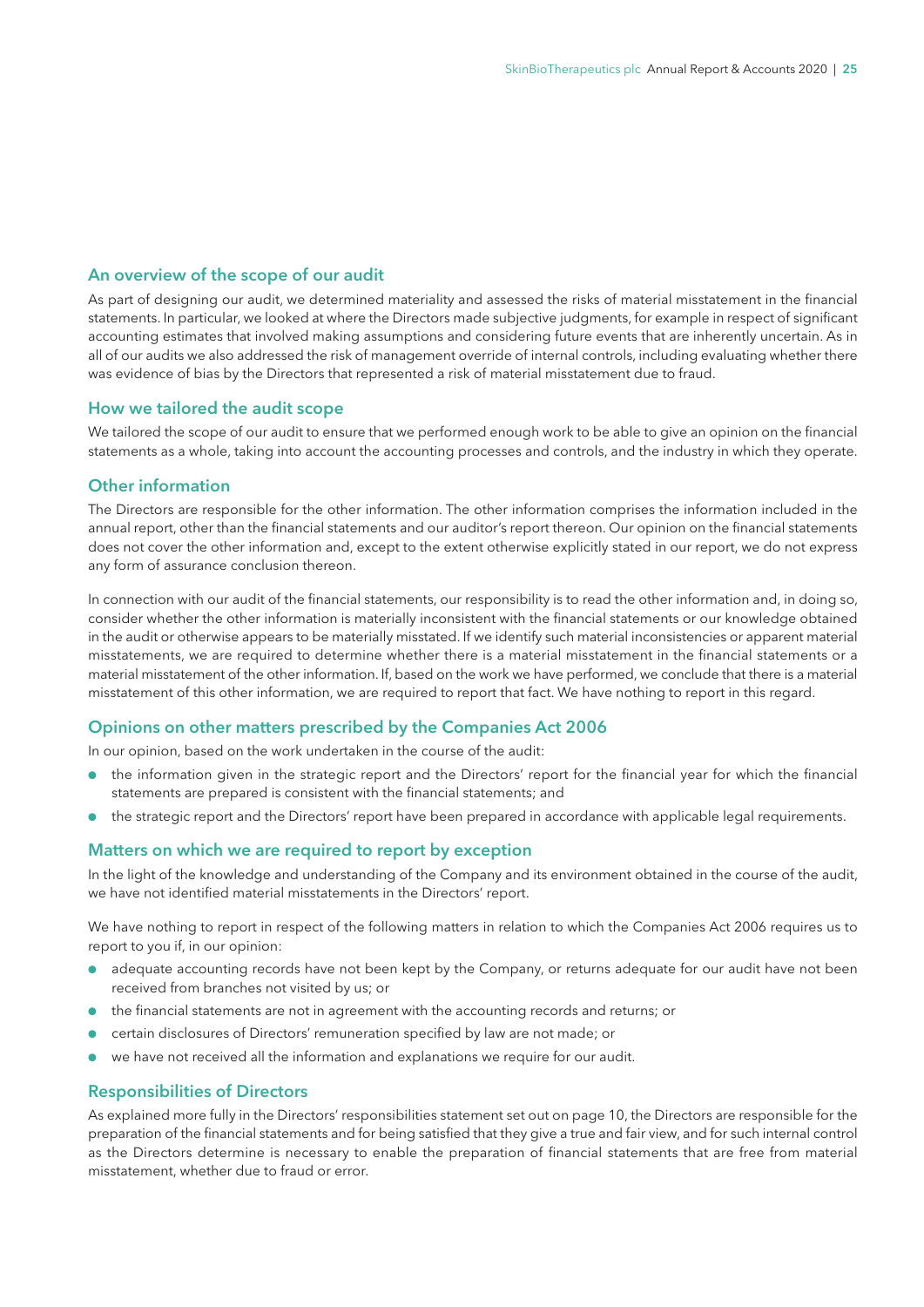### **An overview of the scope of our audit**

As part of designing our audit, we determined materiality and assessed the risks of material misstatement in the financial statements. In particular, we looked at where the Directors made subjective judgments, for example in respect of significant accounting estimates that involved making assumptions and considering future events that are inherently uncertain. As in all of our audits we also addressed the risk of management override of internal controls, including evaluating whether there was evidence of bias by the Directors that represented a risk of material misstatement due to fraud.

### **How we tailored the audit scope**

We tailored the scope of our audit to ensure that we performed enough work to be able to give an opinion on the financial statements as a whole, taking into account the accounting processes and controls, and the industry in which they operate.

### **Other information**

The Directors are responsible for the other information. The other information comprises the information included in the annual report, other than the financial statements and our auditor's report thereon. Our opinion on the financial statements does not cover the other information and, except to the extent otherwise explicitly stated in our report, we do not express any form of assurance conclusion thereon.

In connection with our audit of the financial statements, our responsibility is to read the other information and, in doing so, consider whether the other information is materially inconsistent with the financial statements or our knowledge obtained in the audit or otherwise appears to be materially misstated. If we identify such material inconsistencies or apparent material misstatements, we are required to determine whether there is a material misstatement in the financial statements or a material misstatement of the other information. If, based on the work we have performed, we conclude that there is a material misstatement of this other information, we are required to report that fact. We have nothing to report in this regard.

### **Opinions on other matters prescribed by the Companies Act 2006**

In our opinion, based on the work undertaken in the course of the audit:

- l the information given in the strategic report and the Directors' report for the financial year for which the financial statements are prepared is consistent with the financial statements; and
- l the strategic report and the Directors' report have been prepared in accordance with applicable legal requirements.

### **Matters on which we are required to report by exception**

In the light of the knowledge and understanding of the Company and its environment obtained in the course of the audit, we have not identified material misstatements in the Directors' report.

We have nothing to report in respect of the following matters in relation to which the Companies Act 2006 requires us to report to you if, in our opinion:

- adequate accounting records have not been kept by the Company, or returns adequate for our audit have not been received from branches not visited by us; or
- the financial statements are not in agreement with the accounting records and returns; or
- certain disclosures of Directors' remuneration specified by law are not made; or
- we have not received all the information and explanations we require for our audit.

### **Responsibilities of Directors**

As explained more fully in the Directors' responsibilities statement set out on page 10, the Directors are responsible for the preparation of the financial statements and for being satisfied that they give a true and fair view, and for such internal control as the Directors determine is necessary to enable the preparation of financial statements that are free from material misstatement, whether due to fraud or error.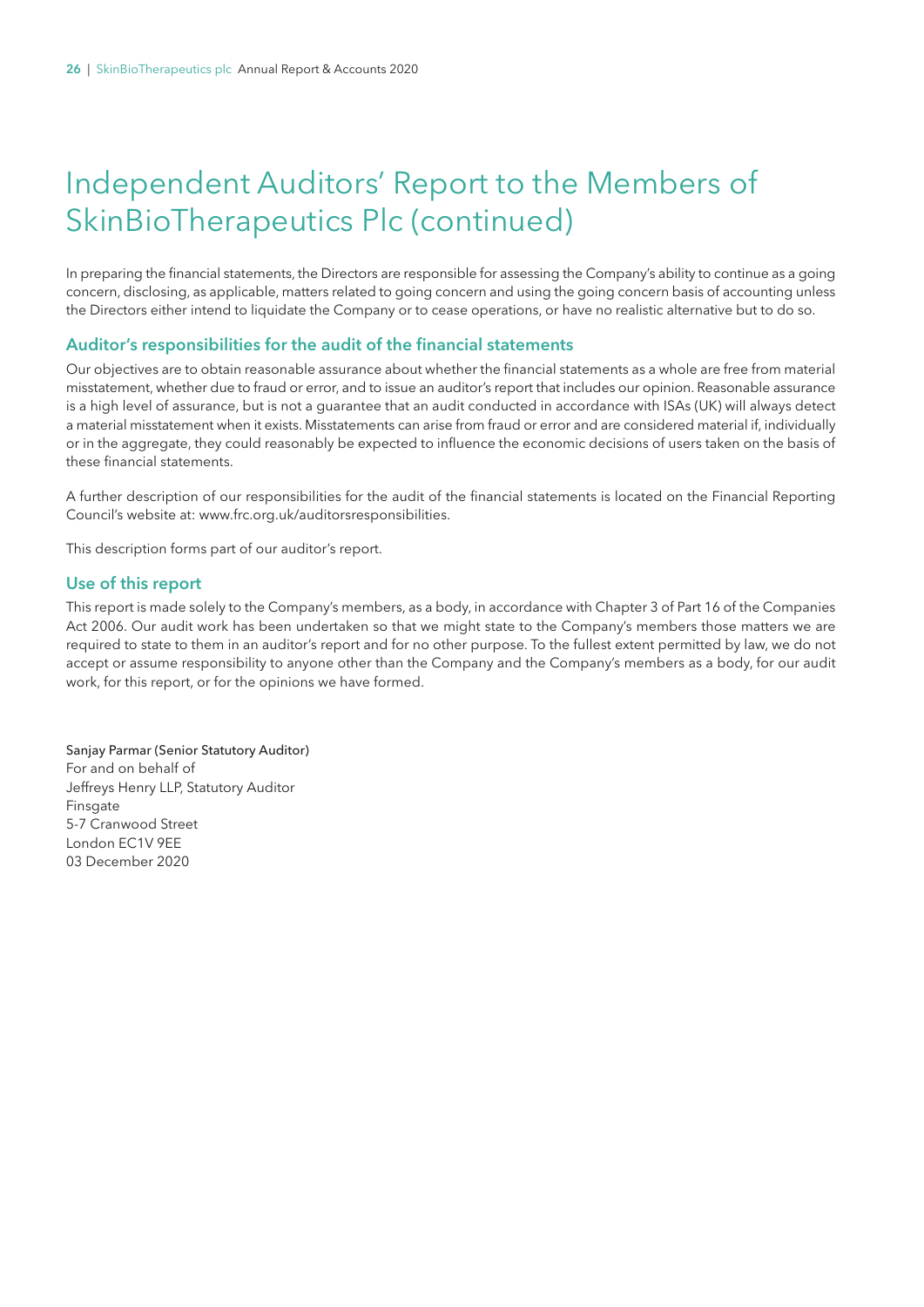# Independent Auditors' Report to the Members of SkinBioTherapeutics Plc (continued)

In preparing the financial statements, the Directors are responsible for assessing the Company's ability to continue as a going concern, disclosing, as applicable, matters related to going concern and using the going concern basis of accounting unless the Directors either intend to liquidate the Company or to cease operations, or have no realistic alternative but to do so.

# **Auditor's responsibilities for the audit of the financial statements**

Our objectives are to obtain reasonable assurance about whether the financial statements as a whole are free from material misstatement, whether due to fraud or error, and to issue an auditor's report that includes our opinion. Reasonable assurance is a high level of assurance, but is not a guarantee that an audit conducted in accordance with ISAs (UK) will always detect a material misstatement when it exists. Misstatements can arise from fraud or error and are considered material if, individually or in the aggregate, they could reasonably be expected to influence the economic decisions of users taken on the basis of these financial statements.

A further description of our responsibilities for the audit of the financial statements is located on the Financial Reporting Council's website at: www.frc.org.uk/auditorsresponsibilities.

This description forms part of our auditor's report.

# **Use of this report**

This report is made solely to the Company's members, as a body, in accordance with Chapter 3 of Part 16 of the Companies Act 2006. Our audit work has been undertaken so that we might state to the Company's members those matters we are required to state to them in an auditor's report and for no other purpose. To the fullest extent permitted by law, we do not accept or assume responsibility to anyone other than the Company and the Company's members as a body, for our audit work, for this report, or for the opinions we have formed.

Sanjay Parmar (Senior Statutory Auditor) For and on behalf of Jeffreys Henry LLP, Statutory Auditor Finsgate 5-7 Cranwood Street London EC1V 9EE 03 December 2020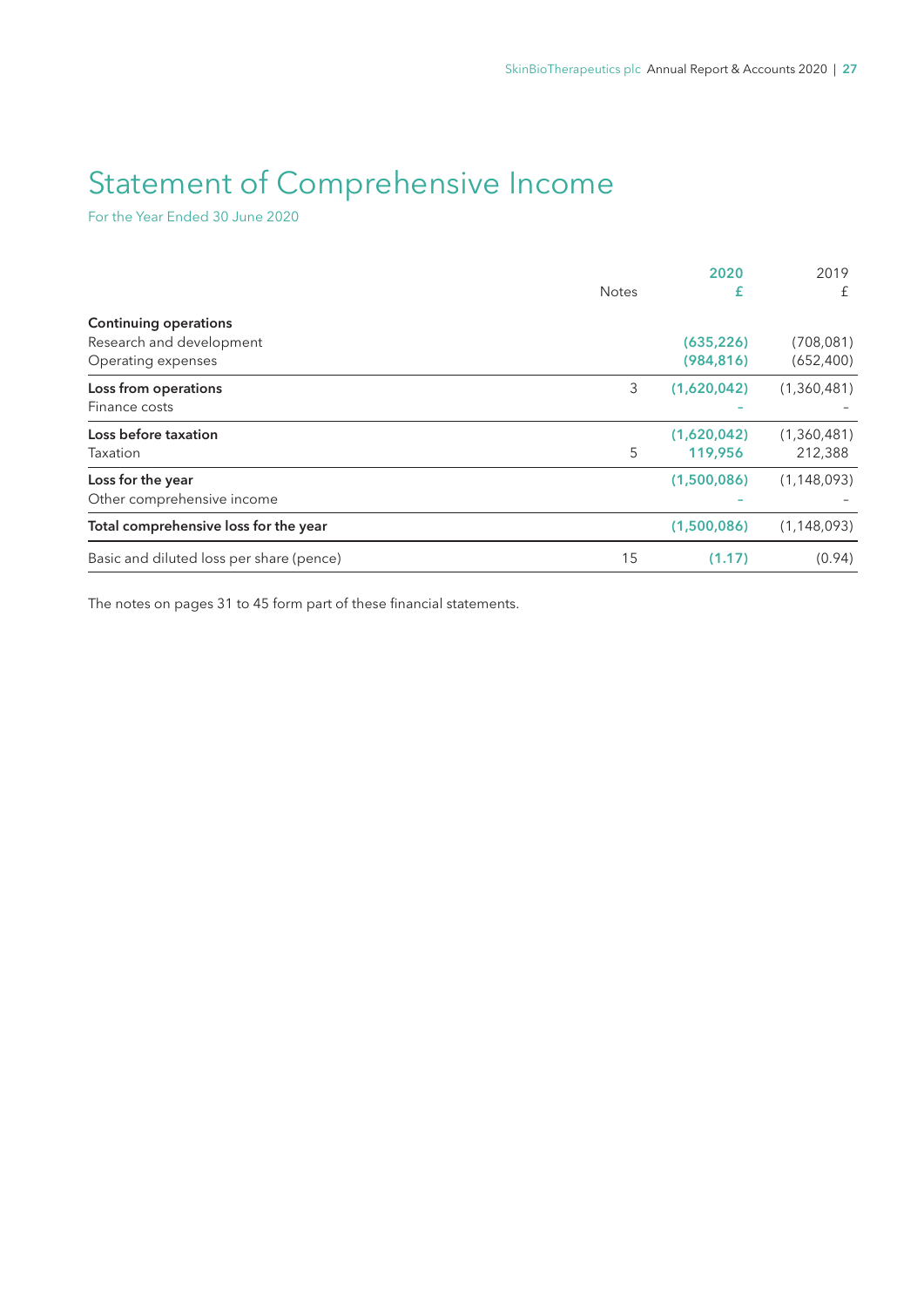# Statement of Comprehensive Income

For the Year Ended 30 June 2020

|                                          |              |             | 2019          |
|------------------------------------------|--------------|-------------|---------------|
|                                          | <b>Notes</b> | £           | £             |
| <b>Continuing operations</b>             |              |             |               |
| Research and development                 |              | (635, 226)  | (708, 081)    |
| Operating expenses                       |              | (984, 816)  | (652, 400)    |
| Loss from operations                     | 3            | (1,620,042) | (1,360,481)   |
| Finance costs                            |              |             |               |
| Loss before taxation                     |              | (1,620,042) | (1,360,481)   |
| Taxation                                 | 5            | 119,956     | 212,388       |
| Loss for the year                        |              | (1,500,086) | (1, 148, 093) |
| Other comprehensive income               |              |             |               |
| Total comprehensive loss for the year    |              | (1,500,086) | (1, 148, 093) |
| Basic and diluted loss per share (pence) | 15           | (1.17)      | (0.94)        |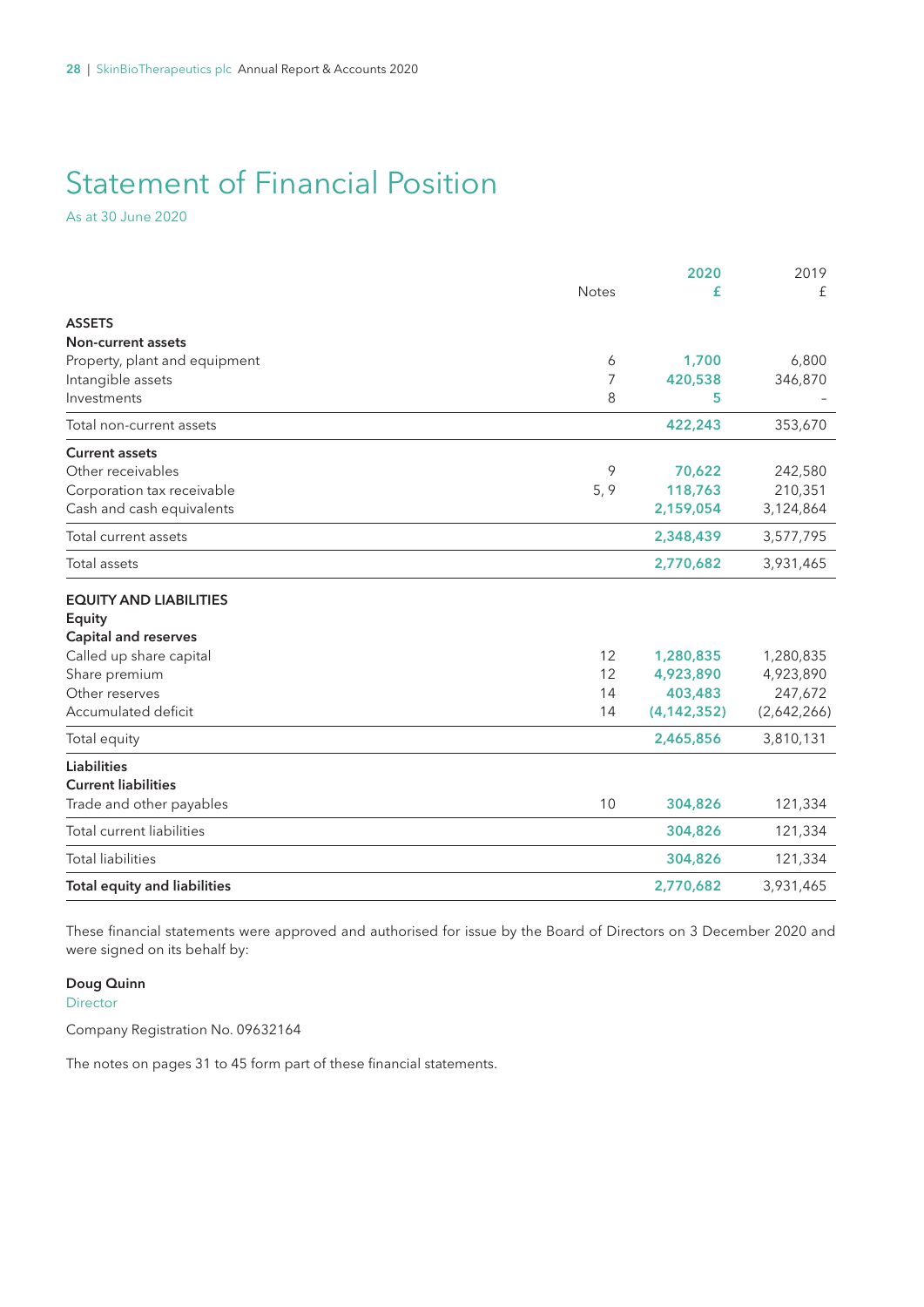# Statement of Financial Position

As at 30 June 2020

|                                     |              | 2020          | 2019        |
|-------------------------------------|--------------|---------------|-------------|
|                                     | <b>Notes</b> | £             | £           |
| <b>ASSETS</b>                       |              |               |             |
| Non-current assets                  |              |               |             |
| Property, plant and equipment       | 6            | 1,700         | 6,800       |
| Intangible assets                   | 7            | 420,538       | 346,870     |
| Investments                         | 8            | 5             |             |
| Total non-current assets            |              | 422,243       | 353,670     |
| <b>Current assets</b>               |              |               |             |
| Other receivables                   | 9            | 70,622        | 242,580     |
| Corporation tax receivable          | 5, 9         | 118,763       | 210,351     |
| Cash and cash equivalents           |              | 2,159,054     | 3,124,864   |
| Total current assets                |              | 2,348,439     | 3,577,795   |
| Total assets                        |              | 2,770,682     | 3,931,465   |
| <b>EQUITY AND LIABILITIES</b>       |              |               |             |
| Equity                              |              |               |             |
| <b>Capital and reserves</b>         |              |               |             |
| Called up share capital             | 12           | 1,280,835     | 1,280,835   |
| Share premium                       | 12           | 4,923,890     | 4,923,890   |
| Other reserves                      | 14           | 403,483       | 247,672     |
| Accumulated deficit                 | 14           | (4, 142, 352) | (2,642,266) |
| Total equity                        |              | 2,465,856     | 3,810,131   |
| <b>Liabilities</b>                  |              |               |             |
| <b>Current liabilities</b>          |              |               |             |
| Trade and other payables            | 10           | 304,826       | 121,334     |
| Total current liabilities           |              | 304,826       | 121,334     |
| <b>Total liabilities</b>            |              | 304,826       | 121,334     |
| <b>Total equity and liabilities</b> |              | 2,770,682     | 3,931,465   |

These financial statements were approved and authorised for issue by the Board of Directors on 3 December 2020 and were signed on its behalf by:

# **Doug Quinn**

**Director** 

Company Registration No. 09632164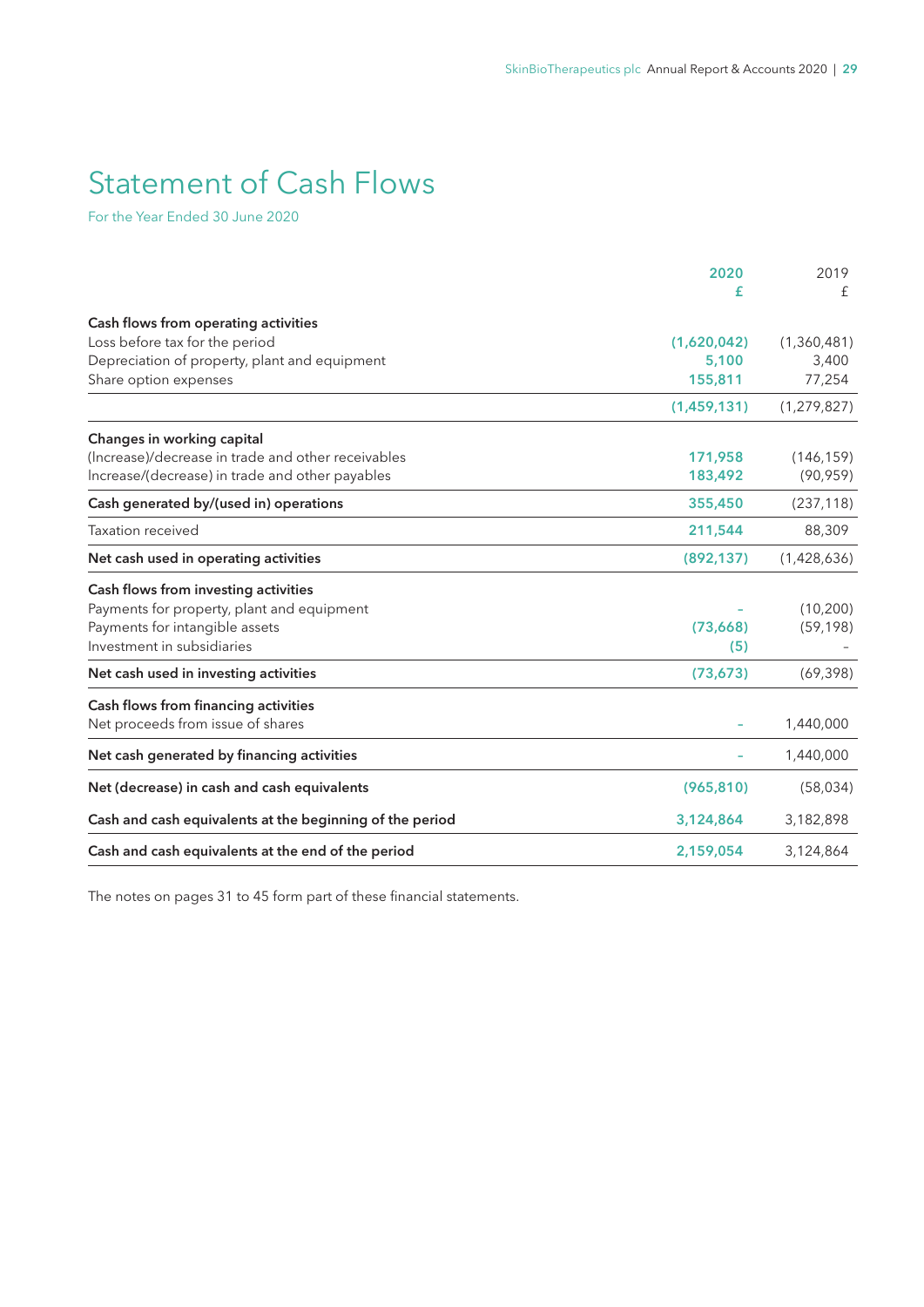# Statement of Cash Flows

For the Year Ended 30 June 2020

|                                                          | 2020        | 2019          |
|----------------------------------------------------------|-------------|---------------|
|                                                          | £           | £             |
| Cash flows from operating activities                     |             |               |
| Loss before tax for the period                           | (1,620,042) | (1,360,481)   |
| Depreciation of property, plant and equipment            | 5,100       | 3,400         |
| Share option expenses                                    | 155,811     | 77,254        |
|                                                          | (1,459,131) | (1, 279, 827) |
| Changes in working capital                               |             |               |
| (Increase)/decrease in trade and other receivables       | 171,958     | (146, 159)    |
| Increase/(decrease) in trade and other payables          | 183,492     | (90, 959)     |
| Cash generated by/(used in) operations                   | 355,450     | (237, 118)    |
| Taxation received                                        | 211,544     | 88,309        |
| Net cash used in operating activities                    | (892, 137)  | (1,428,636)   |
| Cash flows from investing activities                     |             |               |
| Payments for property, plant and equipment               |             | (10, 200)     |
| Payments for intangible assets                           | (73,668)    | (59, 198)     |
| Investment in subsidiaries                               | (5)         |               |
| Net cash used in investing activities                    | (73, 673)   | (69, 398)     |
| Cash flows from financing activities                     |             |               |
| Net proceeds from issue of shares                        |             | 1,440,000     |
| Net cash generated by financing activities               |             | 1,440,000     |
| Net (decrease) in cash and cash equivalents              | (965, 810)  | (58, 034)     |
| Cash and cash equivalents at the beginning of the period | 3,124,864   | 3,182,898     |
| Cash and cash equivalents at the end of the period       | 2,159,054   | 3,124,864     |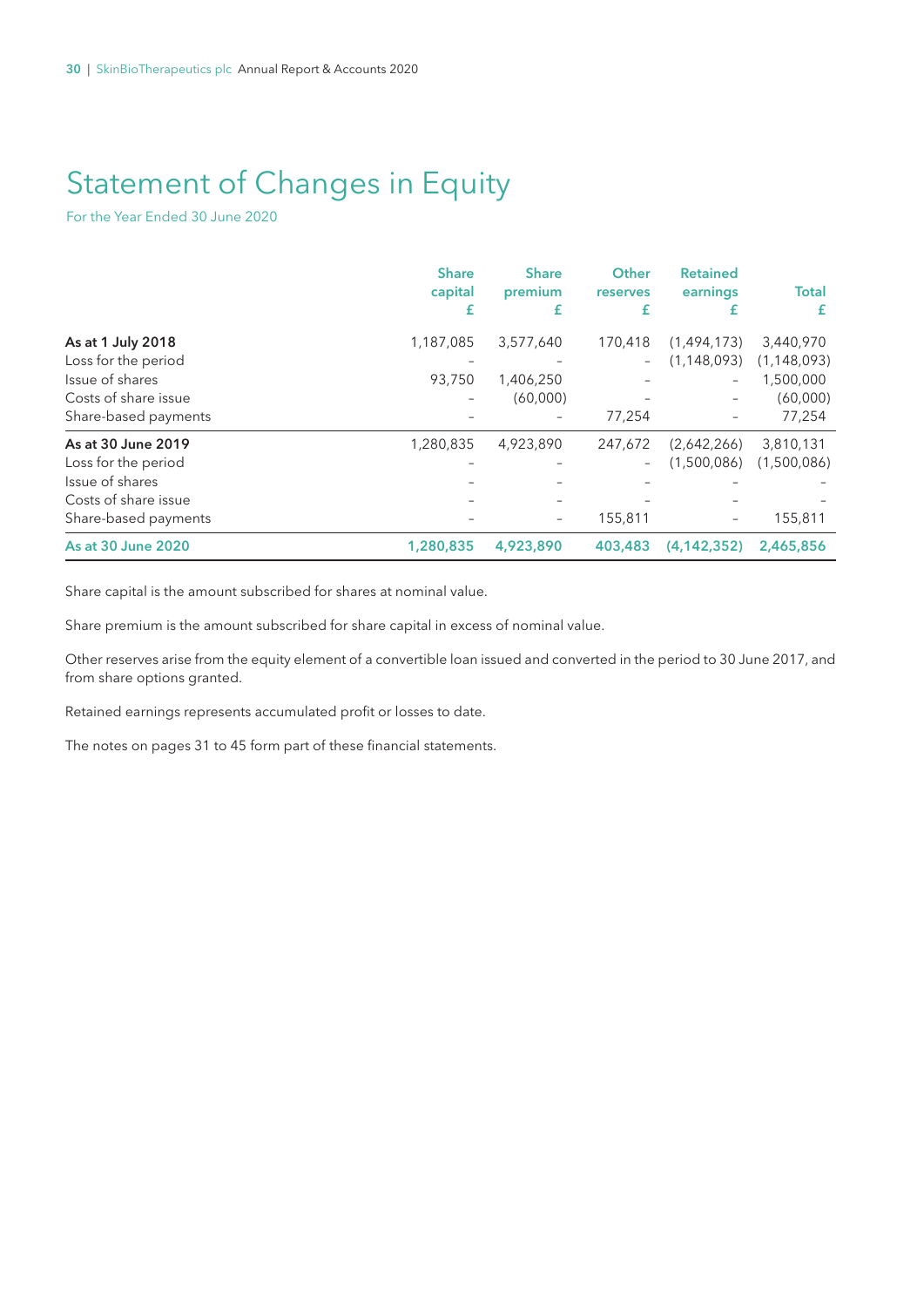# Statement of Changes in Equity

For the Year Ended 30 June 2020

|                                                                                                              | <b>Share</b><br>capital<br>£ | <b>Share</b><br>premium<br>£ | <b>Other</b><br><b>reserves</b><br>£           | <b>Retained</b><br>earnings     | <b>Total</b><br>£                   |
|--------------------------------------------------------------------------------------------------------------|------------------------------|------------------------------|------------------------------------------------|---------------------------------|-------------------------------------|
| As at 1 July 2018<br>Loss for the period                                                                     | 1,187,085                    | 3,577,640                    | 170,418<br>$\qquad \qquad -$                   | (1,494,173)<br>(1, 148, 093)    | 3,440,970<br>(1, 148, 093)          |
| Issue of shares<br>Costs of share issue<br>Share-based payments                                              | 93,750                       | 1,406,250<br>(60,000)        | 77,254                                         |                                 | 1,500,000<br>(60,000)<br>77,254     |
| As at 30 June 2019<br>Loss for the period<br>Issue of shares<br>Costs of share issue<br>Share-based payments | 1,280,835<br>-               | 4,923,890                    | 247,672<br>$\overline{\phantom{a}}$<br>155,811 | (2,642,266)<br>(1,500,086)<br>- | 3,810,131<br>(1,500,086)<br>155,811 |
| As at 30 June 2020                                                                                           | 1,280,835                    | 4,923,890                    | 403,483                                        | (4, 142, 352)                   | 2,465,856                           |

Share capital is the amount subscribed for shares at nominal value.

Share premium is the amount subscribed for share capital in excess of nominal value.

Other reserves arise from the equity element of a convertible loan issued and converted in the period to 30 June 2017, and from share options granted.

Retained earnings represents accumulated profit or losses to date.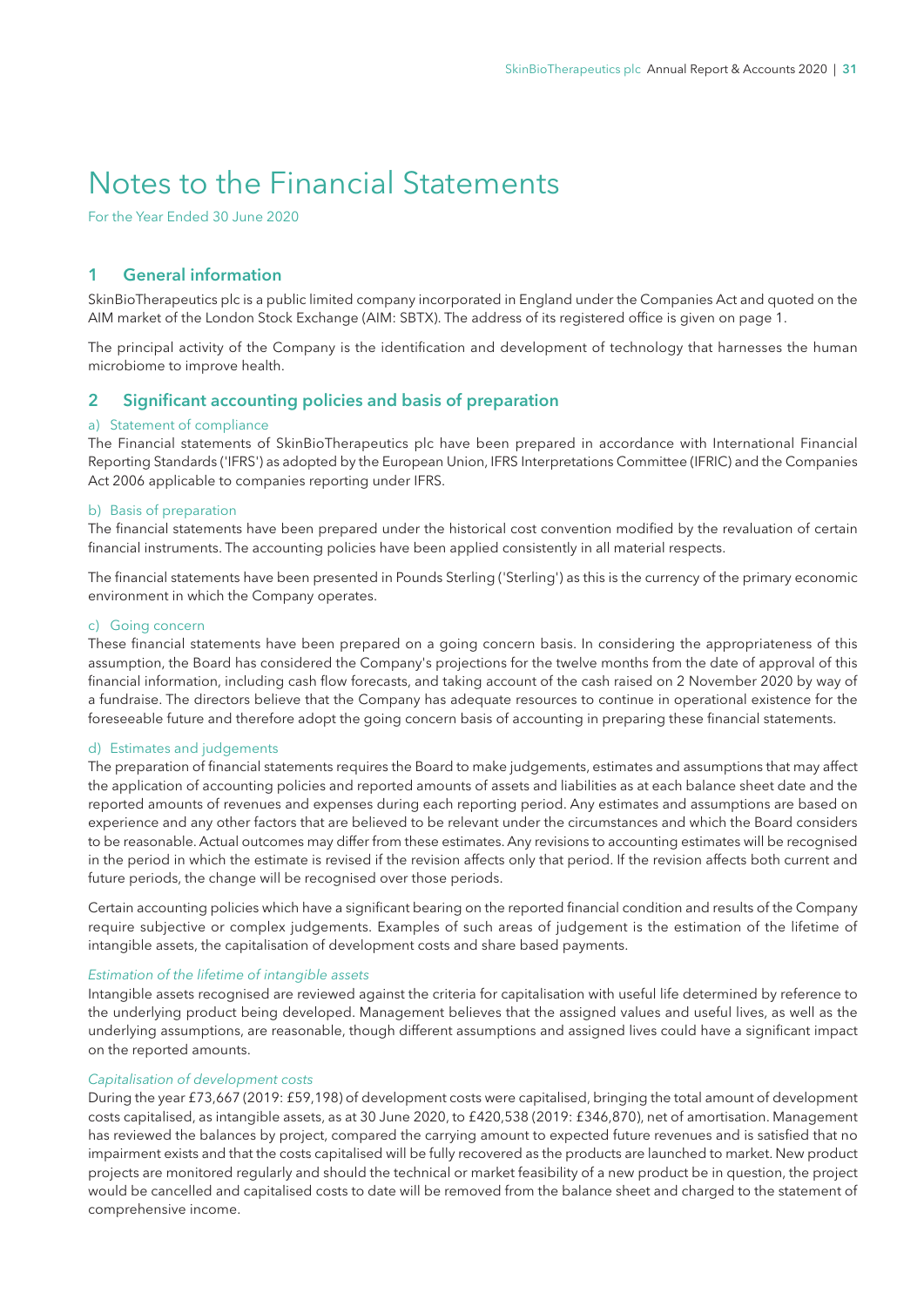# Notes to the Financial Statements

For the Year Ended 30 June 2020

# **1 General information**

SkinBioTherapeutics plc is a public limited company incorporated in England under the Companies Act and quoted on the AIM market of the London Stock Exchange (AIM: SBTX). The address of its registered office is given on page 1.

The principal activity of the Company is the identification and development of technology that harnesses the human microbiome to improve health.

# **2 Significant accounting policies and basis of preparation**

### a) Statement of compliance

The Financial statements of SkinBioTherapeutics plc have been prepared in accordance with International Financial Reporting Standards ('IFRS') as adopted by the European Union, IFRS Interpretations Committee (IFRIC) and the Companies Act 2006 applicable to companies reporting under IFRS.

### b) Basis of preparation

The financial statements have been prepared under the historical cost convention modified by the revaluation of certain financial instruments. The accounting policies have been applied consistently in all material respects.

The financial statements have been presented in Pounds Sterling ('Sterling') as this is the currency of the primary economic environment in which the Company operates.

### c) Going concern

These financial statements have been prepared on a going concern basis. In considering the appropriateness of this assumption, the Board has considered the Company's projections for the twelve months from the date of approval of this financial information, including cash flow forecasts, and taking account of the cash raised on 2 November 2020 by way of a fundraise. The directors believe that the Company has adequate resources to continue in operational existence for the foreseeable future and therefore adopt the going concern basis of accounting in preparing these financial statements.

### d) Estimates and judgements

The preparation of financial statements requires the Board to make judgements, estimates and assumptions that may affect the application of accounting policies and reported amounts of assets and liabilities as at each balance sheet date and the reported amounts of revenues and expenses during each reporting period. Any estimates and assumptions are based on experience and any other factors that are believed to be relevant under the circumstances and which the Board considers to be reasonable. Actual outcomes may differ from these estimates. Any revisions to accounting estimates will be recognised in the period in which the estimate is revised if the revision affects only that period. If the revision affects both current and future periods, the change will be recognised over those periods.

Certain accounting policies which have a significant bearing on the reported financial condition and results of the Company require subjective or complex judgements. Examples of such areas of judgement is the estimation of the lifetime of intangible assets, the capitalisation of development costs and share based payments.

### *Estimation of the lifetime of intangible assets*

Intangible assets recognised are reviewed against the criteria for capitalisation with useful life determined by reference to the underlying product being developed. Management believes that the assigned values and useful lives, as well as the underlying assumptions, are reasonable, though different assumptions and assigned lives could have a significant impact on the reported amounts.

### *Capitalisation of development costs*

During the year £73,667 (2019: £59,198) of development costs were capitalised, bringing the total amount of development costs capitalised, as intangible assets, as at 30 June 2020, to £420,538 (2019: £346,870), net of amortisation. Management has reviewed the balances by project, compared the carrying amount to expected future revenues and is satisfied that no impairment exists and that the costs capitalised will be fully recovered as the products are launched to market. New product projects are monitored regularly and should the technical or market feasibility of a new product be in question, the project would be cancelled and capitalised costs to date will be removed from the balance sheet and charged to the statement of comprehensive income.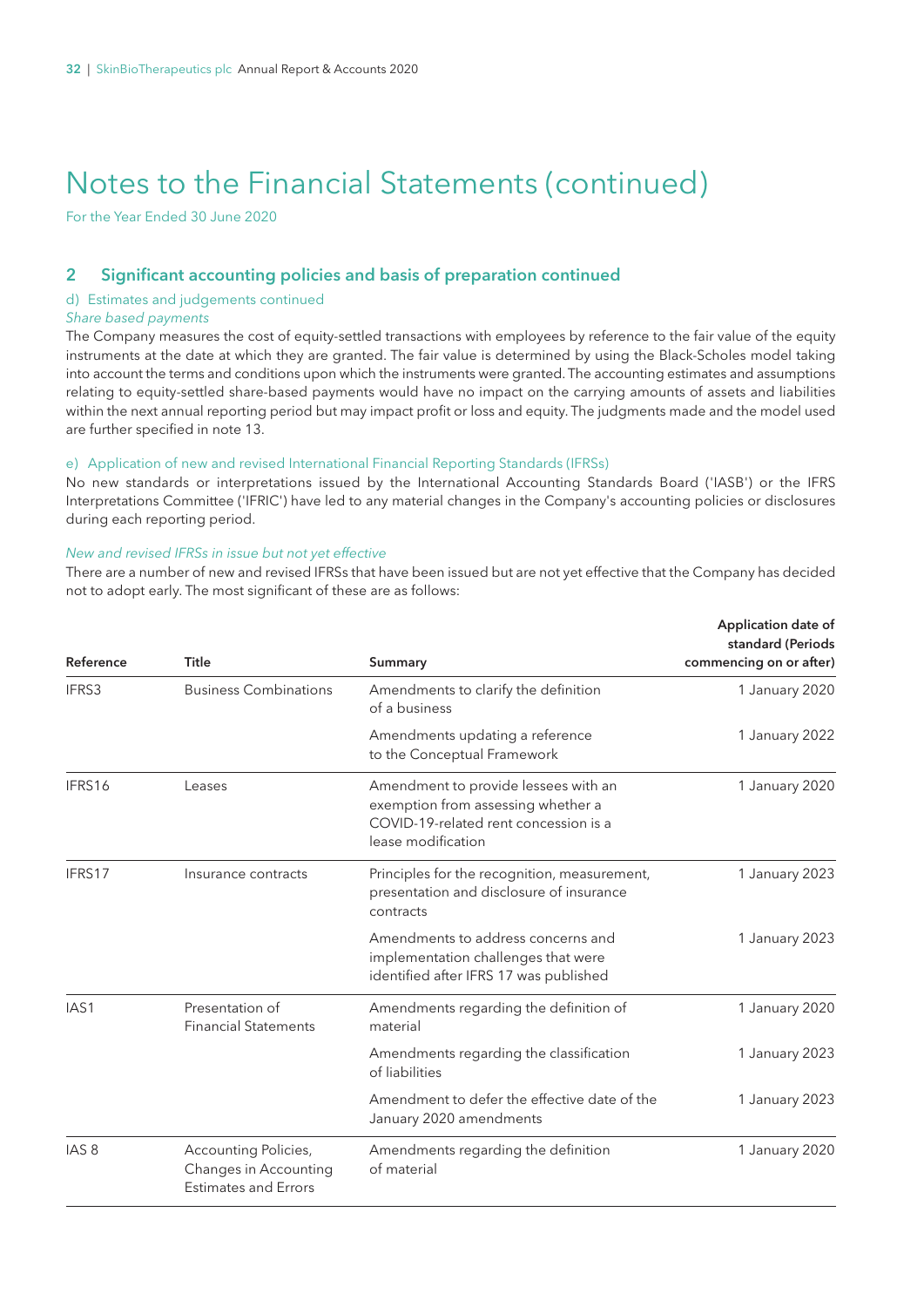# Notes to the Financial Statements (continued)

For the Year Ended 30 June 2020

### **2 Significant accounting policies and basis of preparation continued**

## d) Estimates and judgements continued

### *Share based payments*

The Company measures the cost of equity-settled transactions with employees by reference to the fair value of the equity instruments at the date at which they are granted. The fair value is determined by using the Black-Scholes model taking into account the terms and conditions upon which the instruments were granted. The accounting estimates and assumptions relating to equity-settled share-based payments would have no impact on the carrying amounts of assets and liabilities within the next annual reporting period but may impact profit or loss and equity. The judgments made and the model used are further specified in note 13.

### e) Application of new and revised International Financial Reporting Standards (IFRSs)

No new standards or interpretations issued by the International Accounting Standards Board ('IASB') or the IFRS Interpretations Committee ('IFRIC') have led to any material changes in the Company's accounting policies or disclosures during each reporting period.

### *New and revised IFRSs in issue but not yet effective*

There are a number of new and revised IFRSs that have been issued but are not yet effective that the Company has decided not to adopt early. The most significant of these are as follows:

| Reference        | Title                                                                        | <b>Summary</b>                                                                                                                            | Application date of<br>standard (Periods<br>commencing on or after) |
|------------------|------------------------------------------------------------------------------|-------------------------------------------------------------------------------------------------------------------------------------------|---------------------------------------------------------------------|
| IFRS3            | <b>Business Combinations</b>                                                 | Amendments to clarify the definition<br>of a business                                                                                     | 1 January 2020                                                      |
|                  |                                                                              | Amendments updating a reference<br>to the Conceptual Framework                                                                            | 1 January 2022                                                      |
| IFRS16           | Leases                                                                       | Amendment to provide lessees with an<br>exemption from assessing whether a<br>COVID-19-related rent concession is a<br>lease modification | 1 January 2020                                                      |
| IFRS17           | Insurance contracts                                                          | Principles for the recognition, measurement,<br>presentation and disclosure of insurance<br>contracts                                     | 1 January 2023                                                      |
|                  |                                                                              | Amendments to address concerns and<br>implementation challenges that were<br>identified after IFRS 17 was published                       | 1 January 2023                                                      |
| IAS1             | Presentation of<br><b>Financial Statements</b>                               | Amendments regarding the definition of<br>material                                                                                        | 1 January 2020                                                      |
|                  |                                                                              | Amendments regarding the classification<br>of liabilities                                                                                 | 1 January 2023                                                      |
|                  |                                                                              | Amendment to defer the effective date of the<br>January 2020 amendments                                                                   | 1 January 2023                                                      |
| IAS <sub>8</sub> | Accounting Policies,<br>Changes in Accounting<br><b>Estimates and Errors</b> | Amendments regarding the definition<br>of material                                                                                        | 1 January 2020                                                      |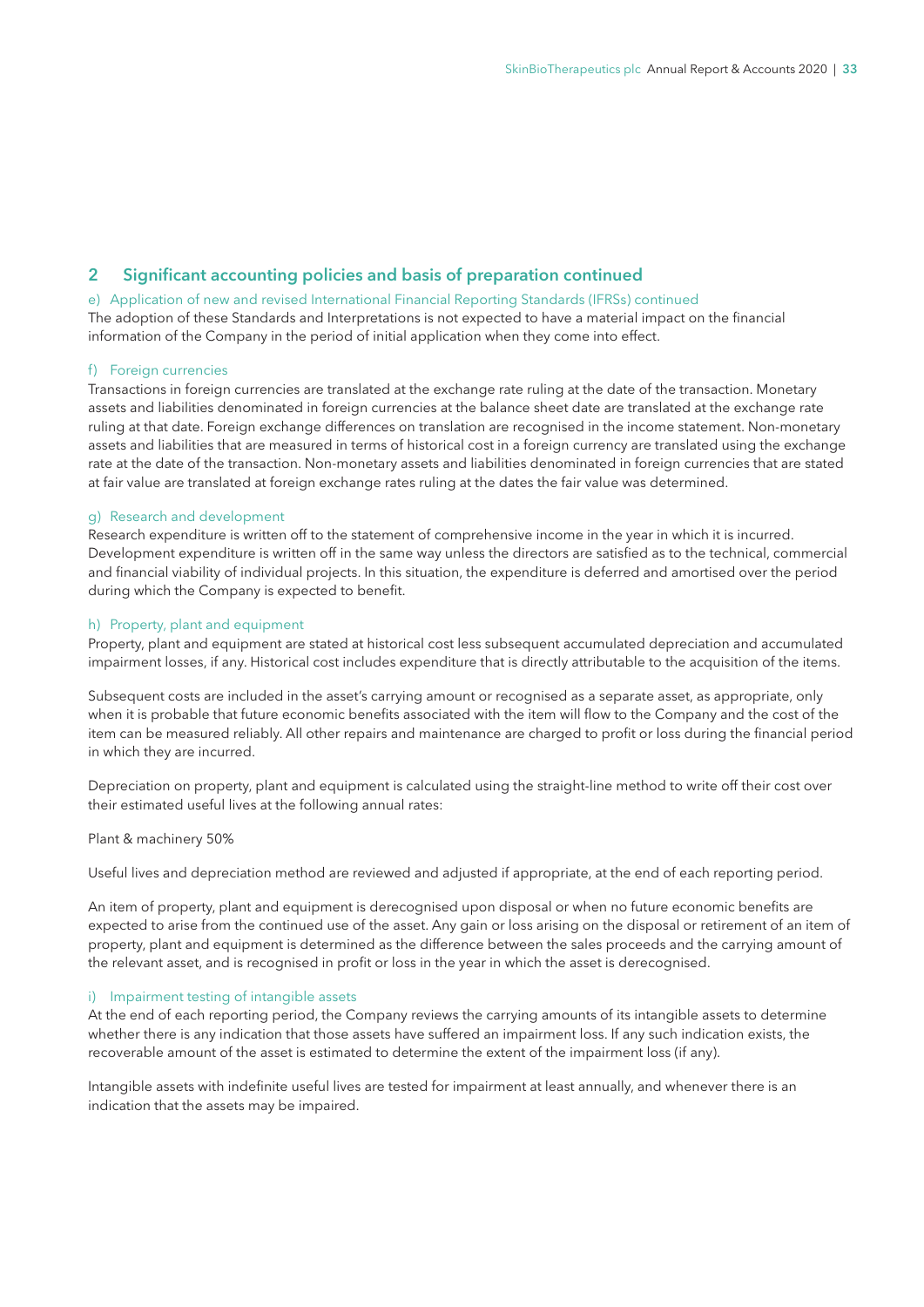## **2 Significant accounting policies and basis of preparation continued**

e) Application of new and revised International Financial Reporting Standards (IFRSs) continued The adoption of these Standards and Interpretations is not expected to have a material impact on the financial information of the Company in the period of initial application when they come into effect.

### f) Foreign currencies

Transactions in foreign currencies are translated at the exchange rate ruling at the date of the transaction. Monetary assets and liabilities denominated in foreign currencies at the balance sheet date are translated at the exchange rate ruling at that date. Foreign exchange differences on translation are recognised in the income statement. Non-monetary assets and liabilities that are measured in terms of historical cost in a foreign currency are translated using the exchange rate at the date of the transaction. Non-monetary assets and liabilities denominated in foreign currencies that are stated at fair value are translated at foreign exchange rates ruling at the dates the fair value was determined.

### g) Research and development

Research expenditure is written off to the statement of comprehensive income in the year in which it is incurred. Development expenditure is written off in the same way unless the directors are satisfied as to the technical, commercial and financial viability of individual projects. In this situation, the expenditure is deferred and amortised over the period during which the Company is expected to benefit.

### h) Property, plant and equipment

Property, plant and equipment are stated at historical cost less subsequent accumulated depreciation and accumulated impairment losses, if any. Historical cost includes expenditure that is directly attributable to the acquisition of the items.

Subsequent costs are included in the asset's carrying amount or recognised as a separate asset, as appropriate, only when it is probable that future economic benefits associated with the item will flow to the Company and the cost of the item can be measured reliably. All other repairs and maintenance are charged to profit or loss during the financial period in which they are incurred.

Depreciation on property, plant and equipment is calculated using the straight-line method to write off their cost over their estimated useful lives at the following annual rates:

Plant & machinery 50%

Useful lives and depreciation method are reviewed and adjusted if appropriate, at the end of each reporting period.

An item of property, plant and equipment is derecognised upon disposal or when no future economic benefits are expected to arise from the continued use of the asset. Any gain or loss arising on the disposal or retirement of an item of property, plant and equipment is determined as the difference between the sales proceeds and the carrying amount of the relevant asset, and is recognised in profit or loss in the year in which the asset is derecognised.

### i) Impairment testing of intangible assets

At the end of each reporting period, the Company reviews the carrying amounts of its intangible assets to determine whether there is any indication that those assets have suffered an impairment loss. If any such indication exists, the recoverable amount of the asset is estimated to determine the extent of the impairment loss (if any).

Intangible assets with indefinite useful lives are tested for impairment at least annually, and whenever there is an indication that the assets may be impaired.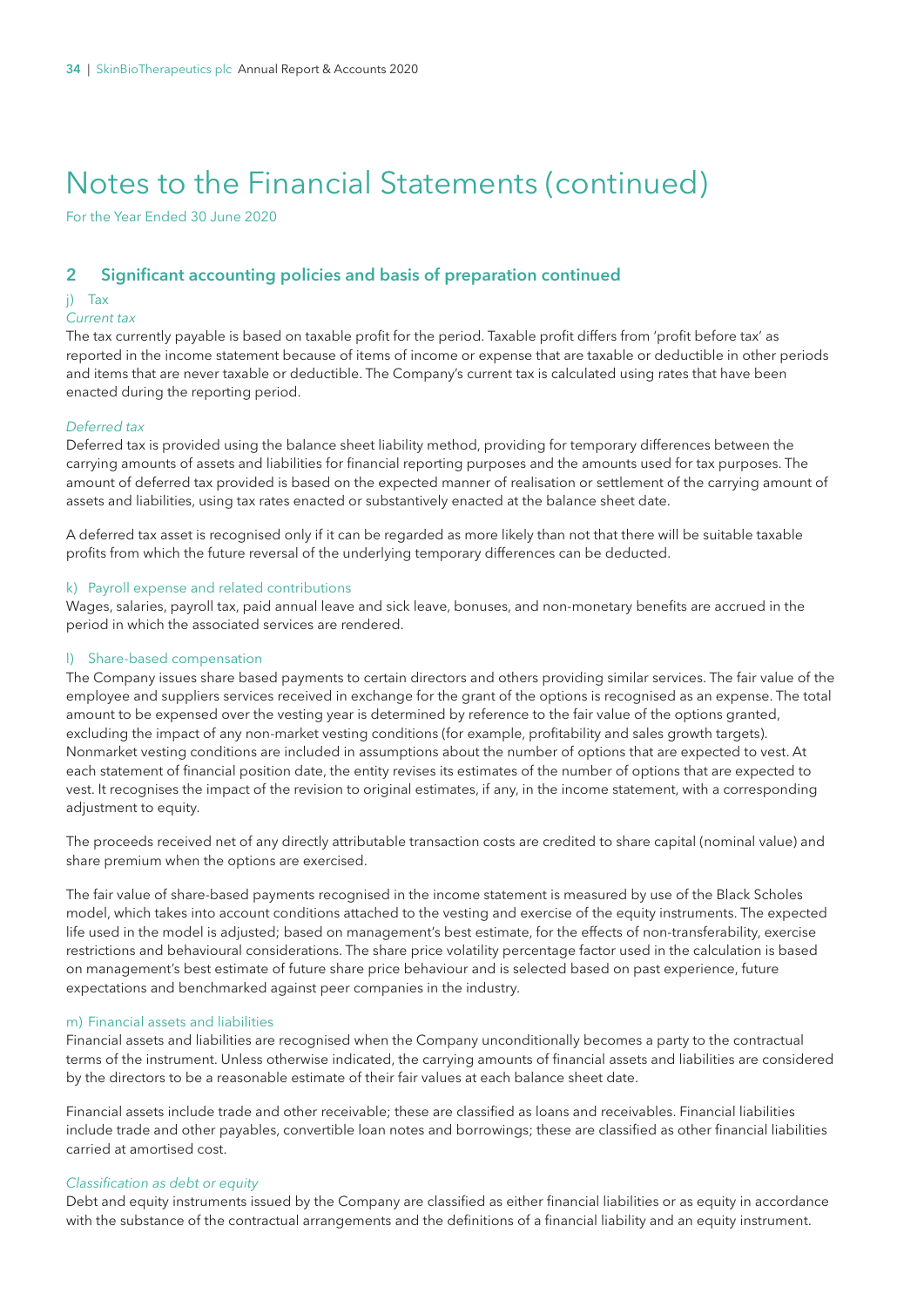# Notes to the Financial Statements (continued)

For the Year Ended 30 June 2020

### **2 Significant accounting policies and basis of preparation continued**

### j) Tax

### *Current tax*

The tax currently payable is based on taxable profit for the period. Taxable profit differs from 'profit before tax' as reported in the income statement because of items of income or expense that are taxable or deductible in other periods and items that are never taxable or deductible. The Company's current tax is calculated using rates that have been enacted during the reporting period.

### *Deferred tax*

Deferred tax is provided using the balance sheet liability method, providing for temporary differences between the carrying amounts of assets and liabilities for financial reporting purposes and the amounts used for tax purposes. The amount of deferred tax provided is based on the expected manner of realisation or settlement of the carrying amount of assets and liabilities, using tax rates enacted or substantively enacted at the balance sheet date.

A deferred tax asset is recognised only if it can be regarded as more likely than not that there will be suitable taxable profits from which the future reversal of the underlying temporary differences can be deducted.

### k) Payroll expense and related contributions

Wages, salaries, payroll tax, paid annual leave and sick leave, bonuses, and non-monetary benefits are accrued in the period in which the associated services are rendered.

### l) Share-based compensation

The Company issues share based payments to certain directors and others providing similar services. The fair value of the employee and suppliers services received in exchange for the grant of the options is recognised as an expense. The total amount to be expensed over the vesting year is determined by reference to the fair value of the options granted, excluding the impact of any non-market vesting conditions (for example, profitability and sales growth targets). Nonmarket vesting conditions are included in assumptions about the number of options that are expected to vest. At each statement of financial position date, the entity revises its estimates of the number of options that are expected to vest. It recognises the impact of the revision to original estimates, if any, in the income statement, with a corresponding adjustment to equity.

The proceeds received net of any directly attributable transaction costs are credited to share capital (nominal value) and share premium when the options are exercised.

The fair value of share-based payments recognised in the income statement is measured by use of the Black Scholes model, which takes into account conditions attached to the vesting and exercise of the equity instruments. The expected life used in the model is adjusted; based on management's best estimate, for the effects of non-transferability, exercise restrictions and behavioural considerations. The share price volatility percentage factor used in the calculation is based on management's best estimate of future share price behaviour and is selected based on past experience, future expectations and benchmarked against peer companies in the industry.

### m) Financial assets and liabilities

Financial assets and liabilities are recognised when the Company unconditionally becomes a party to the contractual terms of the instrument. Unless otherwise indicated, the carrying amounts of financial assets and liabilities are considered by the directors to be a reasonable estimate of their fair values at each balance sheet date.

Financial assets include trade and other receivable; these are classified as loans and receivables. Financial liabilities include trade and other payables, convertible loan notes and borrowings; these are classified as other financial liabilities carried at amortised cost.

### *Classification as debt or equity*

Debt and equity instruments issued by the Company are classified as either financial liabilities or as equity in accordance with the substance of the contractual arrangements and the definitions of a financial liability and an equity instrument.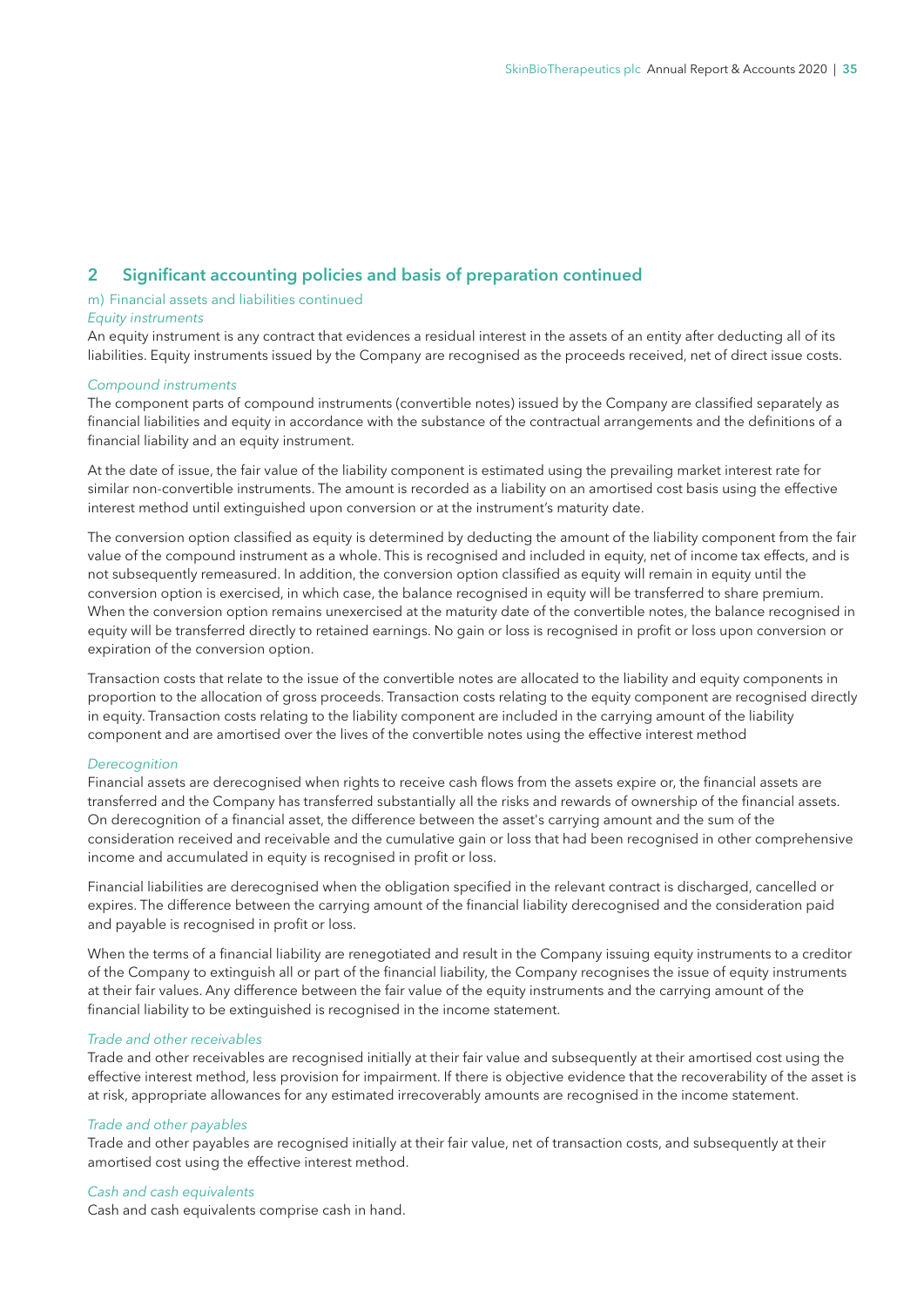## **2 Significant accounting policies and basis of preparation continued**

# m) Financial assets and liabilities continued

### *Equity instruments*

An equity instrument is any contract that evidences a residual interest in the assets of an entity after deducting all of its liabilities. Equity instruments issued by the Company are recognised as the proceeds received, net of direct issue costs.

### *Compound instruments*

The component parts of compound instruments (convertible notes) issued by the Company are classified separately as financial liabilities and equity in accordance with the substance of the contractual arrangements and the definitions of a financial liability and an equity instrument.

At the date of issue, the fair value of the liability component is estimated using the prevailing market interest rate for similar non-convertible instruments. The amount is recorded as a liability on an amortised cost basis using the effective interest method until extinguished upon conversion or at the instrument's maturity date.

The conversion option classified as equity is determined by deducting the amount of the liability component from the fair value of the compound instrument as a whole. This is recognised and included in equity, net of income tax effects, and is not subsequently remeasured. In addition, the conversion option classified as equity will remain in equity until the conversion option is exercised, in which case, the balance recognised in equity will be transferred to share premium. When the conversion option remains unexercised at the maturity date of the convertible notes, the balance recognised in equity will be transferred directly to retained earnings. No gain or loss is recognised in profit or loss upon conversion or expiration of the conversion option.

Transaction costs that relate to the issue of the convertible notes are allocated to the liability and equity components in proportion to the allocation of gross proceeds. Transaction costs relating to the equity component are recognised directly in equity. Transaction costs relating to the liability component are included in the carrying amount of the liability component and are amortised over the lives of the convertible notes using the effective interest method

### *Derecognition*

Financial assets are derecognised when rights to receive cash flows from the assets expire or, the financial assets are transferred and the Company has transferred substantially all the risks and rewards of ownership of the financial assets. On derecognition of a financial asset, the difference between the asset's carrying amount and the sum of the consideration received and receivable and the cumulative gain or loss that had been recognised in other comprehensive income and accumulated in equity is recognised in profit or loss.

Financial liabilities are derecognised when the obligation specified in the relevant contract is discharged, cancelled or expires. The difference between the carrying amount of the financial liability derecognised and the consideration paid and payable is recognised in profit or loss.

When the terms of a financial liability are renegotiated and result in the Company issuing equity instruments to a creditor of the Company to extinguish all or part of the financial liability, the Company recognises the issue of equity instruments at their fair values. Any difference between the fair value of the equity instruments and the carrying amount of the financial liability to be extinguished is recognised in the income statement.

#### *Trade and other receivables*

Trade and other receivables are recognised initially at their fair value and subsequently at their amortised cost using the effective interest method, less provision for impairment. If there is objective evidence that the recoverability of the asset is at risk, appropriate allowances for any estimated irrecoverably amounts are recognised in the income statement.

#### *Trade and other payables*

Trade and other payables are recognised initially at their fair value, net of transaction costs, and subsequently at their amortised cost using the effective interest method.

### *Cash and cash equivalents*

Cash and cash equivalents comprise cash in hand.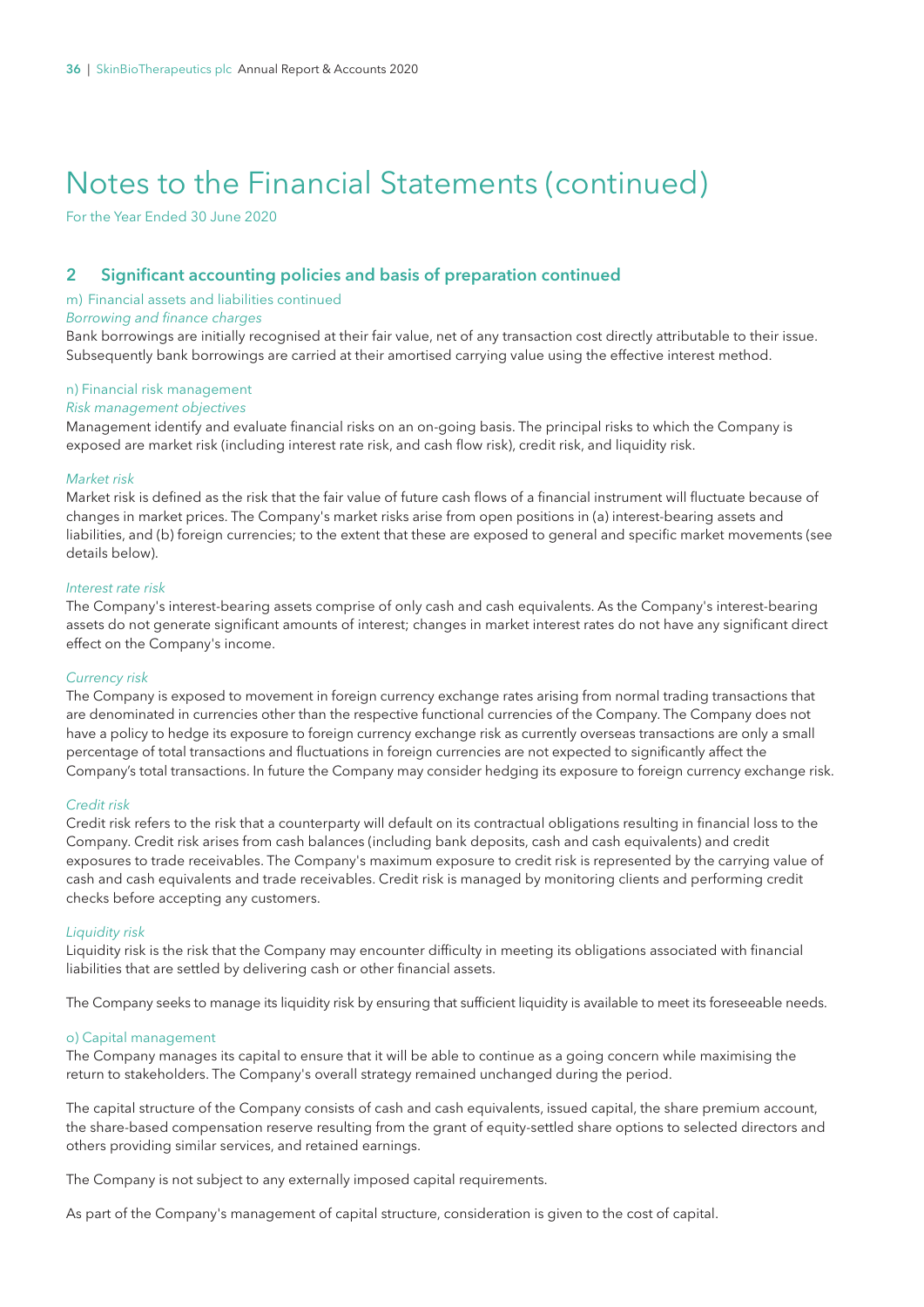# Notes to the Financial Statements (continued)

For the Year Ended 30 June 2020

### **2 Significant accounting policies and basis of preparation continued**

### m) Financial assets and liabilities continued

### *Borrowing and finance charges*

Bank borrowings are initially recognised at their fair value, net of any transaction cost directly attributable to their issue. Subsequently bank borrowings are carried at their amortised carrying value using the effective interest method.

### n) Financial risk management

### *Risk management objectives*

Management identify and evaluate financial risks on an on-going basis. The principal risks to which the Company is exposed are market risk (including interest rate risk, and cash flow risk), credit risk, and liquidity risk.

### *Market risk*

Market risk is defined as the risk that the fair value of future cash flows of a financial instrument will fluctuate because of changes in market prices. The Company's market risks arise from open positions in (a) interest-bearing assets and liabilities, and (b) foreign currencies; to the extent that these are exposed to general and specific market movements (see details below).

### *Interest rate risk*

The Company's interest-bearing assets comprise of only cash and cash equivalents. As the Company's interest-bearing assets do not generate significant amounts of interest; changes in market interest rates do not have any significant direct effect on the Company's income.

### *Currency risk*

The Company is exposed to movement in foreign currency exchange rates arising from normal trading transactions that are denominated in currencies other than the respective functional currencies of the Company. The Company does not have a policy to hedge its exposure to foreign currency exchange risk as currently overseas transactions are only a small percentage of total transactions and fluctuations in foreign currencies are not expected to significantly affect the Company's total transactions. In future the Company may consider hedging its exposure to foreign currency exchange risk.

### *Credit risk*

Credit risk refers to the risk that a counterparty will default on its contractual obligations resulting in financial loss to the Company. Credit risk arises from cash balances (including bank deposits, cash and cash equivalents) and credit exposures to trade receivables. The Company's maximum exposure to credit risk is represented by the carrying value of cash and cash equivalents and trade receivables. Credit risk is managed by monitoring clients and performing credit checks before accepting any customers.

### *Liquidity risk*

Liquidity risk is the risk that the Company may encounter difficulty in meeting its obligations associated with financial liabilities that are settled by delivering cash or other financial assets.

The Company seeks to manage its liquidity risk by ensuring that sufficient liquidity is available to meet its foreseeable needs.

### o) Capital management

The Company manages its capital to ensure that it will be able to continue as a going concern while maximising the return to stakeholders. The Company's overall strategy remained unchanged during the period.

The capital structure of the Company consists of cash and cash equivalents, issued capital, the share premium account, the share-based compensation reserve resulting from the grant of equity-settled share options to selected directors and others providing similar services, and retained earnings.

The Company is not subject to any externally imposed capital requirements.

As part of the Company's management of capital structure, consideration is given to the cost of capital.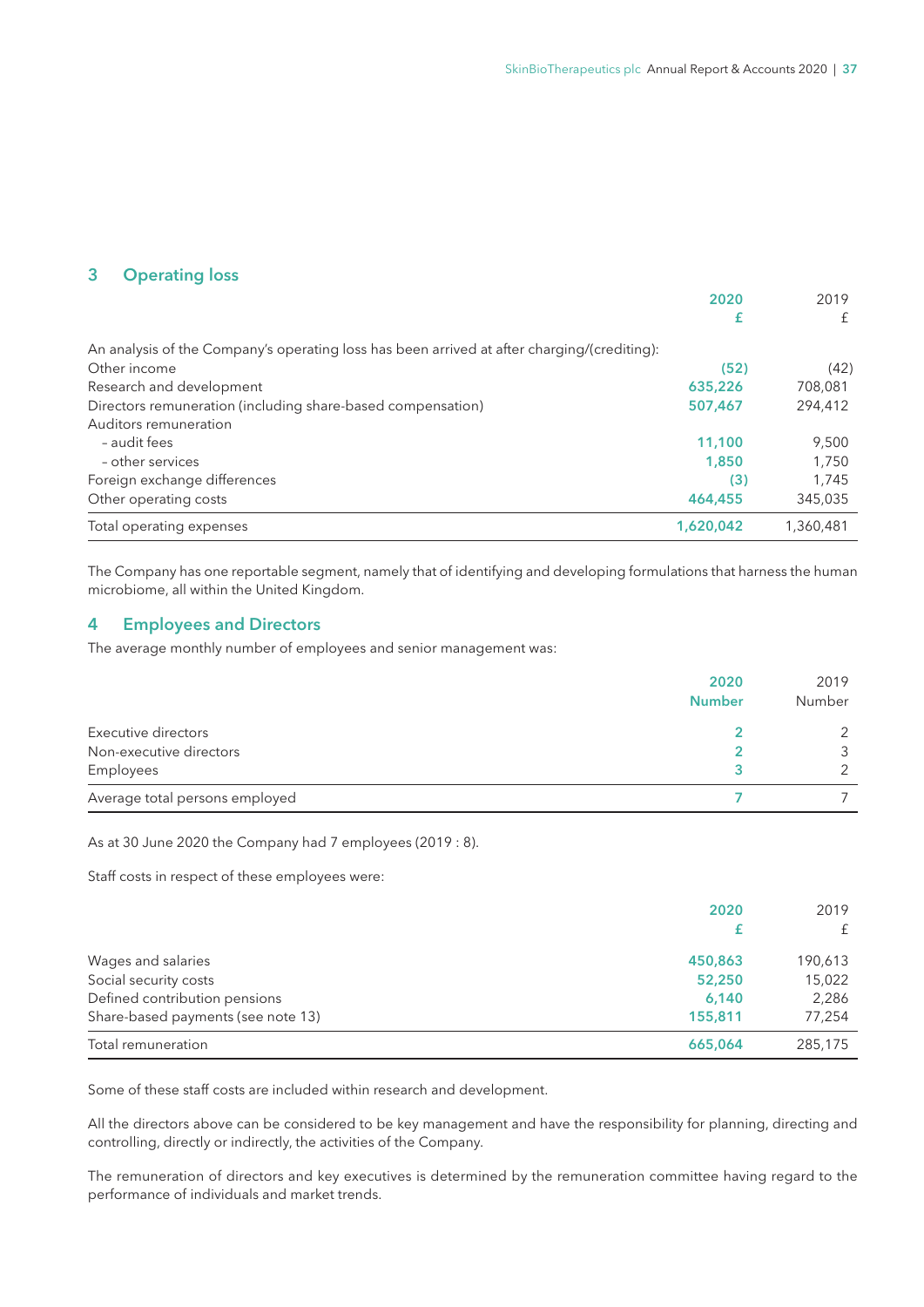# **3 Operating loss**

|                                                                                             | 2020<br>£ | 2019<br>£ |
|---------------------------------------------------------------------------------------------|-----------|-----------|
| An analysis of the Company's operating loss has been arrived at after charging/(crediting): |           |           |
| Other income                                                                                | (52)      | (42)      |
| Research and development                                                                    | 635,226   | 708,081   |
| Directors remuneration (including share-based compensation)                                 | 507,467   | 294,412   |
| Auditors remuneration                                                                       |           |           |
| - audit fees                                                                                | 11,100    | 9,500     |
| - other services                                                                            | 1,850     | 1,750     |
| Foreign exchange differences                                                                | (3)       | 1,745     |
| Other operating costs                                                                       | 464,455   | 345,035   |
| Total operating expenses                                                                    | 1,620,042 | 1,360,481 |

The Company has one reportable segment, namely that of identifying and developing formulations that harness the human microbiome, all within the United Kingdom.

# **4 Employees and Directors**

The average monthly number of employees and senior management was:

|                                | 2020<br><b>Number</b> | 2019<br>Number |
|--------------------------------|-----------------------|----------------|
| Executive directors            |                       |                |
| Non-executive directors        |                       |                |
| Employees                      |                       |                |
| Average total persons employed |                       |                |

As at 30 June 2020 the Company had 7 employees (2019 : 8).

Staff costs in respect of these employees were:

|                                    | 2020    | 2019    |
|------------------------------------|---------|---------|
|                                    |         |         |
| Wages and salaries                 | 450,863 | 190,613 |
| Social security costs              | 52,250  | 15,022  |
| Defined contribution pensions      | 6.140   | 2,286   |
| Share-based payments (see note 13) | 155,811 | 77.254  |
| Total remuneration                 | 665,064 | 285,175 |

Some of these staff costs are included within research and development.

All the directors above can be considered to be key management and have the responsibility for planning, directing and controlling, directly or indirectly, the activities of the Company.

The remuneration of directors and key executives is determined by the remuneration committee having regard to the performance of individuals and market trends.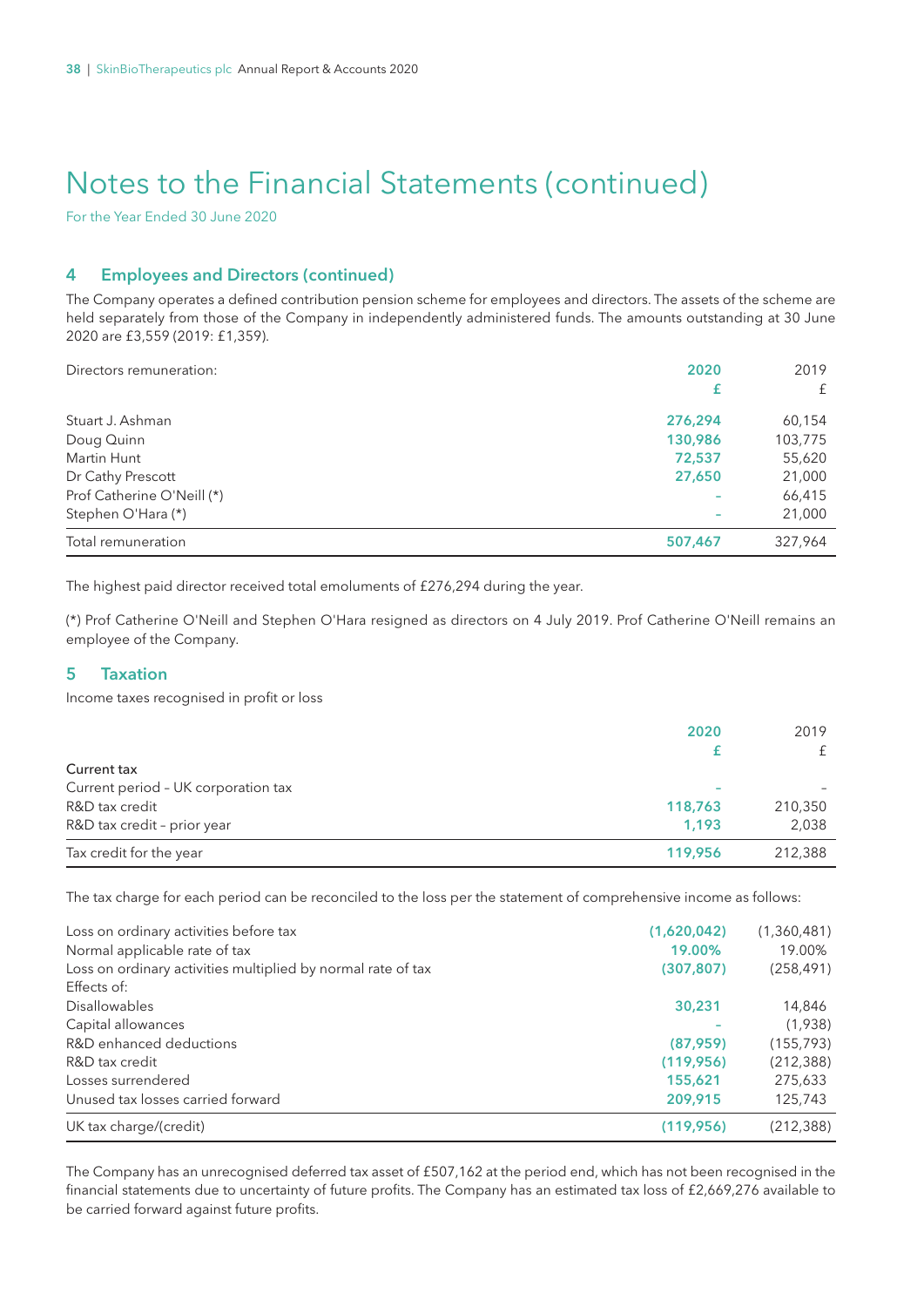# Notes to the Financial Statements (continued)

For the Year Ended 30 June 2020

# **4 Employees and Directors (continued)**

The Company operates a defined contribution pension scheme for employees and directors. The assets of the scheme are held separately from those of the Company in independently administered funds. The amounts outstanding at 30 June 2020 are £3,559 (2019: £1,359).

| Directors remuneration:    | 2020                     |         |
|----------------------------|--------------------------|---------|
|                            |                          |         |
| Stuart J. Ashman           | 276,294                  | 60,154  |
| Doug Quinn                 | 130,986                  | 103,775 |
| Martin Hunt                | 72,537                   | 55,620  |
| Dr Cathy Prescott          | 27,650                   | 21,000  |
| Prof Catherine O'Neill (*) |                          | 66,415  |
| Stephen O'Hara (*)         | $\overline{\phantom{a}}$ | 21,000  |
| Total remuneration         | 507,467                  | 327,964 |

The highest paid director received total emoluments of £276,294 during the year.

(\*) Prof Catherine O'Neill and Stephen O'Hara resigned as directors on 4 July 2019. Prof Catherine O'Neill remains an employee of the Company.

### **5 Taxation**

Income taxes recognised in profit or loss

|                                     | 2020    | 2019    |
|-------------------------------------|---------|---------|
| Current tax                         |         |         |
| Current period - UK corporation tax |         |         |
| R&D tax credit                      | 118,763 | 210,350 |
| R&D tax credit - prior year         | 1.193   | 2,038   |
| Tax credit for the year             | 119,956 | 212,388 |

The tax charge for each period can be reconciled to the loss per the statement of comprehensive income as follows:

| Loss on ordinary activities before tax                       | (1,620,042) | (1,360,481) |
|--------------------------------------------------------------|-------------|-------------|
| Normal applicable rate of tax                                | 19.00%      | 19.00%      |
| Loss on ordinary activities multiplied by normal rate of tax | (307, 807)  | (258, 491)  |
| Effects of:                                                  |             |             |
| <b>Disallowables</b>                                         | 30,231      | 14,846      |
| Capital allowances                                           |             | (1,938)     |
| R&D enhanced deductions                                      | (87,959)    | (155, 793)  |
| R&D tax credit                                               | (119, 956)  | (212, 388)  |
| Losses surrendered                                           | 155,621     | 275,633     |
| Unused tax losses carried forward                            | 209,915     | 125,743     |
| UK tax charge/(credit)                                       | (119, 956)  | (212, 388)  |

The Company has an unrecognised deferred tax asset of £507,162 at the period end, which has not been recognised in the financial statements due to uncertainty of future profits. The Company has an estimated tax loss of £2,669,276 available to be carried forward against future profits.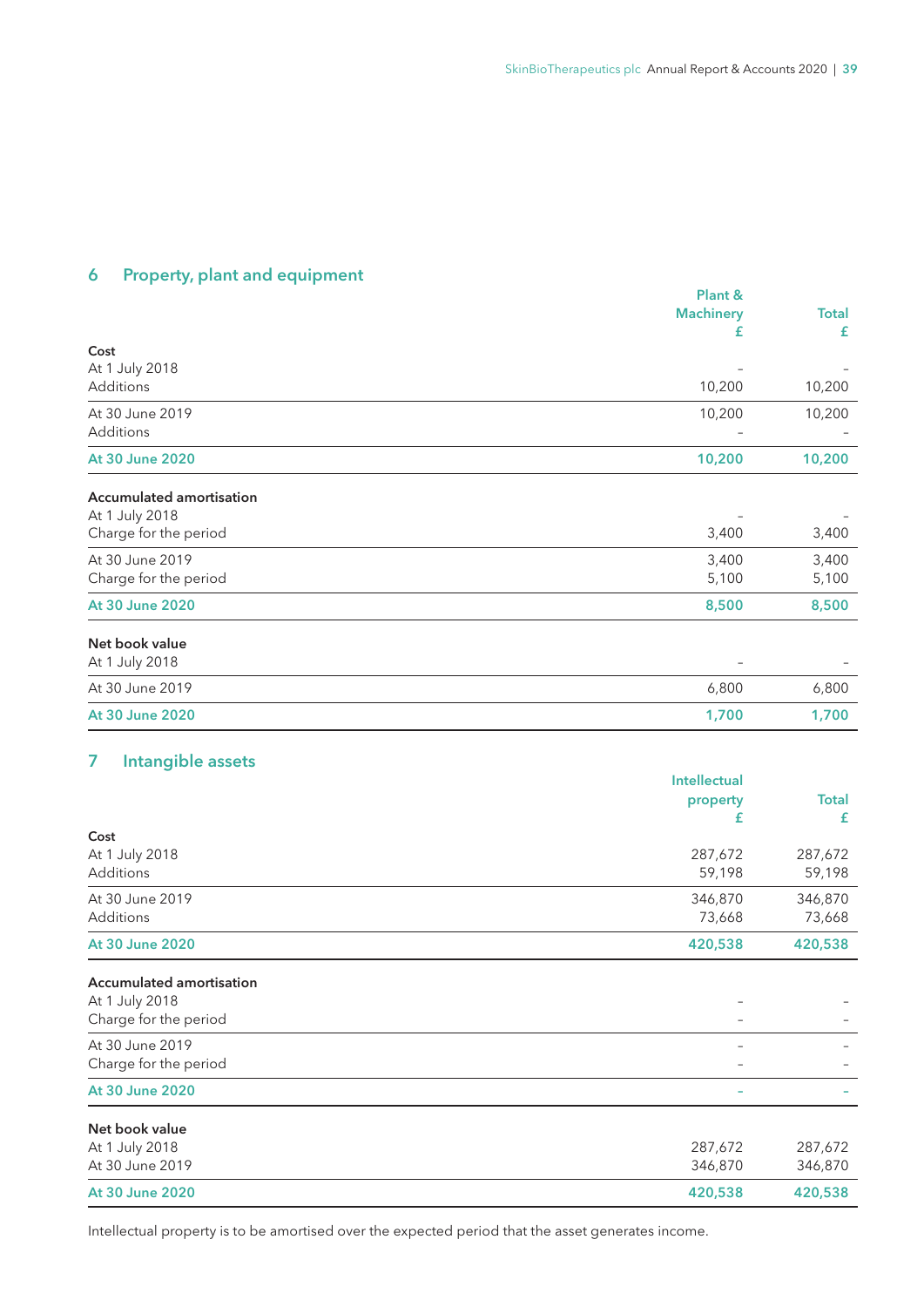# **6 Property, plant and equipment**

|                                 | Plant &               |                   |
|---------------------------------|-----------------------|-------------------|
|                                 | <b>Machinery</b><br>£ | <b>Total</b><br>£ |
| Cost                            |                       |                   |
| At 1 July 2018                  |                       |                   |
| Additions                       | 10,200                | 10,200            |
| At 30 June 2019                 | 10,200                | 10,200            |
| Additions                       |                       |                   |
| At 30 June 2020                 | 10,200                | 10,200            |
| <b>Accumulated amortisation</b> |                       |                   |
| At 1 July 2018                  |                       |                   |
| Charge for the period           | 3,400                 | 3,400             |
| At 30 June 2019                 | 3,400                 | 3,400             |
| Charge for the period           | 5,100                 | 5,100             |
| At 30 June 2020                 | 8,500                 | 8,500             |
| Net book value                  |                       |                   |
| At 1 July 2018                  |                       |                   |
| At 30 June 2019                 | 6,800                 | 6,800             |
| At 30 June 2020                 | 1,700                 | 1,700             |

# **7 Intangible assets**

|                          | <b>Intellectual</b> |              |
|--------------------------|---------------------|--------------|
|                          | property            | <b>Total</b> |
|                          | £                   | £            |
| Cost                     |                     |              |
| At 1 July 2018           | 287,672             | 287,672      |
| Additions                | 59,198              | 59,198       |
| At 30 June 2019          | 346,870             | 346,870      |
| Additions                | 73,668              | 73,668       |
| At 30 June 2020          | 420,538             | 420,538      |
| Accumulated amortisation |                     |              |
| At 1 July 2018           |                     |              |
| Charge for the period    |                     |              |
| At 30 June 2019          |                     |              |
| Charge for the period    |                     |              |
| At 30 June 2020          |                     |              |
| Net book value           |                     |              |
| At 1 July 2018           | 287,672             | 287,672      |
| At 30 June 2019          | 346,870             | 346,870      |
| At 30 June 2020          | 420,538             | 420,538      |

Intellectual property is to be amortised over the expected period that the asset generates income.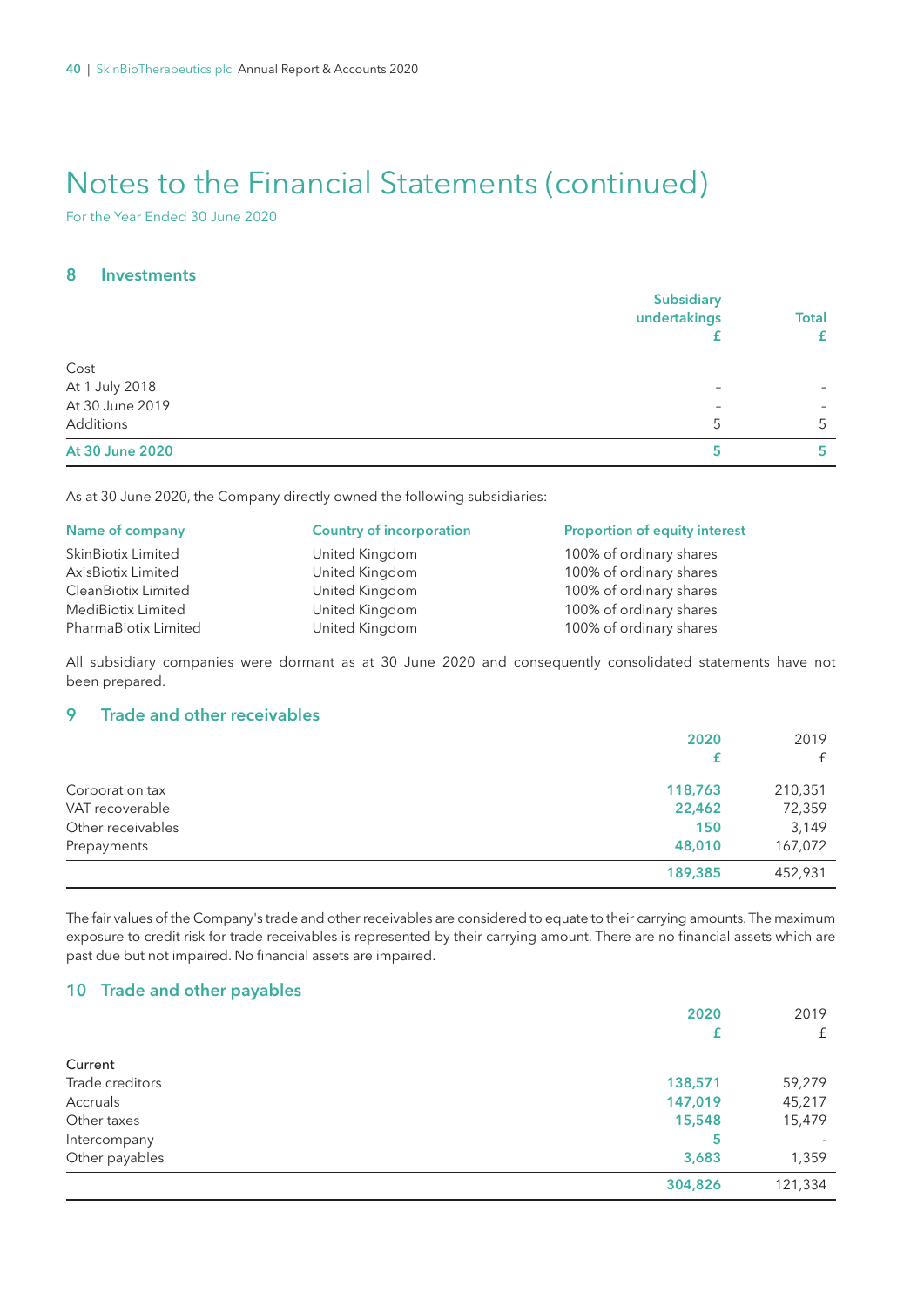# Notes to the Financial Statements (continued)

For the Year Ended 30 June 2020

### **8 Investments**

|                 | <b>Subsidiary</b>        |              |
|-----------------|--------------------------|--------------|
|                 | undertakings             | <b>Total</b> |
|                 |                          |              |
| Cost            |                          |              |
| At 1 July 2018  | -                        | -            |
| At 30 June 2019 | $\overline{\phantom{a}}$ | -            |
| Additions       | 5                        | 5            |
| At 30 June 2020 |                          | 5            |

As at 30 June 2020, the Company directly owned the following subsidiaries:

| Name of company      | <b>Country of incorporation</b> | <b>Proportion of equity interest</b> |
|----------------------|---------------------------------|--------------------------------------|
| SkinBiotix Limited   | United Kingdom                  | 100% of ordinary shares              |
| AxisBiotix Limited   | United Kingdom                  | 100% of ordinary shares              |
| CleanBiotix Limited  | United Kingdom                  | 100% of ordinary shares              |
| MediBiotix Limited   | United Kingdom                  | 100% of ordinary shares              |
| PharmaBiotix Limited | United Kingdom                  | 100% of ordinary shares              |

All subsidiary companies were dormant as at 30 June 2020 and consequently consolidated statements have not been prepared.

# **9 Trade and other receivables**

|                   | 2020    | 2019    |
|-------------------|---------|---------|
|                   |         |         |
| Corporation tax   | 118,763 | 210,351 |
| VAT recoverable   | 22,462  | 72,359  |
| Other receivables | 150     | 3,149   |
| Prepayments       | 48,010  | 167,072 |
|                   | 189,385 | 452,931 |

The fair values of the Company's trade and other receivables are considered to equate to their carrying amounts. The maximum exposure to credit risk for trade receivables is represented by their carrying amount. There are no financial assets which are past due but not impaired. No financial assets are impaired.

## **10 Trade and other payables**

|                 | 2020    | 2019    |
|-----------------|---------|---------|
|                 |         | £       |
| Current         |         |         |
| Trade creditors | 138,571 | 59,279  |
| Accruals        | 147,019 | 45,217  |
| Other taxes     | 15,548  | 15,479  |
| Intercompany    | 5       |         |
| Other payables  | 3,683   | 1,359   |
|                 | 304,826 | 121,334 |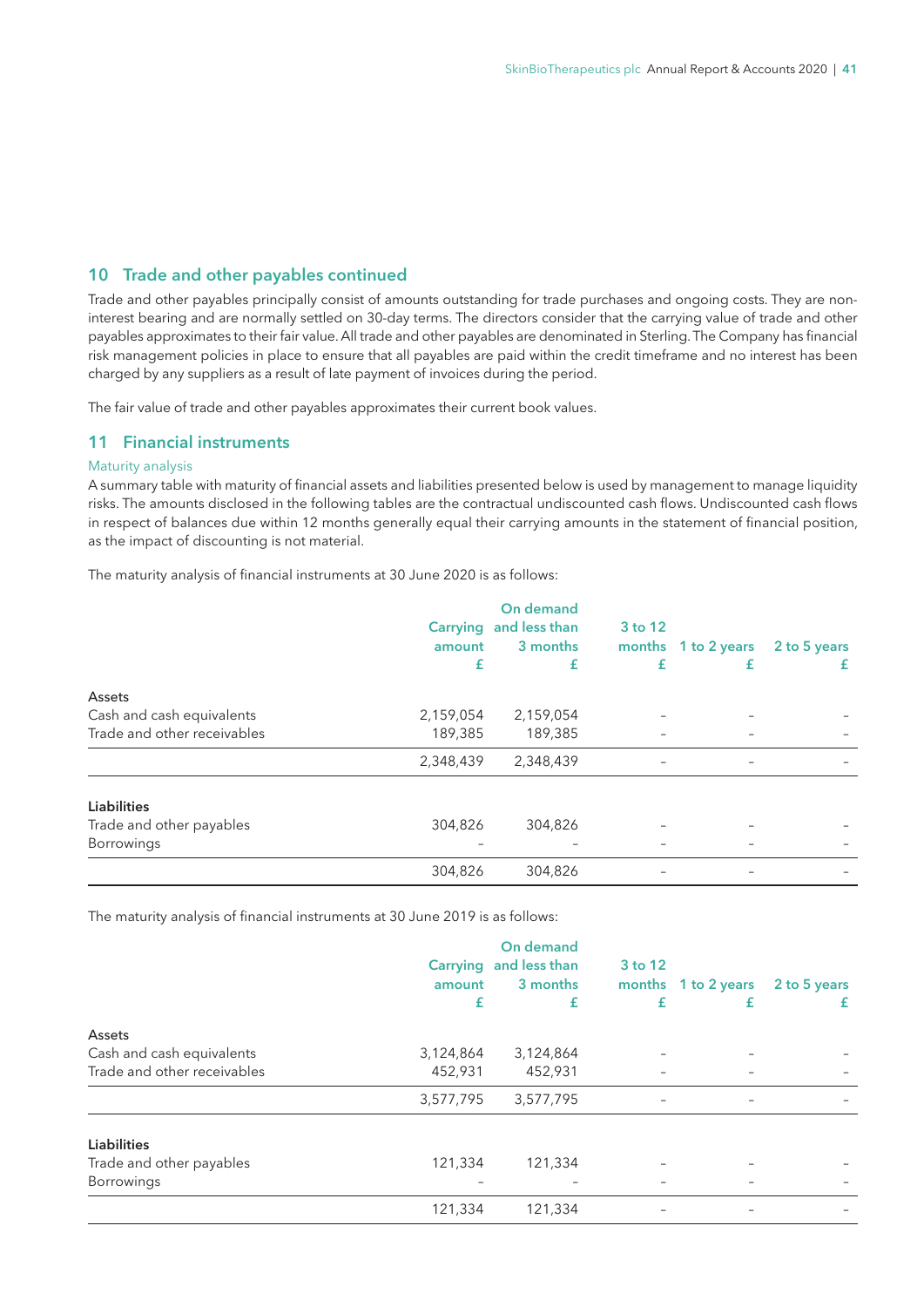# **10 Trade and other payables continued**

Trade and other payables principally consist of amounts outstanding for trade purchases and ongoing costs. They are noninterest bearing and are normally settled on 30-day terms. The directors consider that the carrying value of trade and other payables approximates to their fair value. All trade and other payables are denominated in Sterling. The Company has financial risk management policies in place to ensure that all payables are paid within the credit timeframe and no interest has been charged by any suppliers as a result of late payment of invoices during the period.

The fair value of trade and other payables approximates their current book values.

### **11 Financial instruments**

### Maturity analysis

A summary table with maturity of financial assets and liabilities presented below is used by management to manage liquidity risks. The amounts disclosed in the following tables are the contractual undiscounted cash flows. Undiscounted cash flows in respect of balances due within 12 months generally equal their carrying amounts in the statement of financial position, as the impact of discounting is not material.

The maturity analysis of financial instruments at 30 June 2020 is as follows:

|                             | <b>Carrying</b><br>amount<br>£ | On demand<br>and less than<br>3 months<br>£ | 3 to 12<br>£ | months 1 to 2 years<br>£ | 2 to 5 years<br>£ |
|-----------------------------|--------------------------------|---------------------------------------------|--------------|--------------------------|-------------------|
| Assets                      |                                |                                             |              |                          |                   |
| Cash and cash equivalents   | 2,159,054                      | 2,159,054                                   |              |                          |                   |
| Trade and other receivables | 189,385                        | 189,385                                     |              |                          |                   |
|                             | 2,348,439                      | 2,348,439                                   |              |                          |                   |
| <b>Liabilities</b>          |                                |                                             |              |                          |                   |
| Trade and other payables    | 304,826                        | 304,826                                     |              |                          |                   |
| <b>Borrowings</b>           |                                |                                             |              |                          |                   |
|                             | 304,826                        | 304,826                                     |              |                          |                   |

The maturity analysis of financial instruments at 30 June 2019 is as follows:

|                             | <b>Carrying</b><br>amount<br>£ | On demand<br>and less than<br>3 months<br>£ | 3 to 12<br>£ | months 1 to 2 years<br>£ | 2 to 5 years<br>£ |
|-----------------------------|--------------------------------|---------------------------------------------|--------------|--------------------------|-------------------|
| Assets                      |                                |                                             |              |                          |                   |
| Cash and cash equivalents   | 3,124,864                      | 3,124,864                                   |              |                          |                   |
| Trade and other receivables | 452,931                        | 452,931                                     |              |                          |                   |
|                             | 3,577,795                      | 3,577,795                                   |              |                          |                   |
| <b>Liabilities</b>          |                                |                                             |              |                          |                   |
| Trade and other payables    | 121,334                        | 121,334                                     |              |                          |                   |
| <b>Borrowings</b>           |                                |                                             |              |                          |                   |
|                             | 121,334                        | 121,334                                     |              |                          |                   |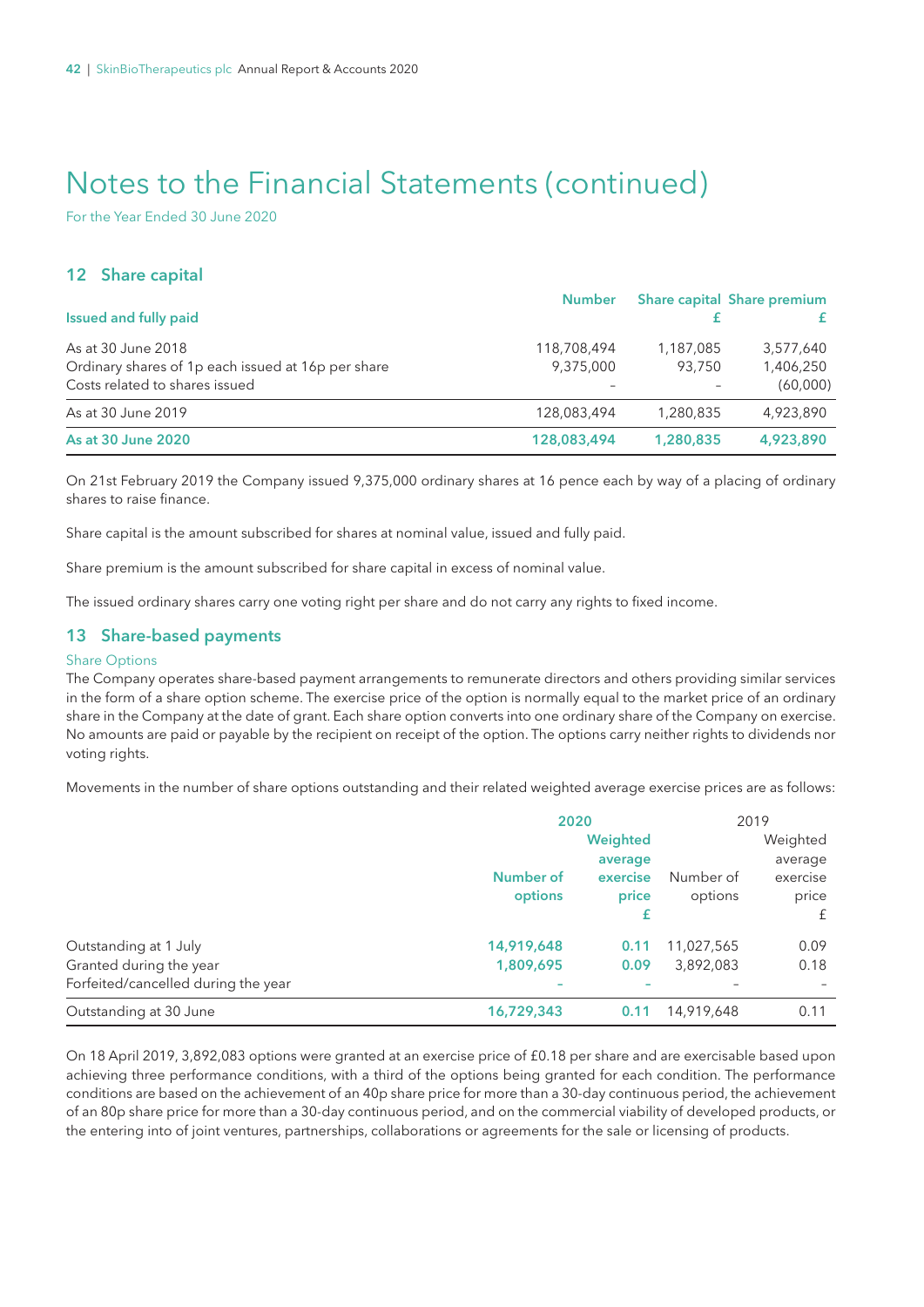# Notes to the Financial Statements (continued)

For the Year Ended 30 June 2020

# **12 Share capital**

|                                                    | <b>Number</b> |           | Share capital Share premium |
|----------------------------------------------------|---------------|-----------|-----------------------------|
| Issued and fully paid                              |               |           |                             |
| As at 30 June 2018                                 | 118,708,494   | 1,187,085 | 3,577,640                   |
| Ordinary shares of 1p each issued at 16p per share | 9,375,000     | 93,750    | 1,406,250                   |
| Costs related to shares issued                     |               |           | (60,000)                    |
| As at 30 June 2019                                 | 128,083,494   | 1,280,835 | 4,923,890                   |
| As at 30 June 2020                                 | 128,083,494   | 1,280,835 | 4,923,890                   |

On 21st February 2019 the Company issued 9,375,000 ordinary shares at 16 pence each by way of a placing of ordinary shares to raise finance.

Share capital is the amount subscribed for shares at nominal value, issued and fully paid.

Share premium is the amount subscribed for share capital in excess of nominal value.

The issued ordinary shares carry one voting right per share and do not carry any rights to fixed income.

# **13 Share-based payments**

### Share Options

The Company operates share-based payment arrangements to remunerate directors and others providing similar services in the form of a share option scheme. The exercise price of the option is normally equal to the market price of an ordinary share in the Company at the date of grant. Each share option converts into one ordinary share of the Company on exercise. No amounts are paid or payable by the recipient on receipt of the option. The options carry neither rights to dividends nor voting rights.

Movements in the number of share options outstanding and their related weighted average exercise prices are as follows:

|                                     | 2020       |          | 2019       |          |  |
|-------------------------------------|------------|----------|------------|----------|--|
|                                     | Weighted   |          |            | Weighted |  |
|                                     |            | average  |            | average  |  |
|                                     | Number of  | exercise | Number of  | exercise |  |
|                                     | options    | price    | options    | price    |  |
|                                     |            | £        |            | £        |  |
| Outstanding at 1 July               | 14,919,648 | 0.11     | 11,027,565 | 0.09     |  |
| Granted during the year             | 1,809,695  | 0.09     | 3,892,083  | 0.18     |  |
| Forfeited/cancelled during the year |            |          |            |          |  |
| Outstanding at 30 June              | 16,729,343 | 0.11     | 14,919,648 | 0.11     |  |

On 18 April 2019, 3,892,083 options were granted at an exercise price of £0.18 per share and are exercisable based upon achieving three performance conditions, with a third of the options being granted for each condition. The performance conditions are based on the achievement of an 40p share price for more than a 30-day continuous period, the achievement of an 80p share price for more than a 30-day continuous period, and on the commercial viability of developed products, or the entering into of joint ventures, partnerships, collaborations or agreements for the sale or licensing of products.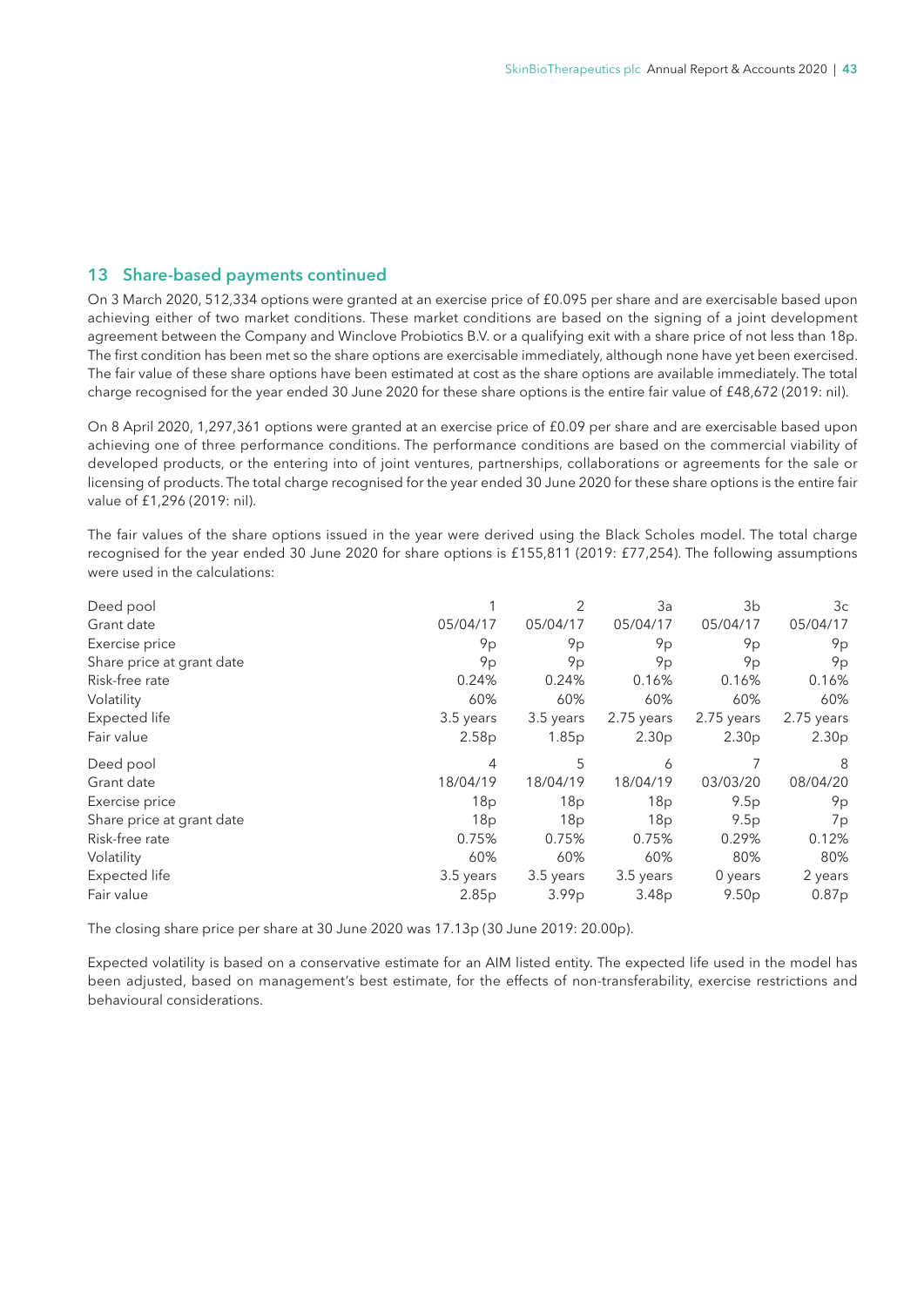## **13 Share-based payments continued**

On 3 March 2020, 512,334 options were granted at an exercise price of £0.095 per share and are exercisable based upon achieving either of two market conditions. These market conditions are based on the signing of a joint development agreement between the Company and Winclove Probiotics B.V. or a qualifying exit with a share price of not less than 18p. The first condition has been met so the share options are exercisable immediately, although none have yet been exercised. The fair value of these share options have been estimated at cost as the share options are available immediately. The total charge recognised for the year ended 30 June 2020 for these share options is the entire fair value of £48,672 (2019: nil).

On 8 April 2020, 1,297,361 options were granted at an exercise price of £0.09 per share and are exercisable based upon achieving one of three performance conditions. The performance conditions are based on the commercial viability of developed products, or the entering into of joint ventures, partnerships, collaborations or agreements for the sale or licensing of products. The total charge recognised for the year ended 30 June 2020 for these share options is the entire fair value of £1,296 (2019: nil).

The fair values of the share options issued in the year were derived using the Black Scholes model. The total charge recognised for the year ended 30 June 2020 for share options is £155,811 (2019: £77,254). The following assumptions were used in the calculations:

| Deed pool                 |           | 2                 | 3a                | 3b                | 3c         |
|---------------------------|-----------|-------------------|-------------------|-------------------|------------|
| Grant date                | 05/04/17  | 05/04/17          | 05/04/17          | 05/04/17          | 05/04/17   |
| Exercise price            | 9p        | 9p                | 9p                | 9p                | 9p         |
| Share price at grant date | 9p        | 9p                | 9p                | 9p                | 9p         |
| Risk-free rate            | 0.24%     | 0.24%             | 0.16%             | 0.16%             | 0.16%      |
| Volatility                | 60%       | 60%               | 60%               | 60%               | 60%        |
| Expected life             | 3.5 years | 3.5 years         | 2.75 years        | 2.75 years        | 2.75 years |
| Fair value                | 2.58p     | 1.85p             | 2.30 <sub>p</sub> | 2.30 <sub>p</sub> | 2.30p      |
| Deed pool                 | 4         | 5                 | 6                 |                   | 8          |
| Grant date                | 18/04/19  | 18/04/19          | 18/04/19          | 03/03/20          | 08/04/20   |
| Exercise price            | 18p       | 18p               | 18p               | 9.5p              | 9p         |
| Share price at grant date | 18p       | 18p               | 18p               | 9.5p              | 7p         |
| Risk-free rate            | 0.75%     | 0.75%             | 0.75%             | 0.29%             | 0.12%      |
| Volatility                | 60%       | 60%               | 60%               | 80%               | 80%        |
| Expected life             | 3.5 years | 3.5 years         | 3.5 years         | 0 years           | 2 years    |
| Fair value                | 2.85p     | 3.99 <sub>p</sub> | 3.48p             | 9.50 <sub>p</sub> | 0.87p      |

The closing share price per share at 30 June 2020 was 17.13p (30 June 2019: 20.00p).

Expected volatility is based on a conservative estimate for an AIM listed entity. The expected life used in the model has been adjusted, based on management's best estimate, for the effects of non-transferability, exercise restrictions and behavioural considerations.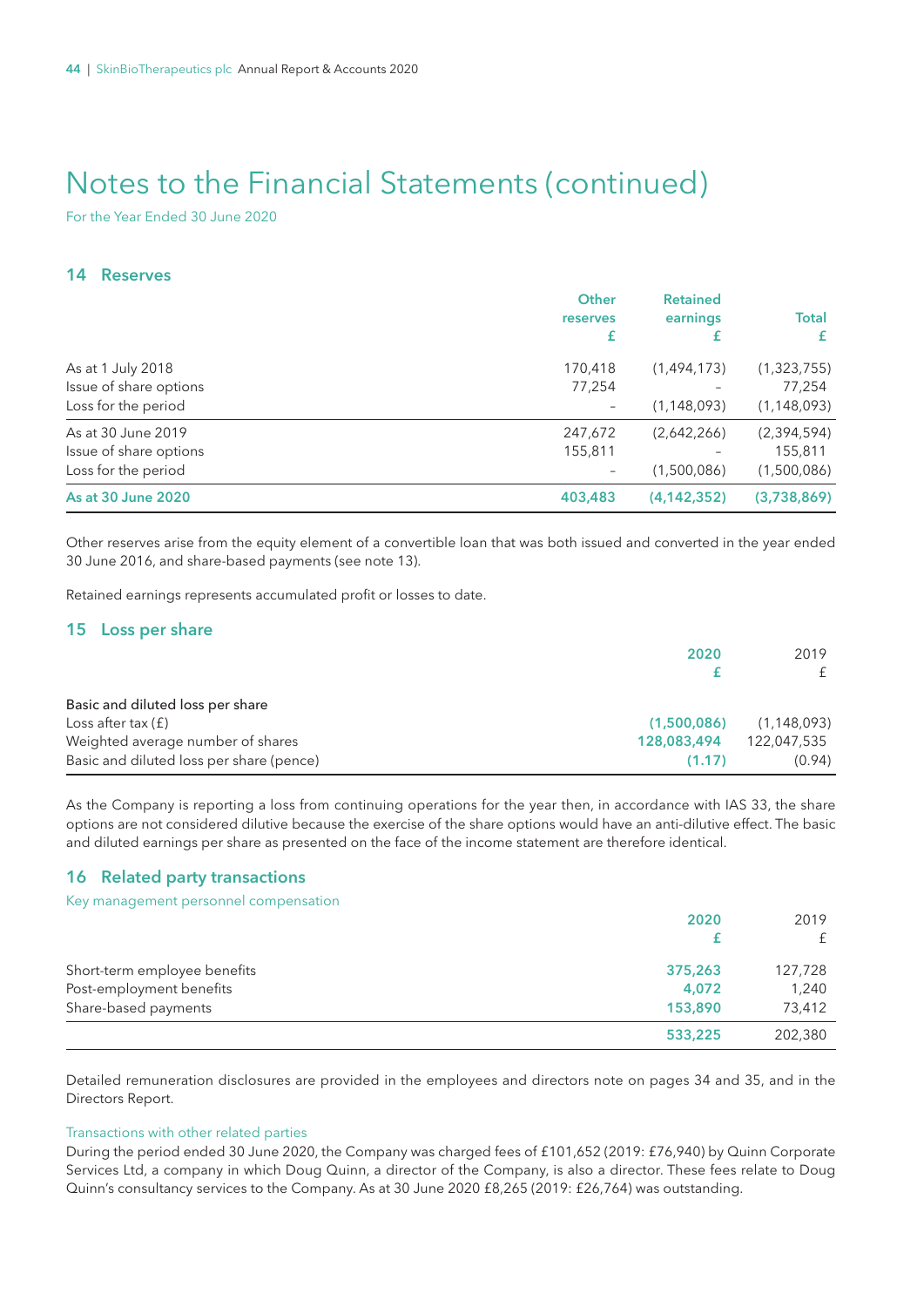# Notes to the Financial Statements (continued)

For the Year Ended 30 June 2020

### **14 Reserves**

|                        | Other<br>reserves | <b>Retained</b><br>earnings | <b>Total</b>  |
|------------------------|-------------------|-----------------------------|---------------|
| As at 1 July 2018      | 170,418           | (1,494,173)                 | (1,323,755)   |
| Issue of share options | 77.254            |                             | 77,254        |
| Loss for the period    |                   | (1, 148, 093)               | (1, 148, 093) |
| As at 30 June 2019     | 247,672           | (2,642,266)                 | (2,394,594)   |
| Issue of share options | 155,811           |                             | 155,811       |
| Loss for the period    |                   | (1,500,086)                 | (1,500,086)   |
| As at 30 June 2020     | 403,483           | (4, 142, 352)               | (3,738,869)   |

Other reserves arise from the equity element of a convertible loan that was both issued and converted in the year ended 30 June 2016, and share-based payments (see note 13).

Retained earnings represents accumulated profit or losses to date.

## **15 Loss per share**

|                                          | 2020        | 2019          |
|------------------------------------------|-------------|---------------|
|                                          |             |               |
| Basic and diluted loss per share         |             |               |
| Loss after tax $(f)$                     | (1,500,086) | (1, 148, 093) |
| Weighted average number of shares        | 128,083,494 | 122,047,535   |
| Basic and diluted loss per share (pence) | (1.17)      | (0.94)        |

As the Company is reporting a loss from continuing operations for the year then, in accordance with IAS 33, the share options are not considered dilutive because the exercise of the share options would have an anti-dilutive effect. The basic and diluted earnings per share as presented on the face of the income statement are therefore identical.

### **16 Related party transactions**

| Key management personnel compensation |  |
|---------------------------------------|--|
|                                       |  |

|                              | 2020    | 2019    |
|------------------------------|---------|---------|
|                              |         |         |
| Short-term employee benefits | 375,263 | 127,728 |
| Post-employment benefits     | 4.072   | 1,240   |
| Share-based payments         | 153,890 | 73,412  |
|                              | 533,225 | 202,380 |

Detailed remuneration disclosures are provided in the employees and directors note on pages 34 and 35, and in the Directors Report.

### Transactions with other related parties

During the period ended 30 June 2020, the Company was charged fees of £101,652 (2019: £76,940) by Quinn Corporate Services Ltd, a company in which Doug Quinn, a director of the Company, is also a director. These fees relate to Doug Quinn's consultancy services to the Company. As at 30 June 2020 £8,265 (2019: £26,764) was outstanding.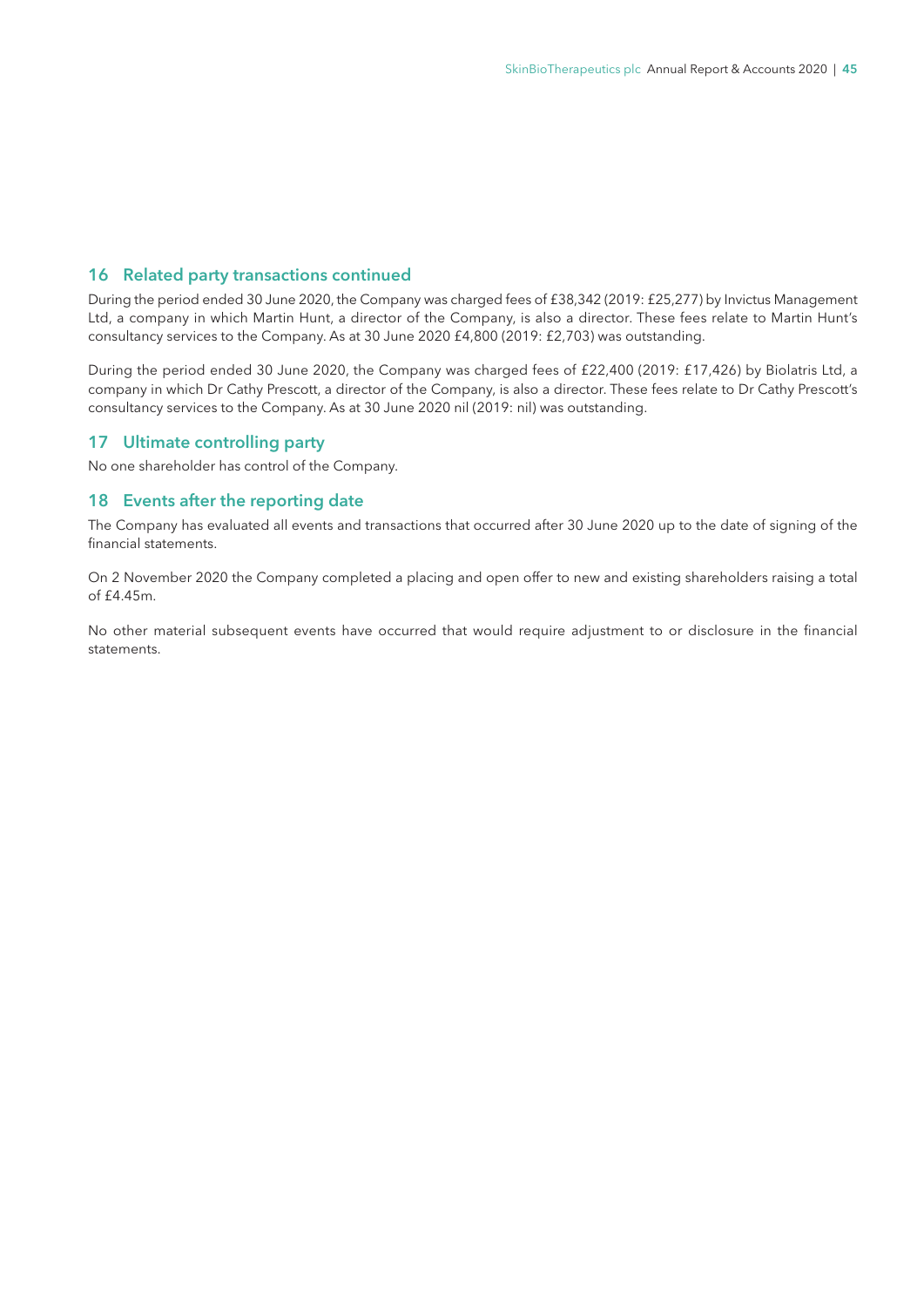## **16 Related party transactions continued**

During the period ended 30 June 2020, the Company was charged fees of £38,342 (2019: £25,277) by Invictus Management Ltd, a company in which Martin Hunt, a director of the Company, is also a director. These fees relate to Martin Hunt's consultancy services to the Company. As at 30 June 2020 £4,800 (2019: £2,703) was outstanding.

During the period ended 30 June 2020, the Company was charged fees of £22,400 (2019: £17,426) by Biolatris Ltd, a company in which Dr Cathy Prescott, a director of the Company, is also a director. These fees relate to Dr Cathy Prescott's consultancy services to the Company. As at 30 June 2020 nil (2019: nil) was outstanding.

## **17 Ultimate controlling party**

No one shareholder has control of the Company.

## **18 Events after the reporting date**

The Company has evaluated all events and transactions that occurred after 30 June 2020 up to the date of signing of the financial statements.

On 2 November 2020 the Company completed a placing and open offer to new and existing shareholders raising a total of £4.45m.

No other material subsequent events have occurred that would require adjustment to or disclosure in the financial statements.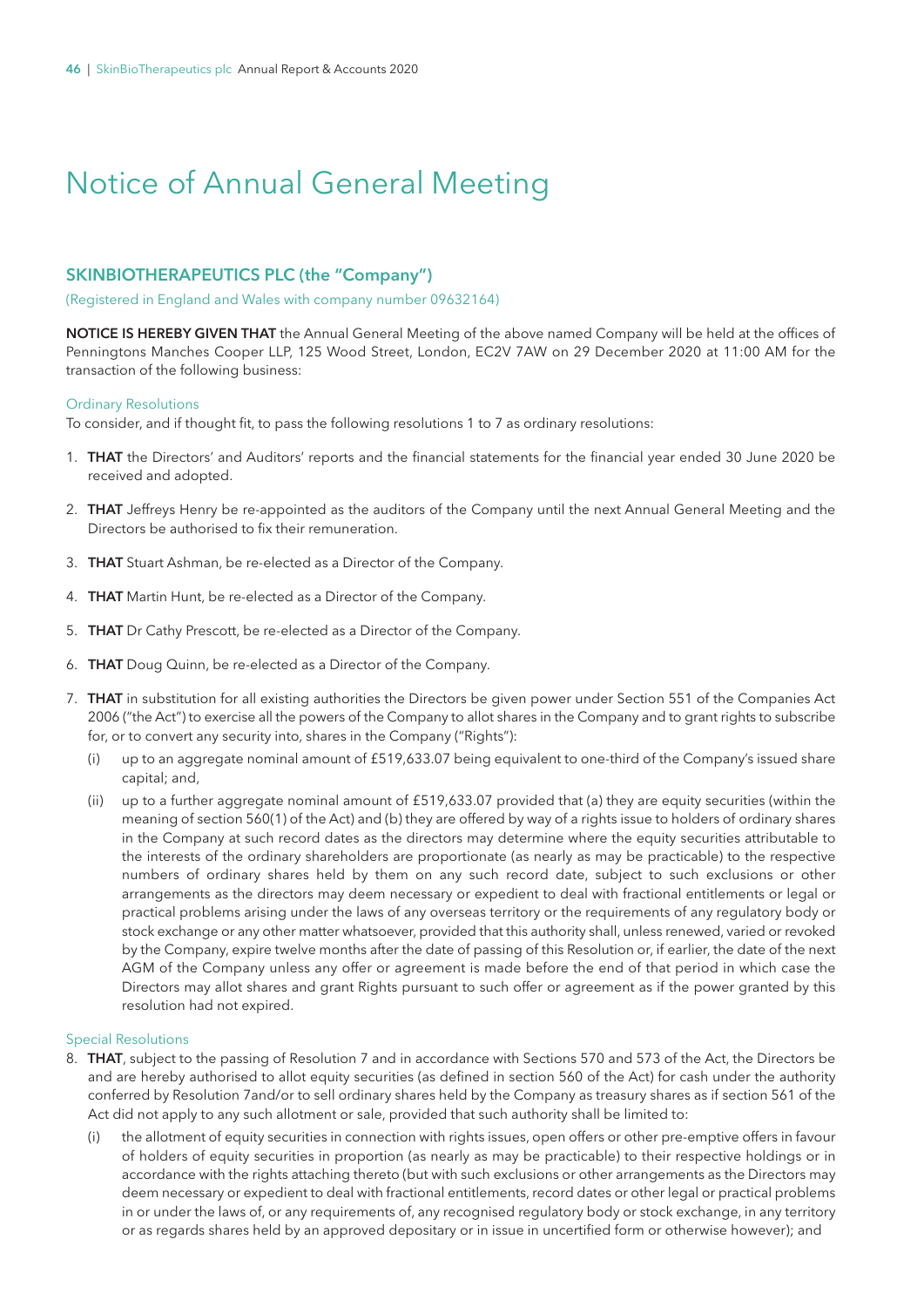# Notice of Annual General Meeting

### **SKINBIOTHERAPEUTICS PLC (the "Company")**

(Registered in England and Wales with company number 09632164)

**NOTICE IS HEREBY GIVEN THAT** the Annual General Meeting of the above named Company will be held at the offices of Penningtons Manches Cooper LLP, 125 Wood Street, London, EC2V 7AW on 29 December 2020 at 11:00 AM for the transaction of the following business:

### Ordinary Resolutions

To consider, and if thought fit, to pass the following resolutions 1 to 7 as ordinary resolutions:

- 1. **THAT** the Directors' and Auditors' reports and the financial statements for the financial year ended 30 June 2020 be received and adopted.
- 2. **THAT** Jeffreys Henry be re-appointed as the auditors of the Company until the next Annual General Meeting and the Directors be authorised to fix their remuneration.
- 3. **THAT** Stuart Ashman, be re-elected as a Director of the Company.
- 4. **THAT** Martin Hunt, be re-elected as a Director of the Company.
- 5. **THAT** Dr Cathy Prescott, be re-elected as a Director of the Company.
- 6. **THAT** Doug Quinn, be re-elected as a Director of the Company.
- 7. **THAT** in substitution for all existing authorities the Directors be given power under Section 551 of the Companies Act 2006 ("the Act") to exercise all the powers of the Company to allot shares in the Company and to grant rights to subscribe for, or to convert any security into, shares in the Company ("Rights"):
	- (i) up to an aggregate nominal amount of £519,633.07 being equivalent to one-third of the Company's issued share capital; and,
	- (ii) up to a further aggregate nominal amount of £519,633.07 provided that (a) they are equity securities (within the meaning of section 560(1) of the Act) and (b) they are offered by way of a rights issue to holders of ordinary shares in the Company at such record dates as the directors may determine where the equity securities attributable to the interests of the ordinary shareholders are proportionate (as nearly as may be practicable) to the respective numbers of ordinary shares held by them on any such record date, subject to such exclusions or other arrangements as the directors may deem necessary or expedient to deal with fractional entitlements or legal or practical problems arising under the laws of any overseas territory or the requirements of any regulatory body or stock exchange or any other matter whatsoever, provided that this authority shall, unless renewed, varied or revoked by the Company, expire twelve months after the date of passing of this Resolution or, if earlier, the date of the next AGM of the Company unless any offer or agreement is made before the end of that period in which case the Directors may allot shares and grant Rights pursuant to such offer or agreement as if the power granted by this resolution had not expired.

### Special Resolutions

- 8. **THAT**, subject to the passing of Resolution 7 and in accordance with Sections 570 and 573 of the Act, the Directors be and are hereby authorised to allot equity securities (as defined in section 560 of the Act) for cash under the authority conferred by Resolution 7and/or to sell ordinary shares held by the Company as treasury shares as if section 561 of the Act did not apply to any such allotment or sale, provided that such authority shall be limited to:
	- the allotment of equity securities in connection with rights issues, open offers or other pre-emptive offers in favour of holders of equity securities in proportion (as nearly as may be practicable) to their respective holdings or in accordance with the rights attaching thereto (but with such exclusions or other arrangements as the Directors may deem necessary or expedient to deal with fractional entitlements, record dates or other legal or practical problems in or under the laws of, or any requirements of, any recognised regulatory body or stock exchange, in any territory or as regards shares held by an approved depositary or in issue in uncertified form or otherwise however); and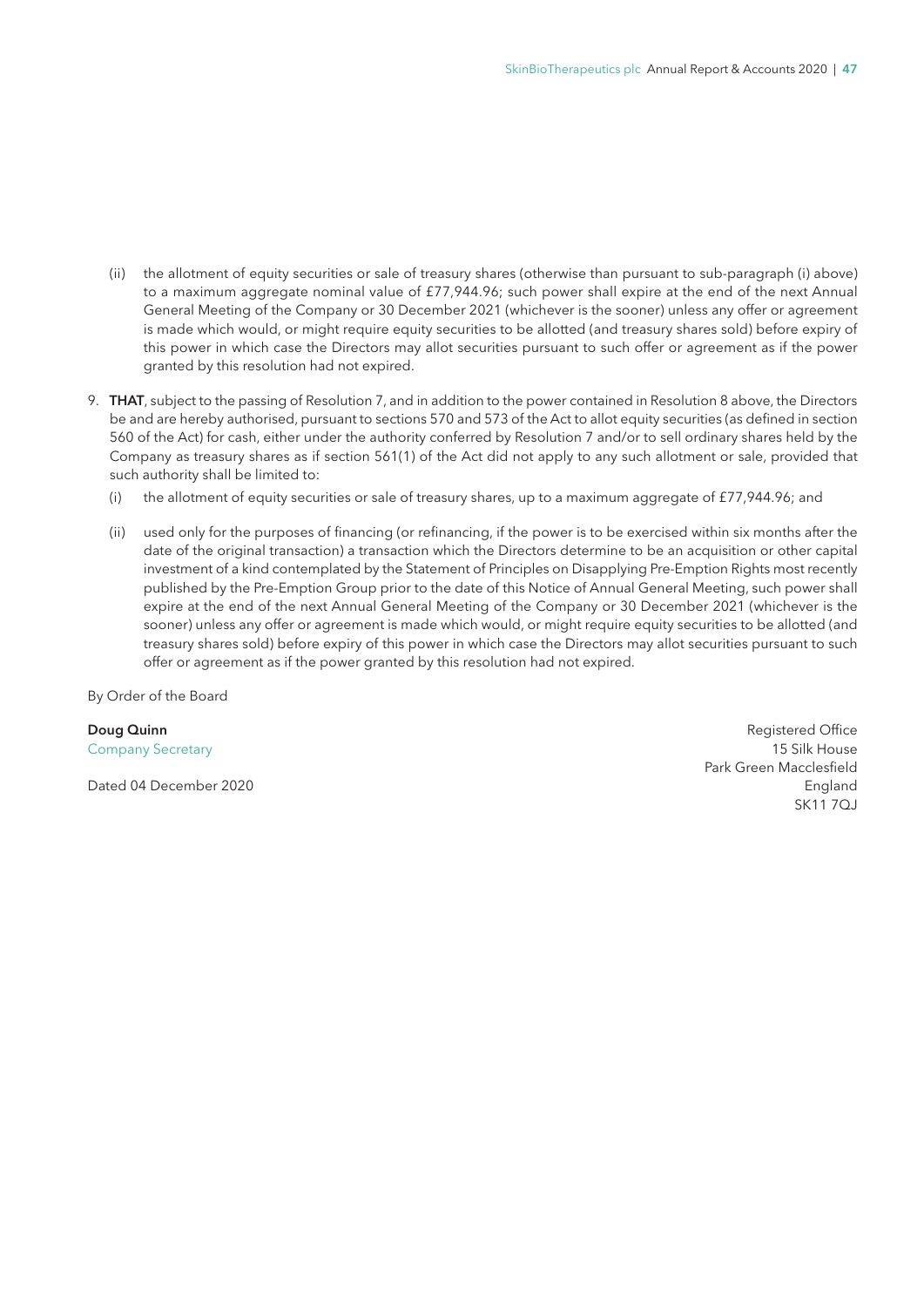- (ii) the allotment of equity securities or sale of treasury shares (otherwise than pursuant to sub-paragraph (i) above) to a maximum aggregate nominal value of £77,944.96; such power shall expire at the end of the next Annual General Meeting of the Company or 30 December 2021 (whichever is the sooner) unless any offer or agreement is made which would, or might require equity securities to be allotted (and treasury shares sold) before expiry of this power in which case the Directors may allot securities pursuant to such offer or agreement as if the power granted by this resolution had not expired.
- 9. **THAT**, subject to the passing of Resolution 7, and in addition to the power contained in Resolution 8 above, the Directors be and are hereby authorised, pursuant to sections 570 and 573 of the Act to allot equity securities (as defined in section 560 of the Act) for cash, either under the authority conferred by Resolution 7 and/or to sell ordinary shares held by the Company as treasury shares as if section 561(1) of the Act did not apply to any such allotment or sale, provided that such authority shall be limited to:
	- (i) the allotment of equity securities or sale of treasury shares, up to a maximum aggregate of £77,944.96; and
	- (ii) used only for the purposes of financing (or refinancing, if the power is to be exercised within six months after the date of the original transaction) a transaction which the Directors determine to be an acquisition or other capital investment of a kind contemplated by the Statement of Principles on Disapplying Pre-Emption Rights most recently published by the Pre-Emption Group prior to the date of this Notice of Annual General Meeting, such power shall expire at the end of the next Annual General Meeting of the Company or 30 December 2021 (whichever is the sooner) unless any offer or agreement is made which would, or might require equity securities to be allotted (and treasury shares sold) before expiry of this power in which case the Directors may allot securities pursuant to such offer or agreement as if the power granted by this resolution had not expired.

By Order of the Board

Dated 04 December 2020 England

**Doug Quinn** Registered Office **Contract Contract Contract Contract Contract Contract Contract Contract Contract Contract Contract Contract Contract Contract Contract Contract Contract Contract Contract Contract Contract C** Company Secretary 15 Silk House Park Green Macclesfield SK11 7QJ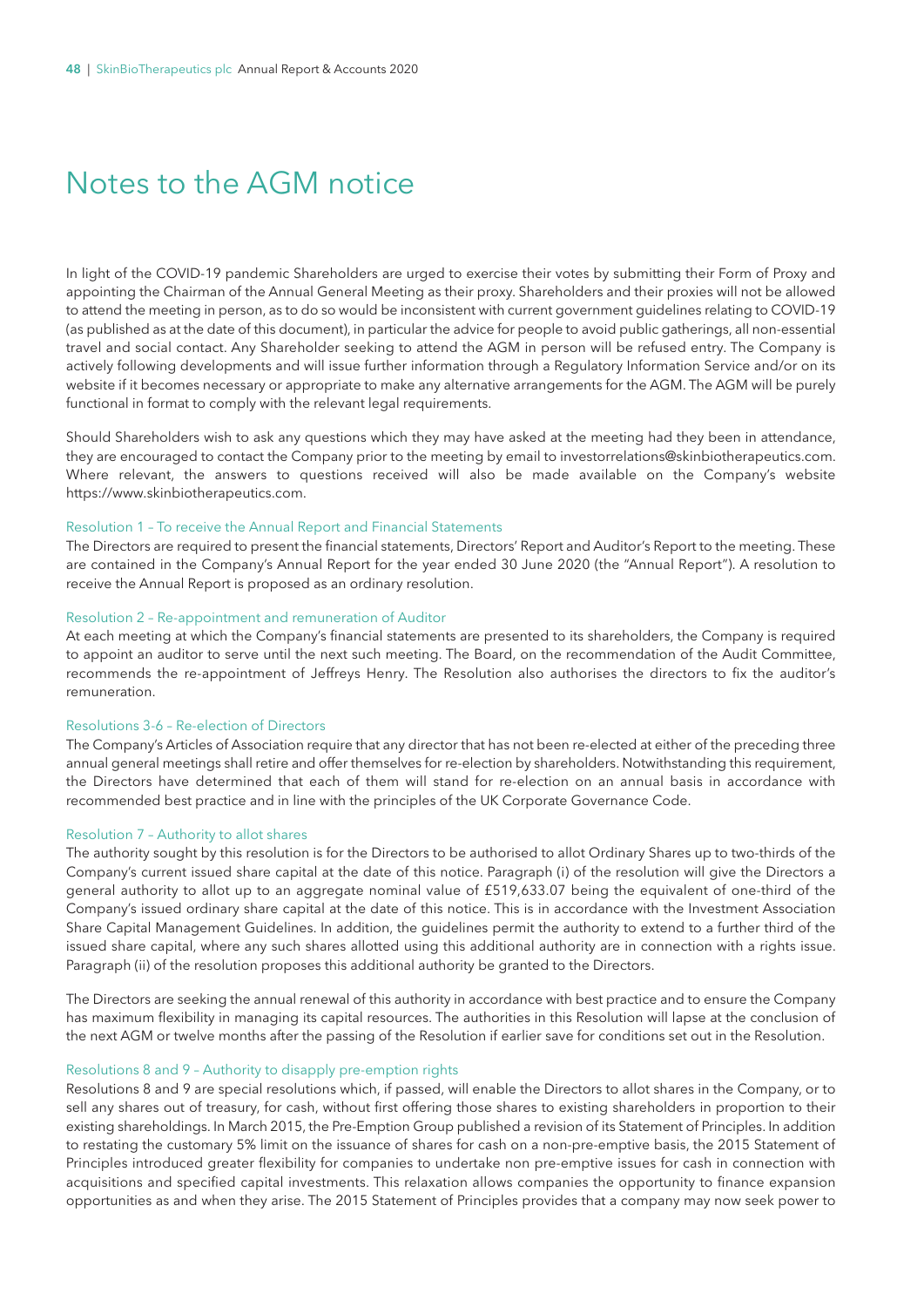# Notes to the AGM notice

In light of the COVID-19 pandemic Shareholders are urged to exercise their votes by submitting their Form of Proxy and appointing the Chairman of the Annual General Meeting as their proxy. Shareholders and their proxies will not be allowed to attend the meeting in person, as to do so would be inconsistent with current government guidelines relating to COVID-19 (as published as at the date of this document), in particular the advice for people to avoid public gatherings, all non-essential travel and social contact. Any Shareholder seeking to attend the AGM in person will be refused entry. The Company is actively following developments and will issue further information through a Regulatory Information Service and/or on its website if it becomes necessary or appropriate to make any alternative arrangements for the AGM. The AGM will be purely functional in format to comply with the relevant legal requirements.

Should Shareholders wish to ask any questions which they may have asked at the meeting had they been in attendance, they are encouraged to contact the Company prior to the meeting by email to investorrelations@skinbiotherapeutics.com. Where relevant, the answers to questions received will also be made available on the Company's website https://www.skinbiotherapeutics.com.

#### Resolution 1 – To receive the Annual Report and Financial Statements

The Directors are required to present the financial statements, Directors' Report and Auditor's Report to the meeting. These are contained in the Company's Annual Report for the year ended 30 June 2020 (the "Annual Report"). A resolution to receive the Annual Report is proposed as an ordinary resolution.

### Resolution 2 – Re-appointment and remuneration of Auditor

At each meeting at which the Company's financial statements are presented to its shareholders, the Company is required to appoint an auditor to serve until the next such meeting. The Board, on the recommendation of the Audit Committee, recommends the re-appointment of Jeffreys Henry. The Resolution also authorises the directors to fix the auditor's remuneration.

#### Resolutions 3-6 – Re-election of Directors

The Company's Articles of Association require that any director that has not been re-elected at either of the preceding three annual general meetings shall retire and offer themselves for re-election by shareholders. Notwithstanding this requirement, the Directors have determined that each of them will stand for re-election on an annual basis in accordance with recommended best practice and in line with the principles of the UK Corporate Governance Code.

#### Resolution 7 – Authority to allot shares

The authority sought by this resolution is for the Directors to be authorised to allot Ordinary Shares up to two-thirds of the Company's current issued share capital at the date of this notice. Paragraph (i) of the resolution will give the Directors a general authority to allot up to an aggregate nominal value of £519,633.07 being the equivalent of one-third of the Company's issued ordinary share capital at the date of this notice. This is in accordance with the Investment Association Share Capital Management Guidelines. In addition, the guidelines permit the authority to extend to a further third of the issued share capital, where any such shares allotted using this additional authority are in connection with a rights issue. Paragraph (ii) of the resolution proposes this additional authority be granted to the Directors.

The Directors are seeking the annual renewal of this authority in accordance with best practice and to ensure the Company has maximum flexibility in managing its capital resources. The authorities in this Resolution will lapse at the conclusion of the next AGM or twelve months after the passing of the Resolution if earlier save for conditions set out in the Resolution.

#### Resolutions 8 and 9 – Authority to disapply pre-emption rights

Resolutions 8 and 9 are special resolutions which, if passed, will enable the Directors to allot shares in the Company, or to sell any shares out of treasury, for cash, without first offering those shares to existing shareholders in proportion to their existing shareholdings. In March 2015, the Pre-Emption Group published a revision of its Statement of Principles. In addition to restating the customary 5% limit on the issuance of shares for cash on a non-pre-emptive basis, the 2015 Statement of Principles introduced greater flexibility for companies to undertake non pre-emptive issues for cash in connection with acquisitions and specified capital investments. This relaxation allows companies the opportunity to finance expansion opportunities as and when they arise. The 2015 Statement of Principles provides that a company may now seek power to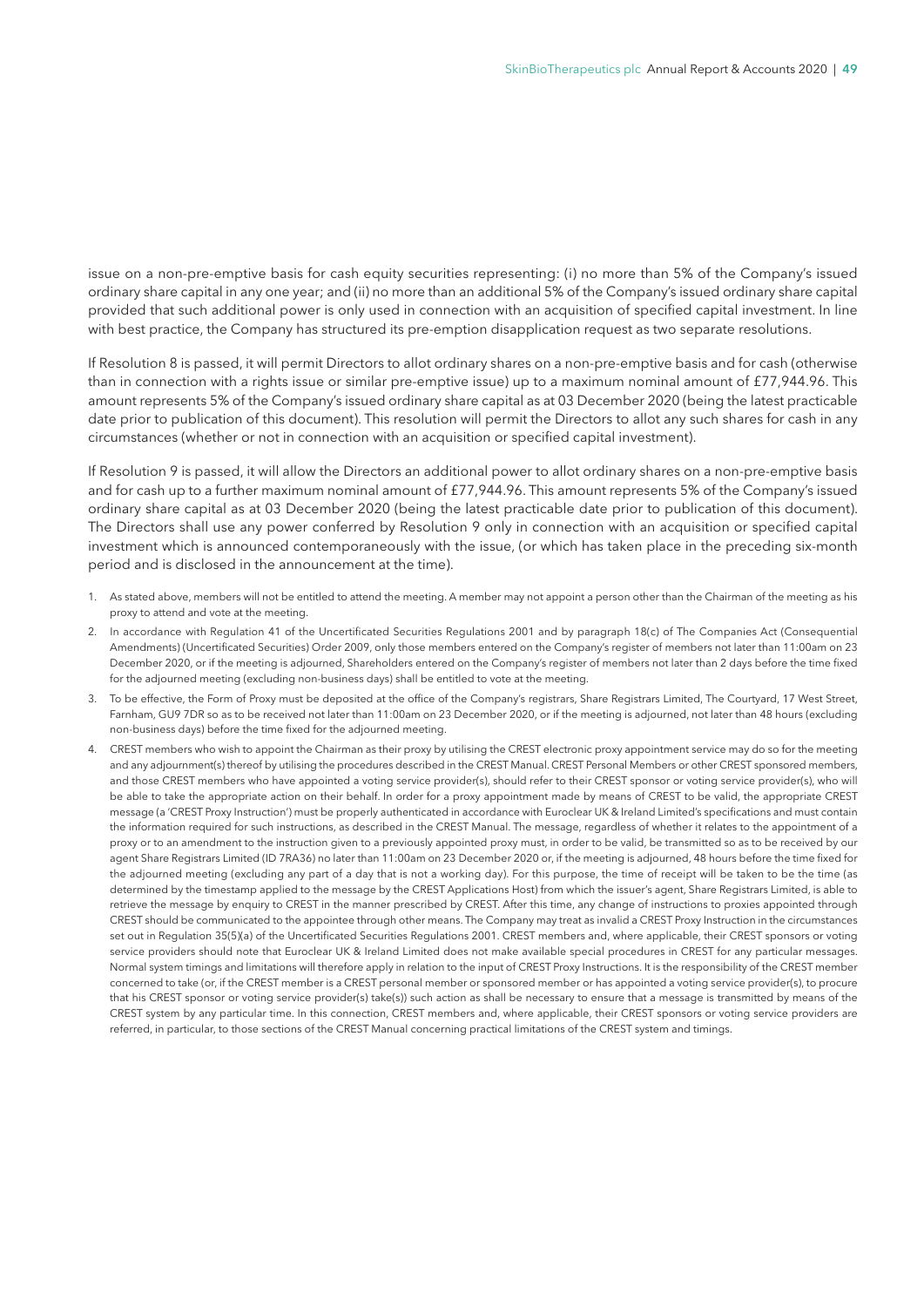issue on a non-pre-emptive basis for cash equity securities representing: (i) no more than 5% of the Company's issued ordinary share capital in any one year; and (ii) no more than an additional 5% of the Company's issued ordinary share capital provided that such additional power is only used in connection with an acquisition of specified capital investment. In line with best practice, the Company has structured its pre-emption disapplication request as two separate resolutions.

If Resolution 8 is passed, it will permit Directors to allot ordinary shares on a non-pre-emptive basis and for cash (otherwise than in connection with a rights issue or similar pre-emptive issue) up to a maximum nominal amount of £77,944.96. This amount represents 5% of the Company's issued ordinary share capital as at 03 December 2020 (being the latest practicable date prior to publication of this document). This resolution will permit the Directors to allot any such shares for cash in any circumstances (whether or not in connection with an acquisition or specified capital investment).

If Resolution 9 is passed, it will allow the Directors an additional power to allot ordinary shares on a non-pre-emptive basis and for cash up to a further maximum nominal amount of £77,944.96. This amount represents 5% of the Company's issued ordinary share capital as at 03 December 2020 (being the latest practicable date prior to publication of this document). The Directors shall use any power conferred by Resolution 9 only in connection with an acquisition or specified capital investment which is announced contemporaneously with the issue, (or which has taken place in the preceding six-month period and is disclosed in the announcement at the time).

- 1. As stated above, members will not be entitled to attend the meeting. A member may not appoint a person other than the Chairman of the meeting as his proxy to attend and vote at the meeting.
- 2. In accordance with Regulation 41 of the Uncertificated Securities Regulations 2001 and by paragraph 18(c) of The Companies Act (Consequential Amendments) (Uncertificated Securities) Order 2009, only those members entered on the Company's register of members not later than 11:00am on 23 December 2020, or if the meeting is adjourned, Shareholders entered on the Company's register of members not later than 2 days before the time fixed for the adjourned meeting (excluding non-business days) shall be entitled to vote at the meeting.
- 3. To be effective, the Form of Proxy must be deposited at the office of the Company's registrars, Share Registrars Limited, The Courtyard, 17 West Street, Farnham, GU9 7DR so as to be received not later than 11:00am on 23 December 2020, or if the meeting is adjourned, not later than 48 hours (excluding non-business days) before the time fixed for the adjourned meeting.
- 4. CREST members who wish to appoint the Chairman as their proxy by utilising the CREST electronic proxy appointment service may do so for the meeting and any adjournment(s) thereof by utilising the procedures described in the CREST Manual. CREST Personal Members or other CREST sponsored members, and those CREST members who have appointed a voting service provider(s), should refer to their CREST sponsor or voting service provider(s), who will be able to take the appropriate action on their behalf. In order for a proxy appointment made by means of CREST to be valid, the appropriate CREST message (a 'CREST Proxy Instruction') must be properly authenticated in accordance with Euroclear UK & Ireland Limited's specifications and must contain the information required for such instructions, as described in the CREST Manual. The message, regardless of whether it relates to the appointment of a proxy or to an amendment to the instruction given to a previously appointed proxy must, in order to be valid, be transmitted so as to be received by our agent Share Registrars Limited (ID 7RA36) no later than 11:00am on 23 December 2020 or, if the meeting is adjourned, 48 hours before the time fixed for the adjourned meeting (excluding any part of a day that is not a working day). For this purpose, the time of receipt will be taken to be the time (as determined by the timestamp applied to the message by the CREST Applications Host) from which the issuer's agent, Share Registrars Limited, is able to retrieve the message by enquiry to CREST in the manner prescribed by CREST. After this time, any change of instructions to proxies appointed through CREST should be communicated to the appointee through other means. The Company may treat as invalid a CREST Proxy Instruction in the circumstances set out in Regulation 35(5)(a) of the Uncertificated Securities Regulations 2001. CREST members and, where applicable, their CREST sponsors or voting service providers should note that Euroclear UK & Ireland Limited does not make available special procedures in CREST for any particular messages. Normal system timings and limitations will therefore apply in relation to the input of CREST Proxy Instructions. It is the responsibility of the CREST member concerned to take (or, if the CREST member is a CREST personal member or sponsored member or has appointed a voting service provider(s), to procure that his CREST sponsor or voting service provider(s) take(s)) such action as shall be necessary to ensure that a message is transmitted by means of the CREST system by any particular time. In this connection, CREST members and, where applicable, their CREST sponsors or voting service providers are referred, in particular, to those sections of the CREST Manual concerning practical limitations of the CREST system and timings.